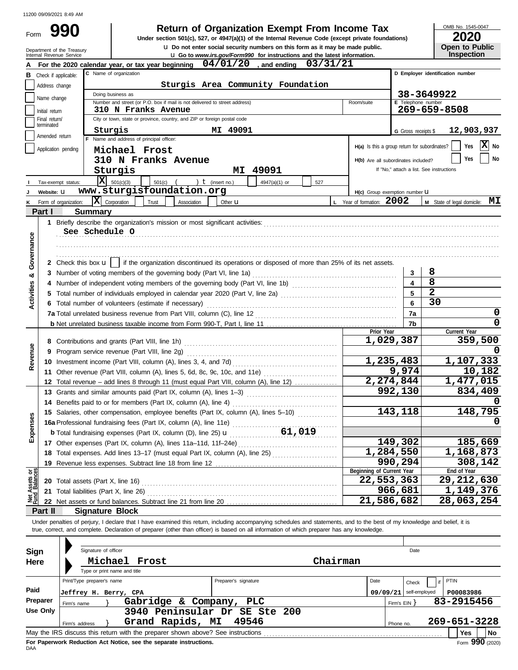| <b>Return of Organization Exempt From Income Tax</b> |  |  |
|------------------------------------------------------|--|--|
|                                                      |  |  |

**u** Do not enter social security numbers on this form as it may be made public. **990 2020**<br>
Under section 501(c), 527, or 4947(a)(1) of the Internal Revenue Code (except private foundations) **2020** 

OMB No. 1545-0047

| ZUZU                  |
|-----------------------|
| <b>Open to Public</b> |
| Inspection            |

|            | Department of the Treasury<br>Internal Revenue Service |                            |                                                                                                                                                                            | <b>U.</b> Do not enter social security numbers on this form as it may be made public.<br><b>u</b> Go to www.irs.gov/Form990 for instructions and the latest information. |                      |          |                                                                   |                     | <b>Open to Public</b><br><b>Inspection</b> |
|------------|--------------------------------------------------------|----------------------------|----------------------------------------------------------------------------------------------------------------------------------------------------------------------------|--------------------------------------------------------------------------------------------------------------------------------------------------------------------------|----------------------|----------|-------------------------------------------------------------------|---------------------|--------------------------------------------|
|            |                                                        |                            | For the 2020 calendar year, or tax year beginning                                                                                                                          | $04/01/20$ , and ending                                                                                                                                                  | 03/31/21             |          |                                                                   |                     |                                            |
| в          | Check if applicable:                                   |                            | C Name of organization                                                                                                                                                     |                                                                                                                                                                          |                      |          |                                                                   |                     | D Employer identification number           |
|            | Address change                                         |                            |                                                                                                                                                                            | Sturgis Area Community Foundation                                                                                                                                        |                      |          |                                                                   |                     |                                            |
|            |                                                        |                            | Doing business as                                                                                                                                                          |                                                                                                                                                                          |                      |          |                                                                   |                     | 38-3649922                                 |
|            | Name change                                            |                            | Number and street (or P.O. box if mail is not delivered to street address)                                                                                                 |                                                                                                                                                                          |                      |          | Room/suite                                                        | E Telephone number  |                                            |
|            | Initial return                                         |                            | 310 N Franks Avenue                                                                                                                                                        |                                                                                                                                                                          |                      |          |                                                                   |                     | 269-659-8508                               |
|            | Final return/<br>terminated                            |                            | City or town, state or province, country, and ZIP or foreign postal code                                                                                                   |                                                                                                                                                                          |                      |          |                                                                   |                     |                                            |
|            | Amended return                                         |                            | Sturgis                                                                                                                                                                    | MI 49091                                                                                                                                                                 |                      |          |                                                                   | G Gross receipts \$ | 12,903,937                                 |
|            |                                                        |                            | F Name and address of principal officer:                                                                                                                                   |                                                                                                                                                                          |                      |          | H(a) Is this a group return for subordinates?                     |                     | X No<br>Yes                                |
|            | Application pending                                    |                            | Michael Frost                                                                                                                                                              |                                                                                                                                                                          |                      |          |                                                                   |                     | No<br>Yes                                  |
|            |                                                        |                            | 310 N Franks Avenue                                                                                                                                                        |                                                                                                                                                                          |                      |          | H(b) Are all subordinates included?                               |                     |                                            |
|            |                                                        |                            | Sturgis                                                                                                                                                                    | 49091<br>MI                                                                                                                                                              |                      |          |                                                                   |                     | If "No," attach a list. See instructions   |
|            | Tax-exempt status:                                     |                            | $ \mathbf{X} $ 501(c)(3)<br>$501(c)$ (                                                                                                                                     | ) $t$ (insert no.)                                                                                                                                                       | 4947(a)(1) or<br>527 |          |                                                                   |                     |                                            |
|            | Website: U                                             |                            | www.sturgisfoundation.org<br>$ \mathbf{X} $ Corporation                                                                                                                    |                                                                                                                                                                          |                      |          | H(c) Group exemption number <b>U</b><br>L Year of formation: 2002 |                     |                                            |
|            | Form of organization:<br>Part I                        | <b>Summary</b>             | Trust<br>Association                                                                                                                                                       | Other $\mathbf u$                                                                                                                                                        |                      |          |                                                                   |                     | <b>M</b> State of legal domicile: $MT$     |
|            |                                                        |                            |                                                                                                                                                                            |                                                                                                                                                                          |                      |          |                                                                   |                     |                                            |
|            |                                                        | See Schedule O             |                                                                                                                                                                            |                                                                                                                                                                          |                      |          |                                                                   |                     |                                            |
|            |                                                        |                            |                                                                                                                                                                            |                                                                                                                                                                          |                      |          |                                                                   |                     |                                            |
| Governance |                                                        |                            |                                                                                                                                                                            |                                                                                                                                                                          |                      |          |                                                                   |                     |                                            |
|            |                                                        |                            | 2 Check this box $\mathbf{u}$   if the organization discontinued its operations or disposed of more than 25% of its net assets.                                            |                                                                                                                                                                          |                      |          |                                                                   |                     |                                            |
|            |                                                        |                            |                                                                                                                                                                            |                                                                                                                                                                          |                      |          |                                                                   | 3                   | 8                                          |
| න්         |                                                        |                            |                                                                                                                                                                            |                                                                                                                                                                          |                      |          |                                                                   | 4                   | 8                                          |
| Activities |                                                        |                            |                                                                                                                                                                            |                                                                                                                                                                          |                      |          |                                                                   | 5                   | $\overline{2}$                             |
|            |                                                        |                            | 6 Total number of volunteers (estimate if necessary)                                                                                                                       |                                                                                                                                                                          |                      |          |                                                                   | 6                   | 30                                         |
|            |                                                        |                            |                                                                                                                                                                            |                                                                                                                                                                          |                      |          |                                                                   | 7a                  | 0                                          |
|            |                                                        |                            |                                                                                                                                                                            |                                                                                                                                                                          |                      |          |                                                                   | 7b                  | 0                                          |
|            |                                                        |                            |                                                                                                                                                                            |                                                                                                                                                                          |                      |          | Prior Year                                                        |                     | Current Year                               |
|            |                                                        |                            |                                                                                                                                                                            |                                                                                                                                                                          |                      |          |                                                                   | 1,029,387           | 359,500                                    |
| Revenue    |                                                        |                            |                                                                                                                                                                            |                                                                                                                                                                          |                      |          |                                                                   |                     |                                            |
|            |                                                        |                            |                                                                                                                                                                            |                                                                                                                                                                          |                      |          |                                                                   | 1,235,483           | 1,107,333                                  |
|            |                                                        |                            |                                                                                                                                                                            |                                                                                                                                                                          |                      |          |                                                                   | 9,974               | 10,182                                     |
|            |                                                        |                            | 12 Total revenue - add lines 8 through 11 (must equal Part VIII, column (A), line 12)                                                                                      |                                                                                                                                                                          |                      |          |                                                                   | 2,274,844           | 1,477,015                                  |
|            |                                                        |                            | 13 Grants and similar amounts paid (Part IX, column (A), lines 1-3)                                                                                                        |                                                                                                                                                                          |                      |          |                                                                   | 992,130             | 834,409                                    |
|            |                                                        |                            |                                                                                                                                                                            |                                                                                                                                                                          |                      |          |                                                                   |                     |                                            |
| w<br>ğ,    |                                                        |                            | 15 Salaries, other compensation, employee benefits (Part IX, column (A), lines 5-10)                                                                                       |                                                                                                                                                                          |                      |          |                                                                   | 143,118             | 148,795<br>n                               |
|            |                                                        |                            | 16a Professional fundraising fees (Part IX, column (A), line 11e)                                                                                                          |                                                                                                                                                                          |                      |          |                                                                   |                     |                                            |
| Exper      |                                                        |                            |                                                                                                                                                                            |                                                                                                                                                                          |                      |          |                                                                   | 149,302             |                                            |
|            |                                                        |                            |                                                                                                                                                                            |                                                                                                                                                                          |                      |          |                                                                   | 1,284,550           | 185,669<br>1,168,873                       |
|            |                                                        |                            | 18 Total expenses. Add lines 13-17 (must equal Part IX, column (A), line 25)                                                                                               |                                                                                                                                                                          |                      |          |                                                                   | 990,294             | 308,142                                    |
| ර පි       |                                                        |                            |                                                                                                                                                                            |                                                                                                                                                                          |                      |          | Beginning of Current Year                                         |                     | End of Year                                |
|            |                                                        |                            |                                                                                                                                                                            |                                                                                                                                                                          |                      |          |                                                                   | 22,553,363          | 29, 212, 630                               |
| Net Assets |                                                        |                            | 21 Total liabilities (Part X, line 26) Material Construction of the US of Total liabilities (Part X, line 26)                                                              |                                                                                                                                                                          |                      |          |                                                                   | 966,681             | 1,149,376                                  |
|            |                                                        |                            |                                                                                                                                                                            |                                                                                                                                                                          |                      |          |                                                                   | 21,586,682          | 28,063,254                                 |
|            | Part II                                                |                            | <b>Signature Block</b>                                                                                                                                                     |                                                                                                                                                                          |                      |          |                                                                   |                     |                                            |
|            |                                                        |                            | Under penalties of perjury, I declare that I have examined this return, including accompanying schedules and statements, and to the best of my knowledge and belief, it is |                                                                                                                                                                          |                      |          |                                                                   |                     |                                            |
|            |                                                        |                            | true, correct, and complete. Declaration of preparer (other than officer) is based on all information of which preparer has any knowledge.                                 |                                                                                                                                                                          |                      |          |                                                                   |                     |                                            |
|            |                                                        |                            |                                                                                                                                                                            |                                                                                                                                                                          |                      |          |                                                                   |                     |                                            |
|            | Sign                                                   | Signature of officer       |                                                                                                                                                                            |                                                                                                                                                                          |                      |          |                                                                   | Date                |                                            |
|            | Here                                                   |                            | Michael Frost<br>Type or print name and title                                                                                                                              |                                                                                                                                                                          |                      | Chairman |                                                                   |                     |                                            |
|            |                                                        | Print/Type preparer's name |                                                                                                                                                                            | Preparer's signature                                                                                                                                                     |                      |          | Date                                                              |                     | PTIN                                       |
| Paid       |                                                        |                            |                                                                                                                                                                            |                                                                                                                                                                          |                      |          |                                                                   | Check               |                                            |
|            | Preparer                                               |                            | Jeffrey H. Berry, CPA<br>Gabridge & Company, PLC                                                                                                                           |                                                                                                                                                                          |                      |          | 09/09/21                                                          | self-employed       | P00083986<br>83-2915456                    |
|            | Firm's name<br><b>Use Only</b>                         |                            | 3940 Peninsular Dr SE Ste 200                                                                                                                                              |                                                                                                                                                                          |                      |          |                                                                   | Firm's $EIN$ }      |                                            |
|            | Firm's address                                         |                            | Grand Rapids, MI                                                                                                                                                           | 49546                                                                                                                                                                    |                      |          |                                                                   | Phone no.           | 269-651-3228                               |
|            |                                                        |                            |                                                                                                                                                                            |                                                                                                                                                                          |                      |          |                                                                   |                     | Yes<br>No                                  |
|            |                                                        |                            |                                                                                                                                                                            |                                                                                                                                                                          |                      |          |                                                                   |                     |                                            |

|              |                       | Signature of officer       |                              |                                                                                 |          |                               |      |       |              | Date                      |      |              |                   |     |
|--------------|-----------------------|----------------------------|------------------------------|---------------------------------------------------------------------------------|----------|-------------------------------|------|-------|--------------|---------------------------|------|--------------|-------------------|-----|
| Sign<br>Here |                       |                            |                              | Michael Frost                                                                   | Chairman |                               |      |       |              |                           |      |              |                   |     |
|              |                       |                            | Type or print name and title |                                                                                 |          |                               |      |       |              |                           |      |              |                   |     |
|              |                       | Print/Type preparer's name |                              |                                                                                 |          | Preparer's signature          | Date | Check |              | if                        | PTIN |              |                   |     |
| Paid         | Jeffrey H. Berry, CPA |                            |                              |                                                                                 |          |                               |      |       |              | 09/09/21<br>self-employed |      | P00083986    |                   |     |
| Preparer     | Firm's name           |                            |                              | Gabridge &                                                                      |          | Company,<br>PLC               |      |       | Firm's $EIN$ |                           |      | 83-2915456   |                   |     |
| Use Only     |                       |                            |                              |                                                                                 |          | 3940 Peninsular Dr SE Ste 200 |      |       |              |                           |      |              |                   |     |
|              |                       | Firm's address             |                              | Grand Rapids, MI                                                                |          | 49546                         |      |       | Phone no.    |                           |      | 269-651-3228 |                   |     |
|              |                       |                            |                              | May the IRS discuss this return with the preparer shown above? See instructions |          |                               |      |       |              |                           |      | <b>Yes</b>   |                   | No. |
|              |                       |                            |                              | For Paperwork Reduction Act Notice, see the separate instructions.              |          |                               |      |       |              |                           |      |              | $Form$ 990 (2020) |     |

DAA **For Paperwork Reduction Act Notice, see the separate instructions.**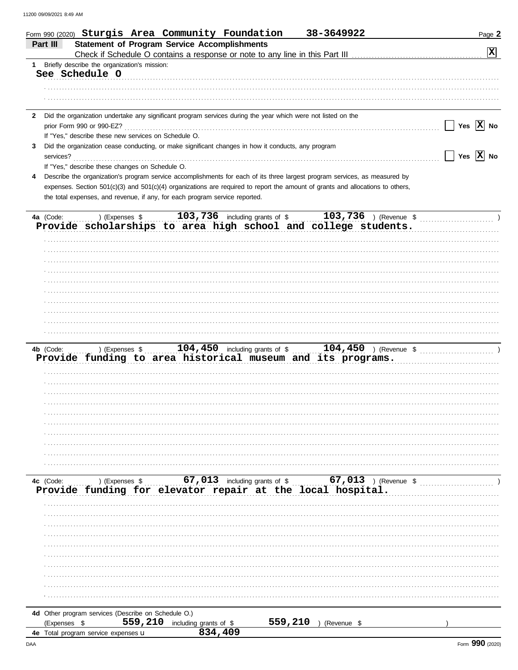|   | 38-3649922<br>Form 990 (2020) Sturgis Area Community Foundation                                                                        | Page 2                |
|---|----------------------------------------------------------------------------------------------------------------------------------------|-----------------------|
|   | <b>Statement of Program Service Accomplishments</b><br>Part III                                                                        |                       |
|   |                                                                                                                                        | X                     |
|   | 1 Briefly describe the organization's mission:                                                                                         |                       |
|   | See Schedule O                                                                                                                         |                       |
|   |                                                                                                                                        |                       |
|   |                                                                                                                                        |                       |
|   |                                                                                                                                        |                       |
|   | 2 Did the organization undertake any significant program services during the year which were not listed on the                         |                       |
|   | prior Form 990 or 990-EZ?                                                                                                              | Yes $ X $ No          |
|   | If "Yes," describe these new services on Schedule O.                                                                                   |                       |
| 3 | Did the organization cease conducting, or make significant changes in how it conducts, any program                                     |                       |
|   | services?                                                                                                                              | Yes $\overline{X}$ No |
|   | If "Yes," describe these changes on Schedule O.                                                                                        |                       |
|   | Describe the organization's program service accomplishments for each of its three largest program services, as measured by             |                       |
|   | expenses. Section 501(c)(3) and 501(c)(4) organizations are required to report the amount of grants and allocations to others,         |                       |
|   | the total expenses, and revenue, if any, for each program service reported.                                                            |                       |
|   |                                                                                                                                        |                       |
|   | 103,736 including grants of \$ 103,736 ) (Revenue \$<br>4a (Code:<br>) (Expenses \$                                                    |                       |
|   | Provide scholarships to area high school and college students.                                                                         |                       |
|   |                                                                                                                                        |                       |
|   |                                                                                                                                        |                       |
|   |                                                                                                                                        |                       |
|   |                                                                                                                                        |                       |
|   |                                                                                                                                        |                       |
|   |                                                                                                                                        |                       |
|   |                                                                                                                                        |                       |
|   |                                                                                                                                        |                       |
|   |                                                                                                                                        |                       |
|   |                                                                                                                                        |                       |
|   |                                                                                                                                        |                       |
|   | 104,450 including grants of \$ 104,450 ) (Revenue \$ 104,450 )<br>4b (Code:<br>) (Expenses \$                                          |                       |
|   | Provide funding to area historical museum and its programs.                                                                            |                       |
|   |                                                                                                                                        |                       |
|   |                                                                                                                                        |                       |
|   |                                                                                                                                        |                       |
|   |                                                                                                                                        |                       |
|   |                                                                                                                                        |                       |
|   |                                                                                                                                        |                       |
|   |                                                                                                                                        |                       |
|   |                                                                                                                                        |                       |
|   |                                                                                                                                        |                       |
|   |                                                                                                                                        |                       |
|   |                                                                                                                                        |                       |
|   | 4c (Code:                                                                                                                              |                       |
|   | Ic (Code: ) (Expenses \$ 67,013 including grants of \$ 67,013 ) (Revenue \$ Provide funding for elevator repair at the local hospital. |                       |
|   |                                                                                                                                        |                       |
|   |                                                                                                                                        |                       |
|   |                                                                                                                                        |                       |
|   |                                                                                                                                        |                       |
|   |                                                                                                                                        |                       |
|   |                                                                                                                                        |                       |
|   |                                                                                                                                        |                       |
|   |                                                                                                                                        |                       |
|   |                                                                                                                                        |                       |
|   |                                                                                                                                        |                       |
|   |                                                                                                                                        |                       |
|   | 4d Other program services (Describe on Schedule O.)                                                                                    |                       |
|   | 559, 210 including grants of \$<br>559, 210 ) (Revenue \$<br>(Expenses \$                                                              |                       |
|   | 834,409<br>4e Total program service expenses u                                                                                         |                       |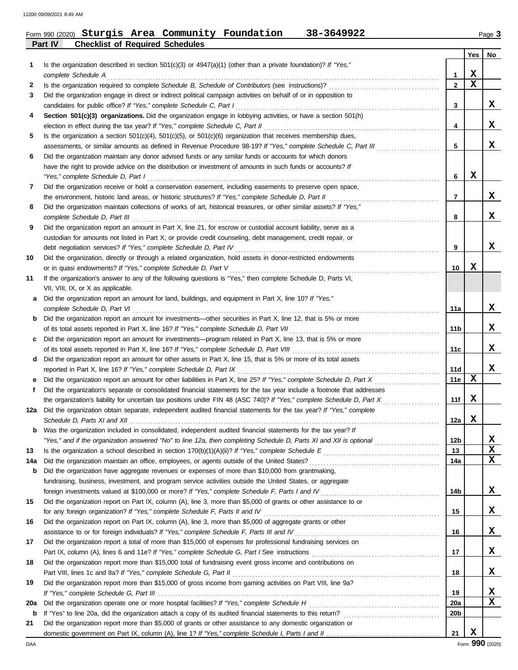**Part IV Checklist of Required Schedules**

# Form 990 (2020) Page **3 Sturgis Area Community Foundation 38-3649922**

|     |                                                                                                                                                                                                                           |                 | Yes | No |
|-----|---------------------------------------------------------------------------------------------------------------------------------------------------------------------------------------------------------------------------|-----------------|-----|----|
| 1   | Is the organization described in section $501(c)(3)$ or $4947(a)(1)$ (other than a private foundation)? If "Yes,"                                                                                                         |                 |     |    |
|     | complete Schedule A                                                                                                                                                                                                       | 1               | X.  |    |
| 2   |                                                                                                                                                                                                                           | $\mathbf{2}$    | X   |    |
| 3   | Did the organization engage in direct or indirect political campaign activities on behalf of or in opposition to                                                                                                          |                 |     |    |
|     | candidates for public office? If "Yes," complete Schedule C, Part I                                                                                                                                                       | 3               |     | X. |
| 4   | Section 501(c)(3) organizations. Did the organization engage in lobbying activities, or have a section 501(h)                                                                                                             |                 |     |    |
|     | election in effect during the tax year? If "Yes," complete Schedule C, Part II                                                                                                                                            | 4               |     | X. |
| 5   | Is the organization a section $501(c)(4)$ , $501(c)(5)$ , or $501(c)(6)$ organization that receives membership dues,                                                                                                      | 5               |     | x  |
|     | assessments, or similar amounts as defined in Revenue Procedure 98-19? If "Yes," complete Schedule C, Part III<br>Did the organization maintain any donor advised funds or any similar funds or accounts for which donors |                 |     |    |
| 6   | have the right to provide advice on the distribution or investment of amounts in such funds or accounts? If                                                                                                               |                 |     |    |
|     | "Yes," complete Schedule D, Part I                                                                                                                                                                                        | 6               | x   |    |
| 7   | Did the organization receive or hold a conservation easement, including easements to preserve open space,                                                                                                                 |                 |     |    |
|     |                                                                                                                                                                                                                           | 7               |     | X. |
| 8   | Did the organization maintain collections of works of art, historical treasures, or other similar assets? If "Yes,"                                                                                                       |                 |     |    |
|     | complete Schedule D, Part III                                                                                                                                                                                             | 8               |     | x  |
| 9   | Did the organization report an amount in Part X, line 21, for escrow or custodial account liability, serve as a                                                                                                           |                 |     |    |
|     | custodian for amounts not listed in Part X; or provide credit counseling, debt management, credit repair, or                                                                                                              |                 |     |    |
|     | debt negotiation services? If "Yes," complete Schedule D, Part IV                                                                                                                                                         | 9               |     | X. |
| 10  | Did the organization, directly or through a related organization, hold assets in donor-restricted endowments                                                                                                              |                 |     |    |
|     | or in quasi endowments? If "Yes," complete Schedule D, Part V                                                                                                                                                             | 10              | X.  |    |
| 11  | If the organization's answer to any of the following questions is "Yes," then complete Schedule D, Parts VI,                                                                                                              |                 |     |    |
|     | VII, VIII, IX, or X as applicable.                                                                                                                                                                                        |                 |     |    |
| a   | Did the organization report an amount for land, buildings, and equipment in Part X, line 10? If "Yes,"                                                                                                                    |                 |     |    |
|     | complete Schedule D, Part VI                                                                                                                                                                                              | 11a             |     | X. |
| b   | Did the organization report an amount for investments—other securities in Part X, line 12, that is 5% or more                                                                                                             |                 |     |    |
|     | of its total assets reported in Part X, line 16? If "Yes," complete Schedule D, Part VII                                                                                                                                  | 11b             |     | X. |
| c   | Did the organization report an amount for investments—program related in Part X, line 13, that is 5% or more                                                                                                              |                 |     |    |
|     | of its total assets reported in Part X, line 16? If "Yes," complete Schedule D, Part VIII                                                                                                                                 | 11c             |     | X. |
| d   | Did the organization report an amount for other assets in Part X, line 15, that is 5% or more of its total assets                                                                                                         |                 |     |    |
|     | reported in Part X, line 16? If "Yes," complete Schedule D, Part IX                                                                                                                                                       | <b>11d</b>      |     | X. |
| е   | Did the organization report an amount for other liabilities in Part X, line 25? If "Yes," complete Schedule D, Part X                                                                                                     | 11e             | x   |    |
| f   | Did the organization's separate or consolidated financial statements for the tax year include a footnote that addresses                                                                                                   |                 |     |    |
|     | the organization's liability for uncertain tax positions under FIN 48 (ASC 740)? If "Yes," complete Schedule D, Part X                                                                                                    | 11f             | X.  |    |
| 12a | Did the organization obtain separate, independent audited financial statements for the tax year? If "Yes," complete                                                                                                       |                 |     |    |
|     |                                                                                                                                                                                                                           | 12a             | x   |    |
|     | Was the organization included in consolidated, independent audited financial statements for the tax year? If                                                                                                              |                 |     |    |
|     | "Yes," and if the organization answered "No" to line 12a, then completing Schedule D, Parts XI and XII is optional                                                                                                        | 12 <sub>b</sub> |     | X  |
| 13  |                                                                                                                                                                                                                           | 13              |     | X  |
| 14a | Did the organization maintain an office, employees, or agents outside of the United States?                                                                                                                               | 14a             |     | x  |
| b   | Did the organization have aggregate revenues or expenses of more than \$10,000 from grantmaking,                                                                                                                          |                 |     |    |
|     | fundraising, business, investment, and program service activities outside the United States, or aggregate                                                                                                                 |                 |     |    |
|     |                                                                                                                                                                                                                           | 14b             |     | X. |
| 15  | Did the organization report on Part IX, column (A), line 3, more than \$5,000 of grants or other assistance to or                                                                                                         | 15              |     | X. |
| 16  | Did the organization report on Part IX, column (A), line 3, more than \$5,000 of aggregate grants or other                                                                                                                |                 |     |    |
|     | assistance to or for foreign individuals? If "Yes," complete Schedule F, Parts III and IV [[[[[[[[[[[[[[[[[[[                                                                                                             | 16              |     | X. |
| 17  | Did the organization report a total of more than \$15,000 of expenses for professional fundraising services on                                                                                                            |                 |     |    |
|     |                                                                                                                                                                                                                           | 17              |     | X. |
| 18  | Did the organization report more than \$15,000 total of fundraising event gross income and contributions on                                                                                                               |                 |     |    |
|     | Part VIII, lines 1c and 8a? If "Yes," complete Schedule G, Part II                                                                                                                                                        | 18              |     | X. |
| 19  | Did the organization report more than \$15,000 of gross income from gaming activities on Part VIII, line 9a?                                                                                                              |                 |     |    |
|     |                                                                                                                                                                                                                           | 19              |     | x  |
| 20a |                                                                                                                                                                                                                           | <b>20a</b>      |     | x  |
| b   |                                                                                                                                                                                                                           | 20 <sub>b</sub> |     |    |
| 21  | Did the organization report more than \$5,000 of grants or other assistance to any domestic organization or                                                                                                               |                 |     |    |
|     |                                                                                                                                                                                                                           | 21              | X   |    |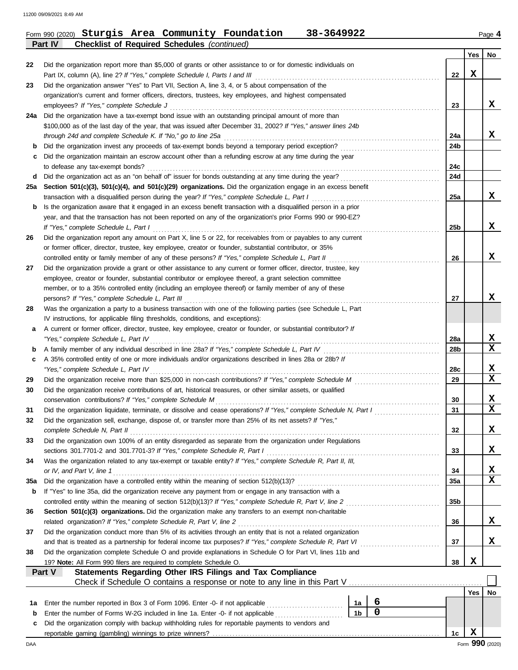# Form 990 (2020) Page **4 Sturgis Area Community Foundation 38-3649922 Part IV Checklist of Required Schedules** *(continued)*

|     |                                                                                                                                                                                 |                |                |  |            | Yes | No               |  |  |  |
|-----|---------------------------------------------------------------------------------------------------------------------------------------------------------------------------------|----------------|----------------|--|------------|-----|------------------|--|--|--|
| 22  | Did the organization report more than \$5,000 of grants or other assistance to or for domestic individuals on                                                                   |                |                |  |            |     |                  |  |  |  |
|     | Part IX, column (A), line 2? If "Yes," complete Schedule I, Parts I and III                                                                                                     |                |                |  | 22         | X   |                  |  |  |  |
| 23  | Did the organization answer "Yes" to Part VII, Section A, line 3, 4, or 5 about compensation of the                                                                             |                |                |  |            |     |                  |  |  |  |
|     | organization's current and former officers, directors, trustees, key employees, and highest compensated                                                                         |                |                |  |            |     |                  |  |  |  |
|     | employees? If "Yes," complete Schedule J                                                                                                                                        |                |                |  | 23         |     | x                |  |  |  |
| 24a | Did the organization have a tax-exempt bond issue with an outstanding principal amount of more than                                                                             |                |                |  |            |     |                  |  |  |  |
|     | \$100,000 as of the last day of the year, that was issued after December 31, 2002? If "Yes," answer lines 24b                                                                   |                |                |  |            |     | x                |  |  |  |
|     | through 24d and complete Schedule K. If "No," go to line 25a                                                                                                                    |                |                |  | 24a<br>24b |     |                  |  |  |  |
| b   | Did the organization maintain an escrow account other than a refunding escrow at any time during the year                                                                       |                |                |  |            |     |                  |  |  |  |
| c   | to defease any tax-exempt bonds?                                                                                                                                                |                |                |  | 24с        |     |                  |  |  |  |
| d   | Did the organization act as an "on behalf of" issuer for bonds outstanding at any time during the year?                                                                         |                |                |  | 24d        |     |                  |  |  |  |
| 25a | Section 501(c)(3), 501(c)(4), and 501(c)(29) organizations. Did the organization engage in an excess benefit                                                                    |                |                |  |            |     |                  |  |  |  |
|     | transaction with a disqualified person during the year? If "Yes," complete Schedule L, Part I                                                                                   |                |                |  | 25a        |     | x                |  |  |  |
| b   | Is the organization aware that it engaged in an excess benefit transaction with a disqualified person in a prior                                                                |                |                |  |            |     |                  |  |  |  |
|     | year, and that the transaction has not been reported on any of the organization's prior Forms 990 or 990-EZ?                                                                    |                |                |  |            |     |                  |  |  |  |
|     | If "Yes," complete Schedule L, Part I                                                                                                                                           |                |                |  | 25b        |     | x                |  |  |  |
| 26  | Did the organization report any amount on Part X, line 5 or 22, for receivables from or payables to any current                                                                 |                |                |  |            |     |                  |  |  |  |
|     | or former officer, director, trustee, key employee, creator or founder, substantial contributor, or 35%                                                                         |                |                |  |            |     |                  |  |  |  |
|     | controlled entity or family member of any of these persons? If "Yes," complete Schedule L, Part II                                                                              |                |                |  | 26         |     | x                |  |  |  |
| 27  | Did the organization provide a grant or other assistance to any current or former officer, director, trustee, key                                                               |                |                |  |            |     |                  |  |  |  |
|     | employee, creator or founder, substantial contributor or employee thereof, a grant selection committee                                                                          |                |                |  |            |     |                  |  |  |  |
|     | member, or to a 35% controlled entity (including an employee thereof) or family member of any of these                                                                          |                |                |  |            |     |                  |  |  |  |
|     | persons? If "Yes," complete Schedule L, Part III                                                                                                                                |                |                |  | 27         |     | x                |  |  |  |
| 28  | Was the organization a party to a business transaction with one of the following parties (see Schedule L, Part                                                                  |                |                |  |            |     |                  |  |  |  |
|     | IV instructions, for applicable filing thresholds, conditions, and exceptions):                                                                                                 |                |                |  |            |     |                  |  |  |  |
| а   | A current or former officer, director, trustee, key employee, creator or founder, or substantial contributor? If                                                                |                |                |  |            |     |                  |  |  |  |
|     | "Yes," complete Schedule L, Part IV                                                                                                                                             |                |                |  | 28a        |     | x                |  |  |  |
| b   |                                                                                                                                                                                 |                |                |  | 28b        |     | $\mathbf x$      |  |  |  |
| c   | A 35% controlled entity of one or more individuals and/or organizations described in lines 28a or 28b? If                                                                       |                |                |  |            |     |                  |  |  |  |
|     | "Yes," complete Schedule L, Part IV                                                                                                                                             |                |                |  | 28c        |     | X<br>$\mathbf x$ |  |  |  |
| 29  |                                                                                                                                                                                 |                |                |  | 29         |     |                  |  |  |  |
| 30  | Did the organization receive contributions of art, historical treasures, or other similar assets, or qualified                                                                  |                |                |  |            |     | x                |  |  |  |
| 31  | conservation contributions? If "Yes," complete Schedule M<br>Did the organization liquidate, terminate, or dissolve and cease operations? If "Yes," complete Schedule N, Part I |                |                |  | 30<br>31   |     | X                |  |  |  |
| 32  | Did the organization sell, exchange, dispose of, or transfer more than 25% of its net assets? If "Yes,"                                                                         |                |                |  |            |     |                  |  |  |  |
|     | complete Schedule N, Part II                                                                                                                                                    |                |                |  | 32         |     | X                |  |  |  |
| 33  | Did the organization own 100% of an entity disregarded as separate from the organization under Regulations                                                                      |                |                |  |            |     |                  |  |  |  |
|     | sections 301.7701-2 and 301.7701-3? If "Yes," complete Schedule R, Part I                                                                                                       |                |                |  | 33         |     | x                |  |  |  |
| 34  | Was the organization related to any tax-exempt or taxable entity? If "Yes," complete Schedule R, Part II, III,                                                                  |                |                |  |            |     |                  |  |  |  |
|     | or IV, and Part V, line 1                                                                                                                                                       |                |                |  | 34         |     | x                |  |  |  |
| 35a |                                                                                                                                                                                 |                |                |  | <b>35a</b> |     | $\mathbf x$      |  |  |  |
| b   | If "Yes" to line 35a, did the organization receive any payment from or engage in any transaction with a                                                                         |                |                |  |            |     |                  |  |  |  |
|     | controlled entity within the meaning of section 512(b)(13)? If "Yes," complete Schedule R, Part V, line 2                                                                       |                |                |  | 35b        |     |                  |  |  |  |
| 36  | Section 501(c)(3) organizations. Did the organization make any transfers to an exempt non-charitable                                                                            |                |                |  |            |     |                  |  |  |  |
|     | related organization? If "Yes," complete Schedule R, Part V, line 2                                                                                                             |                |                |  | 36         |     | x                |  |  |  |
| 37  | Did the organization conduct more than 5% of its activities through an entity that is not a related organization                                                                |                |                |  |            |     |                  |  |  |  |
|     | and that is treated as a partnership for federal income tax purposes? If "Yes," complete Schedule R, Part VI                                                                    |                |                |  | 37         |     | X                |  |  |  |
| 38  | Did the organization complete Schedule O and provide explanations in Schedule O for Part VI, lines 11b and                                                                      |                |                |  |            |     |                  |  |  |  |
|     | 19? Note: All Form 990 filers are required to complete Schedule O.                                                                                                              |                |                |  | 38         | X   |                  |  |  |  |
|     | Part V<br>Statements Regarding Other IRS Filings and Tax Compliance                                                                                                             |                |                |  |            |     |                  |  |  |  |
|     | Check if Schedule O contains a response or note to any line in this Part V [11] Check if Schedule O contains a response or note to any line in this Part V                      |                |                |  |            |     |                  |  |  |  |
|     |                                                                                                                                                                                 |                |                |  |            | Yes | No               |  |  |  |
| 1a  | Enter the number reported in Box 3 of Form 1096. Enter -0- if not applicable                                                                                                    | 1a             | 6<br>$\pmb{0}$ |  |            |     |                  |  |  |  |
| b   | Enter the number of Forms W-2G included in line 1a. Enter -0- if not applicable                                                                                                 | 1 <sub>b</sub> |                |  |            |     |                  |  |  |  |
| c   | Did the organization comply with backup withholding rules for reportable payments to vendors and                                                                                |                |                |  |            | X   |                  |  |  |  |
|     |                                                                                                                                                                                 |                |                |  | 1c         |     |                  |  |  |  |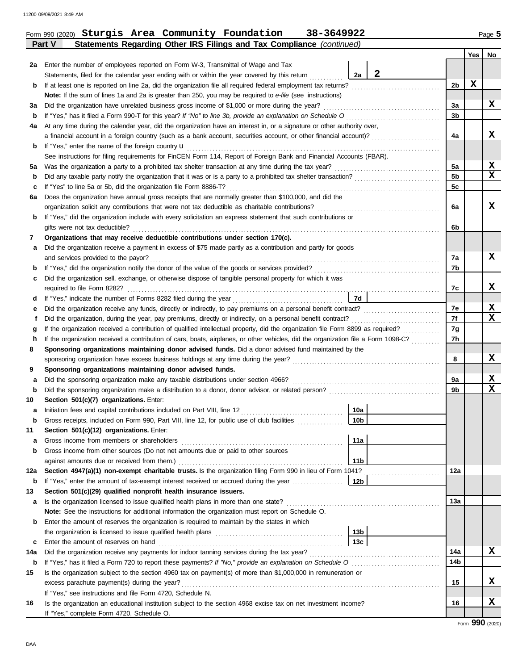Ī

|     |                                                                                                                                    |                 |              |                | <b>Yes</b>  | No          |
|-----|------------------------------------------------------------------------------------------------------------------------------------|-----------------|--------------|----------------|-------------|-------------|
| 2a  | Enter the number of employees reported on Form W-3, Transmittal of Wage and Tax                                                    |                 |              |                |             |             |
|     | Statements, filed for the calendar year ending with or within the year covered by this return                                      | 2a              | $\mathbf{2}$ |                |             |             |
| b   |                                                                                                                                    |                 |              | 2 <sub>b</sub> | $\mathbf x$ |             |
|     | Note: If the sum of lines 1a and 2a is greater than 250, you may be required to e-file (see instructions)                          |                 |              |                |             |             |
| За  | Did the organization have unrelated business gross income of \$1,000 or more during the year?                                      |                 |              | 3a             |             | X           |
| b   |                                                                                                                                    |                 |              | 3 <sub>b</sub> |             |             |
| 4a  | At any time during the calendar year, did the organization have an interest in, or a signature or other authority over,            |                 |              |                |             |             |
|     | a financial account in a foreign country (such as a bank account, securities account, or other financial account)?                 |                 |              | 4a             |             | x           |
| b   | If "Yes," enter the name of the foreign country <b>u</b>                                                                           |                 |              |                |             |             |
|     | See instructions for filing requirements for FinCEN Form 114, Report of Foreign Bank and Financial Accounts (FBAR).                |                 |              |                |             |             |
| 5a  |                                                                                                                                    |                 |              | 5a             |             | X           |
| b   |                                                                                                                                    |                 |              | 5 <sub>b</sub> |             | $\mathbf x$ |
| c   | If "Yes" to line 5a or 5b, did the organization file Form 8886-T?                                                                  |                 |              | 5c             |             |             |
| 6a  | Does the organization have annual gross receipts that are normally greater than \$100,000, and did the                             |                 |              |                |             |             |
|     |                                                                                                                                    |                 |              | 6a             |             | x           |
| b   | If "Yes," did the organization include with every solicitation an express statement that such contributions or                     |                 |              |                |             |             |
|     | gifts were not tax deductible?                                                                                                     |                 |              | 6b             |             |             |
| 7   | Organizations that may receive deductible contributions under section 170(c).                                                      |                 |              |                |             |             |
| а   | Did the organization receive a payment in excess of \$75 made partly as a contribution and partly for goods                        |                 |              |                |             |             |
|     |                                                                                                                                    |                 |              | 7a             |             | X           |
| b   |                                                                                                                                    |                 |              | 7b             |             |             |
| c   | Did the organization sell, exchange, or otherwise dispose of tangible personal property for which it was                           |                 |              |                |             |             |
|     |                                                                                                                                    |                 |              | 7c             |             | X           |
| d   |                                                                                                                                    | 7d              |              |                |             |             |
| е   |                                                                                                                                    |                 |              | 7e             |             | X           |
| f   |                                                                                                                                    |                 |              | 7f             |             | X           |
| g   |                                                                                                                                    |                 |              | 7g             |             |             |
| h   | If the organization received a contribution of cars, boats, airplanes, or other vehicles, did the organization file a Form 1098-C? |                 |              | 7h             |             |             |
| 8   | Sponsoring organizations maintaining donor advised funds. Did a donor advised fund maintained by the                               |                 |              |                |             |             |
|     |                                                                                                                                    |                 |              | 8              |             | X           |
| 9   | Sponsoring organizations maintaining donor advised funds.                                                                          |                 |              |                |             |             |
| а   | Did the sponsoring organization make any taxable distributions under section 4966?                                                 |                 |              | 9a             |             | х           |
| b   |                                                                                                                                    |                 |              | 9b             |             | $\mathbf x$ |
| 10  | Section 501(c)(7) organizations. Enter:                                                                                            |                 |              |                |             |             |
| а   |                                                                                                                                    | 10a             |              |                |             |             |
| b   | Gross receipts, included on Form 990, Part VIII, line 12, for public use of club facilities                                        | 10 <sub>b</sub> |              |                |             |             |
| 11  | Section 501(c)(12) organizations. Enter:                                                                                           |                 |              |                |             |             |
| а   | Gross income from members or shareholders                                                                                          | 11a             |              |                |             |             |
| b   | Gross income from other sources (Do not net amounts due or paid to other sources                                                   |                 |              |                |             |             |
|     |                                                                                                                                    | 11 <sub>b</sub> |              |                |             |             |
| 12a | Section 4947(a)(1) non-exempt charitable trusts. Is the organization filing Form 990 in lieu of Form 1041?                         |                 |              | 12a            |             |             |
| b   | If "Yes," enter the amount of tax-exempt interest received or accrued during the year                                              | 12b             |              |                |             |             |
| 13  | Section 501(c)(29) qualified nonprofit health insurance issuers.                                                                   |                 |              |                |             |             |
| a   |                                                                                                                                    |                 |              | 13a            |             |             |
|     | Note: See the instructions for additional information the organization must report on Schedule O.                                  |                 |              |                |             |             |
| b   | Enter the amount of reserves the organization is required to maintain by the states in which                                       |                 |              |                |             |             |
|     |                                                                                                                                    | 13 <sub>b</sub> |              |                |             |             |
| c   | Enter the amount of reserves on hand                                                                                               | 13c             |              |                |             |             |
| 14a |                                                                                                                                    |                 |              | 14a            |             | X           |
| b   |                                                                                                                                    |                 |              | 14b            |             |             |
| 15  | Is the organization subject to the section 4960 tax on payment(s) of more than \$1,000,000 in remuneration or                      |                 |              |                |             |             |
|     |                                                                                                                                    |                 |              | 15             |             | X           |
|     | If "Yes," see instructions and file Form 4720, Schedule N.                                                                         |                 |              |                |             |             |
| 16  | Is the organization an educational institution subject to the section 4968 excise tax on net investment income?                    |                 |              | 16             |             | X           |

**Part V Statements Regarding Other IRS Filings and Tax Compliance** *(continued)* Form 990 (2020) Page **5 Sturgis Area Community Foundation 38-3649922**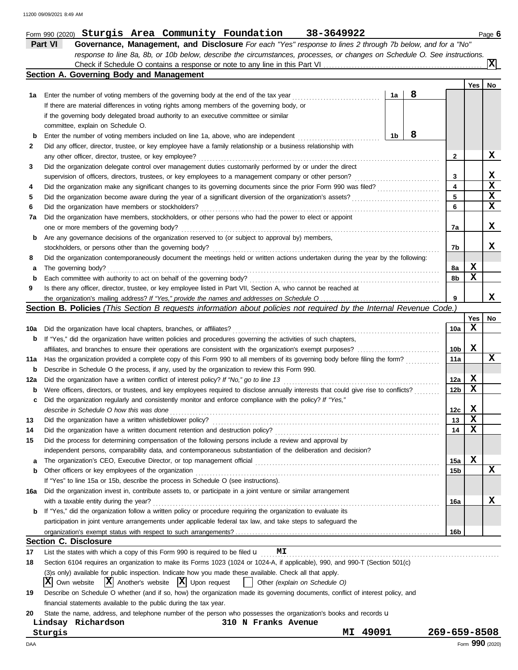|        | Part VI<br>Governance, Management, and Disclosure For each "Yes" response to lines 2 through 7b below, and for a "No"               |          |   |                        |             |                          |
|--------|-------------------------------------------------------------------------------------------------------------------------------------|----------|---|------------------------|-------------|--------------------------|
|        | response to line 8a, 8b, or 10b below, describe the circumstances, processes, or changes on Schedule O. See instructions.           |          |   |                        |             |                          |
|        | Section A. Governing Body and Management                                                                                            |          |   |                        |             | $\vert \mathbf{x} \vert$ |
|        |                                                                                                                                     |          |   |                        | <b>Yes</b>  | No                       |
| 1а     | Enter the number of voting members of the governing body at the end of the tax year                                                 | 1a       | 8 |                        |             |                          |
|        | If there are material differences in voting rights among members of the governing body, or                                          |          |   |                        |             |                          |
|        | if the governing body delegated broad authority to an executive committee or similar                                                |          |   |                        |             |                          |
|        | committee, explain on Schedule O.                                                                                                   |          |   |                        |             |                          |
| b      | Enter the number of voting members included on line 1a, above, who are independent                                                  | 1b       | 8 |                        |             |                          |
| 2      | Did any officer, director, trustee, or key employee have a family relationship or a business relationship with                      |          |   |                        |             |                          |
|        | any other officer, director, trustee, or key employee?                                                                              |          |   | 2                      |             | X                        |
| 3      | Did the organization delegate control over management duties customarily performed by or under the direct                           |          |   |                        |             |                          |
|        | supervision of officers, directors, trustees, or key employees to a management company or other person?                             |          |   | 3                      |             | x                        |
| 4      |                                                                                                                                     |          |   | 4                      |             | $\overline{\mathbf{x}}$  |
| 5      |                                                                                                                                     |          |   | 5                      |             | $\mathbf x$              |
| 6      | Did the organization have members or stockholders?                                                                                  |          |   | 6                      |             | $\mathbf x$              |
| 7a     | Did the organization have members, stockholders, or other persons who had the power to elect or appoint                             |          |   |                        |             |                          |
|        | one or more members of the governing body?                                                                                          |          |   | 7а                     |             | X                        |
| b      | Are any governance decisions of the organization reserved to (or subject to approval by) members,                                   |          |   |                        |             |                          |
|        | stockholders, or persons other than the governing body?                                                                             |          |   | 7b                     |             | X.                       |
| 8      | Did the organization contemporaneously document the meetings held or written actions undertaken during the year by the following:   |          |   |                        |             |                          |
|        | The governing body?                                                                                                                 |          |   | 8а                     | X           |                          |
| а<br>b | Each committee with authority to act on behalf of the governing body?                                                               |          |   | 8b                     | X           |                          |
| 9      | Is there any officer, director, trustee, or key employee listed in Part VII, Section A, who cannot be reached at                    |          |   |                        |             |                          |
|        |                                                                                                                                     |          |   | 9                      |             | x                        |
|        | Section B. Policies (This Section B requests information about policies not required by the Internal Revenue Code.)                 |          |   |                        |             |                          |
|        |                                                                                                                                     |          |   |                        | <b>Yes</b>  | No                       |
| 10a    | Did the organization have local chapters, branches, or affiliates?                                                                  |          |   | 10a                    | X           |                          |
| b      | If "Yes," did the organization have written policies and procedures governing the activities of such chapters,                      |          |   |                        |             |                          |
|        |                                                                                                                                     |          |   | 10b                    | X           |                          |
| 11a    | Has the organization provided a complete copy of this Form 990 to all members of its governing body before filing the form?         |          |   | 11a                    |             | x                        |
| b      | Describe in Schedule O the process, if any, used by the organization to review this Form 990.                                       |          |   |                        |             |                          |
| 12a    | Did the organization have a written conflict of interest policy? If "No," go to line 13                                             |          |   | 12a                    | x           |                          |
|        | Were officers, directors, or trustees, and key employees required to disclose annually interests that could give rise to conflicts? |          |   | 12 <sub>b</sub>        | $\mathbf x$ |                          |
| b      | Did the organization regularly and consistently monitor and enforce compliance with the policy? If "Yes,"                           |          |   |                        |             |                          |
| c      |                                                                                                                                     |          |   |                        | X           |                          |
|        | describe in Schedule O how this was done<br>Did the organization have a written whistleblower policy?                               |          |   | 12c<br>13              | X           |                          |
|        |                                                                                                                                     |          |   |                        | $\mathbf x$ |                          |
| 14     |                                                                                                                                     |          |   | 14                     |             |                          |
| 15     | Did the process for determining compensation of the following persons include a review and approval by                              |          |   |                        |             |                          |
|        | independent persons, comparability data, and contemporaneous substantiation of the deliberation and decision?                       |          |   |                        | $\mathbf x$ |                          |
| а      | Other officers or key employees of the organization                                                                                 |          |   | 15a<br>15 <sub>b</sub> |             | X                        |
| b      | If "Yes" to line 15a or 15b, describe the process in Schedule O (see instructions).                                                 |          |   |                        |             |                          |
|        |                                                                                                                                     |          |   |                        |             |                          |
| 16a    | Did the organization invest in, contribute assets to, or participate in a joint venture or similar arrangement                      |          |   |                        |             |                          |
|        | with a taxable entity during the year?                                                                                              |          |   | 16a                    |             | x                        |
| b      | If "Yes," did the organization follow a written policy or procedure requiring the organization to evaluate its                      |          |   |                        |             |                          |
|        | participation in joint venture arrangements under applicable federal tax law, and take steps to safeguard the                       |          |   |                        |             |                          |
|        |                                                                                                                                     |          |   | 16b                    |             |                          |
|        | <b>Section C. Disclosure</b>                                                                                                        |          |   |                        |             |                          |
| 17     | List the states with which a copy of this Form 990 is required to be filed $\mathbf{u}$ MI                                          |          |   |                        |             |                          |
| 18     | Section 6104 requires an organization to make its Forms 1023 (1024 or 1024-A, if applicable), 990, and 990-T (Section 501(c)        |          |   |                        |             |                          |
|        | (3)s only) available for public inspection. Indicate how you made these available. Check all that apply.                            |          |   |                        |             |                          |
|        | Own website $\mathbf{X}$ Another's website $\mathbf{X}$ Upon request<br>IХI<br>Other (explain on Schedule O)<br>$\mathbf{1}$        |          |   |                        |             |                          |
| 19     | Describe on Schedule O whether (and if so, how) the organization made its governing documents, conflict of interest policy, and     |          |   |                        |             |                          |
|        | financial statements available to the public during the tax year.                                                                   |          |   |                        |             |                          |
| 20     | State the name, address, and telephone number of the person who possesses the organization's books and records u                    |          |   |                        |             |                          |
|        | Lindsay Richardson<br>310 N Franks Avenue                                                                                           |          |   |                        |             |                          |
|        | Sturgis                                                                                                                             | MI 49091 |   | 269-659-8508           |             |                          |
| DAA    |                                                                                                                                     |          |   |                        |             | Form 990 (2020)          |

Form 990 (2020) **Sturgis Area Community Foundation** 38-3649922 Page 6

**Sturgis Area Community Foundation 38-3649922**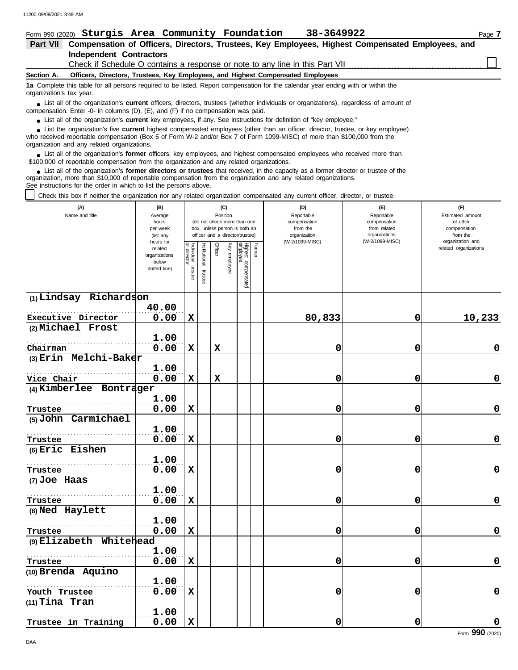| Form 990 (2020) Sturgis Area Community Foundation<br>38-3649922                                                                                                                                                                            | Page 7 |  |  |  |  |  |  |  |  |  |  |
|--------------------------------------------------------------------------------------------------------------------------------------------------------------------------------------------------------------------------------------------|--------|--|--|--|--|--|--|--|--|--|--|
| Compensation of Officers, Directors, Trustees, Key Employees, Highest Compensated Employees, and<br><b>Part VII</b>                                                                                                                        |        |  |  |  |  |  |  |  |  |  |  |
| <b>Independent Contractors</b>                                                                                                                                                                                                             |        |  |  |  |  |  |  |  |  |  |  |
|                                                                                                                                                                                                                                            |        |  |  |  |  |  |  |  |  |  |  |
| Officers, Directors, Trustees, Key Employees, and Highest Compensated Employees<br>Section A.                                                                                                                                              |        |  |  |  |  |  |  |  |  |  |  |
| 1a Complete this table for all persons required to be listed. Report compensation for the calendar year ending with or within the<br>organization's tax year.                                                                              |        |  |  |  |  |  |  |  |  |  |  |
| • List all of the organization's <b>current</b> officers, directors, trustees (whether individuals or organizations), regardless of amount of<br>compensation. Enter -0- in columns $(D)$ , $(E)$ , and $(F)$ if no compensation was paid. |        |  |  |  |  |  |  |  |  |  |  |
| • List all of the organization's current key employees, if any. See instructions for definition of "key employee."                                                                                                                         |        |  |  |  |  |  |  |  |  |  |  |
| • List the organization's five current highest compensated employees (other than an officer, director, trustee, or key employee)                                                                                                           |        |  |  |  |  |  |  |  |  |  |  |

who received reportable compensation (Box 5 of Form W-2 and/or Box 7 of Form 1099-MISC) of more than \$100,000 from the organization and any related organizations. **•**

■ List all of the organization's **former** officers, key employees, and highest compensated employees who received more than<br> **•** 00.000 of reportable compensation from the examization and any related erganizations \$100,000 of reportable compensation from the organization and any related organizations.

List all of the organization's **former directors or trustees** that received, in the capacity as a former director or trustee of the ● List all of the organization's **former directors or trustees** that received, in the capacity as a former director organization, more than \$10,000 of reportable compensation from the organization and any related organiza See instructions for the order in which to list the persons above.

Check this box if neither the organization nor any related organization compensated any current officer, director, or trustee.

| (A)<br>Name and title        | (B)<br>Average                 |                           |               | Position    | (C)      |                                                                                                 |        | (D)<br>Reportable                        | (E)<br>Reportable                             | (F)<br>Estimated amount                   |
|------------------------------|--------------------------------|---------------------------|---------------|-------------|----------|-------------------------------------------------------------------------------------------------|--------|------------------------------------------|-----------------------------------------------|-------------------------------------------|
|                              | hours<br>per week<br>(list any |                           |               |             |          | (do not check more than one<br>box, unless person is both an<br>officer and a director/trustee) |        | compensation<br>from the<br>organization | compensation<br>from related<br>organizations | of other<br>compensation<br>from the      |
|                              | hours for<br>related           |                           |               | Officer     | Ķey      |                                                                                                 | Former | (W-2/1099-MISC)                          | (W-2/1099-MISC)                               | organization and<br>related organizations |
|                              | organizations<br>below         | Individual<br>or director | Institutional |             | enployee |                                                                                                 |        |                                          |                                               |                                           |
|                              | dotted line)                   | trustee                   | trustee       |             |          | Highest compensated<br>employee                                                                 |        |                                          |                                               |                                           |
| (1) Lindsay Richardson       |                                |                           |               |             |          |                                                                                                 |        |                                          |                                               |                                           |
|                              | 40.00                          |                           |               |             |          |                                                                                                 |        |                                          |                                               |                                           |
| Executive Director           | 0.00                           | X                         |               |             |          |                                                                                                 |        | 80,833                                   | 0                                             | 10,233                                    |
| (2) Michael Frost            | 1.00                           |                           |               |             |          |                                                                                                 |        |                                          |                                               |                                           |
| Chairman                     | 0.00                           | X                         |               | $\mathbf x$ |          |                                                                                                 |        | 0                                        | 0                                             | $\mathbf 0$                               |
| (3) Erin Melchi-Baker        |                                |                           |               |             |          |                                                                                                 |        |                                          |                                               |                                           |
|                              | 1.00                           |                           |               |             |          |                                                                                                 |        |                                          |                                               |                                           |
| Vice Chair                   | 0.00                           | $\mathbf x$               |               | $\mathbf x$ |          |                                                                                                 |        | 0                                        | 0                                             | $\mathbf 0$                               |
| (4) Kimberlee Bontrager      |                                |                           |               |             |          |                                                                                                 |        |                                          |                                               |                                           |
|                              | 1.00                           |                           |               |             |          |                                                                                                 |        |                                          |                                               |                                           |
| Trustee                      | 0.00                           | $\mathbf x$               |               |             |          |                                                                                                 |        | 0                                        | 0                                             | 0                                         |
| (5) John Carmichael          |                                |                           |               |             |          |                                                                                                 |        |                                          |                                               |                                           |
|                              | 1.00                           |                           |               |             |          |                                                                                                 |        |                                          |                                               |                                           |
| Trustee<br>$(6)$ Eric Eishen | 0.00                           | X                         |               |             |          |                                                                                                 |        | 0                                        | 0                                             | $\mathbf 0$                               |
|                              | 1.00                           |                           |               |             |          |                                                                                                 |        |                                          |                                               |                                           |
| Trustee                      | 0.00                           | $\mathbf x$               |               |             |          |                                                                                                 |        | 0                                        | 0                                             | 0                                         |
| (7) Joe Haas                 |                                |                           |               |             |          |                                                                                                 |        |                                          |                                               |                                           |
|                              | 1.00                           |                           |               |             |          |                                                                                                 |        |                                          |                                               |                                           |
| Trustee                      | 0.00                           | $\mathbf x$               |               |             |          |                                                                                                 |        | 0                                        | 0                                             | 0                                         |
| (8) Ned Haylett              |                                |                           |               |             |          |                                                                                                 |        |                                          |                                               |                                           |
|                              | 1.00                           |                           |               |             |          |                                                                                                 |        |                                          |                                               |                                           |
| Trustee                      | 0.00                           | $\mathbf x$               |               |             |          |                                                                                                 |        | 0                                        | 0                                             | $\mathbf 0$                               |
| (9) Elizabeth Whitehead      |                                |                           |               |             |          |                                                                                                 |        |                                          |                                               |                                           |
|                              | 1.00                           |                           |               |             |          |                                                                                                 |        |                                          |                                               |                                           |
| Trustee                      | 0.00                           | X                         |               |             |          |                                                                                                 |        | 0                                        | 0                                             | 0                                         |
| (10) Brenda Aquino           | 1.00                           |                           |               |             |          |                                                                                                 |        |                                          |                                               |                                           |
| Youth Trustee                | 0.00                           | $\mathbf x$               |               |             |          |                                                                                                 |        | 0                                        | 0                                             | 0                                         |
| $(11)$ Tina Tran             |                                |                           |               |             |          |                                                                                                 |        |                                          |                                               |                                           |
|                              | 1.00                           |                           |               |             |          |                                                                                                 |        |                                          |                                               |                                           |
| Trustee in Training          | 0.00                           | $\mathbf x$               |               |             |          |                                                                                                 |        | 0                                        | 0                                             | 0                                         |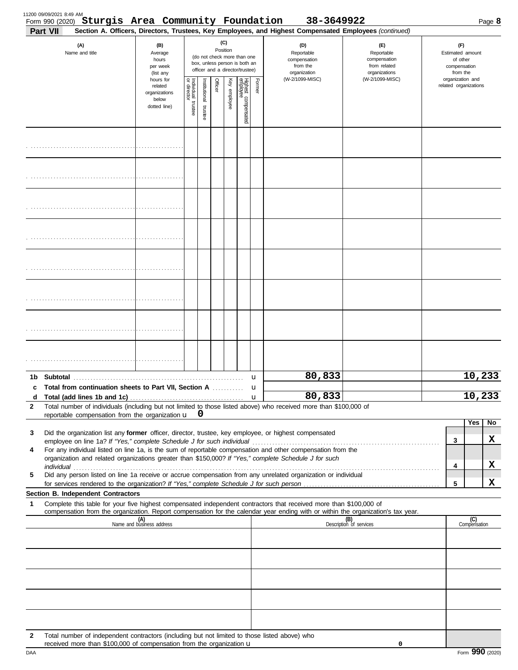|                        | Form 990 (2020) Sturgis Area Community Foundation<br>Part VII                                                                                                                                                                                                                                                                                                                                                                  |                                                                             |                                                                                                                    |                          |         |              |                                 |                  | 38-3649922<br>Section A. Officers, Directors, Trustees, Key Employees, and Highest Compensated Employees (continued) |                                                                    |              |                                                       | Page 8              |
|------------------------|--------------------------------------------------------------------------------------------------------------------------------------------------------------------------------------------------------------------------------------------------------------------------------------------------------------------------------------------------------------------------------------------------------------------------------|-----------------------------------------------------------------------------|--------------------------------------------------------------------------------------------------------------------|--------------------------|---------|--------------|---------------------------------|------------------|----------------------------------------------------------------------------------------------------------------------|--------------------------------------------------------------------|--------------|-------------------------------------------------------|---------------------|
|                        | (A)<br>Name and title                                                                                                                                                                                                                                                                                                                                                                                                          | (B)<br>Average<br>hours<br>per week                                         | (C)<br>Position<br>(do not check more than one<br>box, unless person is both an<br>officer and a director/trustee) |                          |         |              |                                 |                  | (D)<br>Reportable<br>compensation<br>from the<br>organization                                                        | (E)<br>Reportable<br>compensation<br>from related<br>organizations | compensation | Estimated amount                                      |                     |
|                        |                                                                                                                                                                                                                                                                                                                                                                                                                                | (list any<br>hours for<br>related<br>organizations<br>below<br>dotted line) | Individual<br>or director<br>trustee                                                                               | Institutional<br>trustee | Officer | Key employee | Highest compensated<br>employee | Former           | (W-2/1099-MISC)                                                                                                      | (W-2/1099-MISC)                                                    |              | from the<br>organization and<br>related organizations |                     |
|                        |                                                                                                                                                                                                                                                                                                                                                                                                                                |                                                                             |                                                                                                                    |                          |         |              |                                 |                  |                                                                                                                      |                                                                    |              |                                                       |                     |
|                        |                                                                                                                                                                                                                                                                                                                                                                                                                                |                                                                             |                                                                                                                    |                          |         |              |                                 |                  |                                                                                                                      |                                                                    |              |                                                       |                     |
|                        |                                                                                                                                                                                                                                                                                                                                                                                                                                |                                                                             |                                                                                                                    |                          |         |              |                                 |                  |                                                                                                                      |                                                                    |              |                                                       |                     |
|                        |                                                                                                                                                                                                                                                                                                                                                                                                                                |                                                                             |                                                                                                                    |                          |         |              |                                 |                  |                                                                                                                      |                                                                    |              |                                                       |                     |
|                        |                                                                                                                                                                                                                                                                                                                                                                                                                                |                                                                             |                                                                                                                    |                          |         |              |                                 |                  |                                                                                                                      |                                                                    |              |                                                       |                     |
|                        |                                                                                                                                                                                                                                                                                                                                                                                                                                |                                                                             |                                                                                                                    |                          |         |              |                                 |                  |                                                                                                                      |                                                                    |              |                                                       |                     |
|                        |                                                                                                                                                                                                                                                                                                                                                                                                                                |                                                                             |                                                                                                                    |                          |         |              |                                 |                  |                                                                                                                      |                                                                    |              |                                                       |                     |
|                        |                                                                                                                                                                                                                                                                                                                                                                                                                                |                                                                             |                                                                                                                    |                          |         |              |                                 |                  |                                                                                                                      |                                                                    |              |                                                       |                     |
|                        |                                                                                                                                                                                                                                                                                                                                                                                                                                |                                                                             |                                                                                                                    |                          |         |              |                                 | u                | 80,833                                                                                                               |                                                                    |              |                                                       | 10,233              |
| c<br>d<br>$\mathbf{2}$ | Total from continuation sheets to Part VII, Section A<br>Total number of individuals (including but not limited to those listed above) who received more than \$100,000 of                                                                                                                                                                                                                                                     |                                                                             |                                                                                                                    |                          |         |              |                                 | u<br>$\mathbf u$ | 80,833                                                                                                               |                                                                    |              |                                                       | 10,233              |
|                        | reportable compensation from the organization $\mathbf{u}$ $\mathbf{0}$                                                                                                                                                                                                                                                                                                                                                        |                                                                             |                                                                                                                    |                          |         |              |                                 |                  |                                                                                                                      |                                                                    |              |                                                       | Yes<br>No           |
| 3                      | Did the organization list any former officer, director, trustee, key employee, or highest compensated                                                                                                                                                                                                                                                                                                                          |                                                                             |                                                                                                                    |                          |         |              |                                 |                  |                                                                                                                      |                                                                    |              | 3                                                     | X                   |
| 4                      | employee on line 1a? If "Yes," complete Schedule J for such individual manufactured content to the succession of the set of the employee on line 1a? If "Yes," complete Schedule J for such individual<br>For any individual listed on line 1a, is the sum of reportable compensation and other compensation from the<br>organization and related organizations greater than \$150,000? If "Yes," complete Schedule J for such |                                                                             |                                                                                                                    |                          |         |              |                                 |                  |                                                                                                                      |                                                                    |              |                                                       | X                   |
| 5                      | Did any person listed on line 1a receive or accrue compensation from any unrelated organization or individual                                                                                                                                                                                                                                                                                                                  |                                                                             |                                                                                                                    |                          |         |              |                                 |                  |                                                                                                                      |                                                                    |              | 4                                                     |                     |
|                        | Section B. Independent Contractors                                                                                                                                                                                                                                                                                                                                                                                             |                                                                             |                                                                                                                    |                          |         |              |                                 |                  |                                                                                                                      |                                                                    |              | 5                                                     | X                   |
| 1                      | Complete this table for your five highest compensated independent contractors that received more than \$100,000 of<br>compensation from the organization. Report compensation for the calendar year ending with or within the organization's tax year.                                                                                                                                                                         |                                                                             |                                                                                                                    |                          |         |              |                                 |                  |                                                                                                                      |                                                                    |              |                                                       |                     |
|                        |                                                                                                                                                                                                                                                                                                                                                                                                                                | (A)<br>Name and business address                                            |                                                                                                                    |                          |         |              |                                 |                  |                                                                                                                      | (B)<br>Description of services                                     |              |                                                       | (C)<br>Compensation |
|                        |                                                                                                                                                                                                                                                                                                                                                                                                                                |                                                                             |                                                                                                                    |                          |         |              |                                 |                  |                                                                                                                      |                                                                    |              |                                                       |                     |
|                        |                                                                                                                                                                                                                                                                                                                                                                                                                                |                                                                             |                                                                                                                    |                          |         |              |                                 |                  |                                                                                                                      |                                                                    |              |                                                       |                     |
|                        |                                                                                                                                                                                                                                                                                                                                                                                                                                |                                                                             |                                                                                                                    |                          |         |              |                                 |                  |                                                                                                                      |                                                                    |              |                                                       |                     |
|                        |                                                                                                                                                                                                                                                                                                                                                                                                                                |                                                                             |                                                                                                                    |                          |         |              |                                 |                  |                                                                                                                      |                                                                    |              |                                                       |                     |
| $\mathbf{2}$           | Total number of independent contractors (including but not limited to those listed above) who<br>received more than \$100,000 of compensation from the organization u                                                                                                                                                                                                                                                          |                                                                             |                                                                                                                    |                          |         |              |                                 |                  |                                                                                                                      | 0                                                                  |              |                                                       |                     |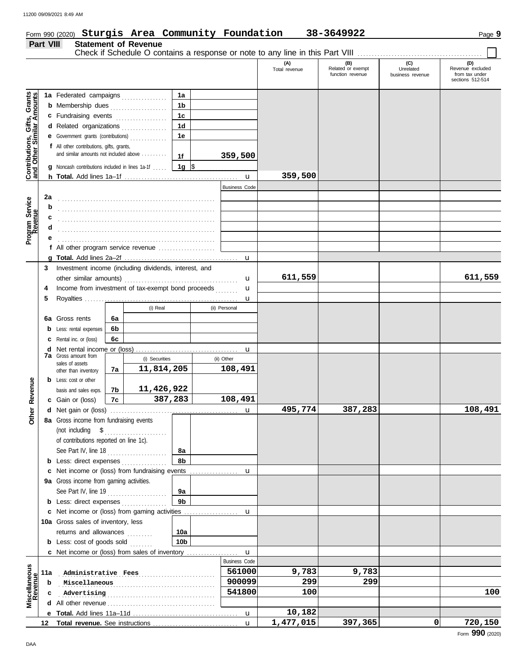### Form 990 (2020) **Sturgis Area Community Foundation** 38-3649922 Page 9 Page 9

|                                                                  | Part VIII |                                                                                           |    | <b>Statement of Revenue</b> |                 |                      | Check if Schedule O contains a response or note to any line in this Part VIII |                                              |                                      |                                                               |
|------------------------------------------------------------------|-----------|-------------------------------------------------------------------------------------------|----|-----------------------------|-----------------|----------------------|-------------------------------------------------------------------------------|----------------------------------------------|--------------------------------------|---------------------------------------------------------------|
|                                                                  |           |                                                                                           |    |                             |                 |                      | (A)<br>Total revenue                                                          | (B)<br>Related or exempt<br>function revenue | (C)<br>Unrelated<br>business revenue | (D)<br>Revenue excluded<br>from tax under<br>sections 512-514 |
|                                                                  |           | 1a Federated campaigns                                                                    |    |                             | 1a              |                      |                                                                               |                                              |                                      |                                                               |
| <b>Contributions, Gifts, Grants</b><br>and Other Similar Amounts |           | <b>b</b> Membership dues                                                                  |    |                             | 1b              |                      |                                                                               |                                              |                                      |                                                               |
|                                                                  |           | c Fundraising events                                                                      |    |                             | 1 <sub>c</sub>  |                      |                                                                               |                                              |                                      |                                                               |
|                                                                  |           | d Related organizations                                                                   |    |                             | 1 <sub>d</sub>  |                      |                                                                               |                                              |                                      |                                                               |
|                                                                  |           | e Government grants (contributions)                                                       |    |                             | 1e              |                      |                                                                               |                                              |                                      |                                                               |
|                                                                  |           | f All other contributions, gifts, grants,                                                 |    |                             |                 |                      |                                                                               |                                              |                                      |                                                               |
|                                                                  |           | and similar amounts not included above                                                    |    |                             | 1f              | 359,500              |                                                                               |                                              |                                      |                                                               |
|                                                                  |           | <b>g</b> Noncash contributions included in lines 1a-1f                                    |    |                             | 1g  \$          |                      |                                                                               |                                              |                                      |                                                               |
|                                                                  |           |                                                                                           |    |                             |                 | $\mathbf{u}$         | 359,500                                                                       |                                              |                                      |                                                               |
|                                                                  |           |                                                                                           |    |                             |                 | <b>Business Code</b> |                                                                               |                                              |                                      |                                                               |
|                                                                  | 2a        |                                                                                           |    |                             |                 |                      |                                                                               |                                              |                                      |                                                               |
|                                                                  | b         |                                                                                           |    |                             |                 |                      |                                                                               |                                              |                                      |                                                               |
|                                                                  | c         |                                                                                           |    |                             |                 |                      |                                                                               |                                              |                                      |                                                               |
| Program Service<br>Revenue                                       | d         |                                                                                           |    |                             |                 |                      |                                                                               |                                              |                                      |                                                               |
|                                                                  |           |                                                                                           |    |                             |                 |                      |                                                                               |                                              |                                      |                                                               |
|                                                                  |           | f All other program service revenue                                                       |    |                             |                 |                      |                                                                               |                                              |                                      |                                                               |
|                                                                  |           |                                                                                           |    |                             |                 | u                    |                                                                               |                                              |                                      |                                                               |
|                                                                  | 3         | Investment income (including dividends, interest, and                                     |    |                             |                 |                      |                                                                               |                                              |                                      |                                                               |
|                                                                  |           | Income from investment of tax-exempt bond proceeds                                        |    |                             |                 | u                    | 611,559                                                                       |                                              |                                      | 611,559                                                       |
|                                                                  | 4<br>5    |                                                                                           |    |                             |                 | u                    |                                                                               |                                              |                                      |                                                               |
|                                                                  |           |                                                                                           |    | (i) Real                    |                 | u<br>(ii) Personal   |                                                                               |                                              |                                      |                                                               |
|                                                                  | 6а        | Gross rents                                                                               | 6a |                             |                 |                      |                                                                               |                                              |                                      |                                                               |
|                                                                  | b         | Less: rental expenses                                                                     | 6b |                             |                 |                      |                                                                               |                                              |                                      |                                                               |
|                                                                  | c         | Rental inc. or (loss)                                                                     | 6c |                             |                 |                      |                                                                               |                                              |                                      |                                                               |
|                                                                  | d         |                                                                                           |    |                             |                 | u                    |                                                                               |                                              |                                      |                                                               |
|                                                                  |           | <b>7a</b> Gross amount from                                                               |    | (i) Securities              |                 | (ii) Other           |                                                                               |                                              |                                      |                                                               |
|                                                                  |           | sales of assets<br>other than inventory                                                   | 7a | 11,814,205                  |                 | 108,491              |                                                                               |                                              |                                      |                                                               |
|                                                                  |           | <b>b</b> Less: cost or other                                                              |    |                             |                 |                      |                                                                               |                                              |                                      |                                                               |
| Revenue                                                          |           | basis and sales exps.                                                                     | 7b | 11,426,922                  |                 |                      |                                                                               |                                              |                                      |                                                               |
|                                                                  |           | c Gain or (loss)                                                                          | 7c | 387,283                     |                 | 108,491              |                                                                               |                                              |                                      |                                                               |
| ther                                                             |           |                                                                                           |    |                             |                 | u                    | 495,774                                                                       | 387,283                                      |                                      | 108,491                                                       |
|                                                                  |           | 8a Gross income from fundraising events                                                   |    |                             |                 |                      |                                                                               |                                              |                                      |                                                               |
|                                                                  |           | (not including $$$                                                                        |    | .                           |                 |                      |                                                                               |                                              |                                      |                                                               |
|                                                                  |           | of contributions reported on line 1c).                                                    |    |                             |                 |                      |                                                                               |                                              |                                      |                                                               |
|                                                                  |           | See Part IV, line 18                                                                      |    | .                           | 8a              |                      |                                                                               |                                              |                                      |                                                               |
|                                                                  |           | <b>b</b> Less: direct expenses $\ldots$                                                   |    |                             | 8b              |                      |                                                                               |                                              |                                      |                                                               |
|                                                                  |           | c Net income or (loss) from fundraising events<br>9a Gross income from gaming activities. |    |                             |                 | u                    |                                                                               |                                              |                                      |                                                               |
|                                                                  |           | See Part IV, line 19                                                                      |    |                             | 9a              |                      |                                                                               |                                              |                                      |                                                               |
|                                                                  |           | <b>b</b> Less: direct expenses                                                            |    |                             | 9 <sub>b</sub>  |                      |                                                                               |                                              |                                      |                                                               |
|                                                                  |           |                                                                                           |    |                             |                 | u                    |                                                                               |                                              |                                      |                                                               |
|                                                                  |           | 10a Gross sales of inventory, less                                                        |    |                             |                 |                      |                                                                               |                                              |                                      |                                                               |
|                                                                  |           | returns and allowances                                                                    |    | <u>.</u>                    | 10a             |                      |                                                                               |                                              |                                      |                                                               |
|                                                                  |           | <b>b</b> Less: cost of goods sold                                                         |    |                             | 10 <sub>b</sub> |                      |                                                                               |                                              |                                      |                                                               |
|                                                                  |           | c Net income or (loss) from sales of inventory                                            |    |                             |                 | $\mathbf u$          |                                                                               |                                              |                                      |                                                               |
|                                                                  |           |                                                                                           |    |                             |                 | <b>Business Code</b> |                                                                               |                                              |                                      |                                                               |
|                                                                  | 11a       | Administrative Fees                                                                       |    |                             |                 | 561000               | 9,783                                                                         | 9,783                                        |                                      |                                                               |
| Miscellaneous<br>Revenue                                         | b         | Miscellaneous                                                                             |    |                             |                 | 900099               | 299                                                                           | 299                                          |                                      |                                                               |
|                                                                  | c         | Advertising                                                                               |    |                             |                 | 541800               | 100                                                                           |                                              |                                      | 100                                                           |
|                                                                  | d         |                                                                                           |    |                             |                 |                      |                                                                               |                                              |                                      |                                                               |
|                                                                  |           |                                                                                           |    |                             |                 | u                    | 10,182                                                                        |                                              |                                      |                                                               |
|                                                                  | 12        |                                                                                           |    |                             |                 | $\mathbf{u}$         | 1,477,015                                                                     | 397,365                                      | 0                                    | 720,150                                                       |

**Sturgis Area Community Foundation 38-3649922**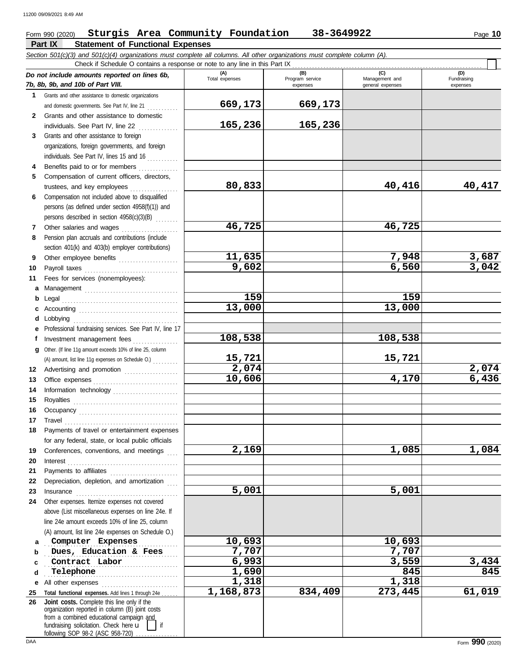#### **Part IX Statement of Functional Expenses** Form 990 (2020) Page **10 Sturgis Area Community Foundation 38-3649922** *Section 501(c)(3) and 501(c)(4) organizations must complete all columns. All other organizations must complete column (A). Do not include amounts reported on lines 6b, 7b, 8b, 9b, and 10b of Part VIII.* **1 2 3 4 5 6 7 8 9 10 11 a** Management . . . . . . . . . . . . . . . . . . . . . . . . . . . . . . . . . **b c** Accounting . . . . . . . . . . . . . . . . . . . . . . . . . . . . . . . . . . . **d** Lobbying . . . . . . . . . . . . . . . . . . . . . . . . . . . . . . . . . . . . . **e f g** Other. (If line 11g amount exceeds 10% of line 25, column **12** Advertising and promotion ................... **13 14 15 16 17 18 19 20 21 22 23 24 a** Computer Expenses 10,693 10,693 10,693 **b c d e** All other expenses ............................ **25 26** Grants and other assistance to domestic organizations and domestic governments. See Part IV, line 21 ............ Grants and other assistance to domestic individuals. See Part IV, line 22 . . . . . . . . . . . . . . Grants and other assistance to foreign organizations, foreign governments, and foreign individuals. See Part IV, lines 15 and 16 . . . . . . . . . . . Benefits paid to or for members . . . . . . . . . . . . . . Compensation of current officers, directors, trustees, and key employees . . . . . . . . . . . . . . . . . Compensation not included above to disqualified persons (as defined under section 4958(f)(1)) and persons described in section 4958(c)(3)(B) . . . . . . . . Other salaries and wages .................... Pension plan accruals and contributions (include section 401(k) and 403(b) employer contributions) Other employee benefits ..................... Payroll taxes . . . . . . . . . . . . . . . . . . . . . . . . . . . . . . . . . Fees for services (nonemployees): Legal . . . . . . . . . . . . . . . . . . . . . . . . . . . . . . . . . . . . . . . . . Professional fundraising services. See Part IV, line 17 Investment management fees ................. Office expenses . . . . . . . . . . . . . . . . . . . . . . . . . . . . . . Information technology . . . . . . . . . . . . . . . . . . . . . . . Royalties . . . . . . . . . . . . . . . . . . . . . . . . . . . . . . . . . . . . . Occupancy . . . . . . . . . . . . . . . . . . . . . . . . . . . . . . . . . . . Travel . . . . . . . . . . . . . . . . . . . . . . . . . . . . . . . . . . . . . . . . Payments of travel or entertainment expenses for any federal, state, or local public officials Conferences, conventions, and meetings Interest . . . . . . . . . . . . . . . . . . . . . . . . . . . . . . . . . . . . . . . Payments to affiliates . . . . . . . . . . . . . . . . . . . . . . . . Depreciation, depletion, and amortization Insurance . . . . . . . . . . . . . . . . . . . . . . . . . . . . . . . . . . . . Other expenses. Itemize expenses not covered above (List miscellaneous expenses on line 24e. If line 24e amount exceeds 10% of line 25, column (A) amount, list line 24e expenses on Schedule O.) Total functional expenses. Add lines 1 through 24e . fundraising solicitation. Check here  $\mathbf{u}$  | if organization reported in column (B) joint costs from a combined educational campaign and **(A) (B) (C) (D)** Total expenses Program service Management and expenses and general expenses (D)<br>Fundraising expenses . . . . . . . . . . . . . . . . . . . . . . . . . . . . . . . . . . . . . . . . . . . . . . . **Dues, Education & Fees 7,707 7,707 Contract Labor 6,993 3,559 3,434** Telephone Check if Schedule O contains a response or note to any line in this Part IX **Joint costs.** Complete this line only if the (A) amount, list line 11g expenses on Schedule O.) . . . . . . . . . **669,173 669,173 165,236 165,236 80,833 40,416 40,417 46,725 46,725 11,635 7,948 3,687 9,602 6,560 3,042 159 159 13,000 13,000 108,538 108,538 15,721 15,721 2,074 2,074 10,606 4,170 6,436 2,169 1,085 1,084 5,001 5,001 Telephone 1,690 845 845 1,318 1,318 1,168,873 834,409 273,445 61,019**

following SOP 98-2 (ASC 958-720)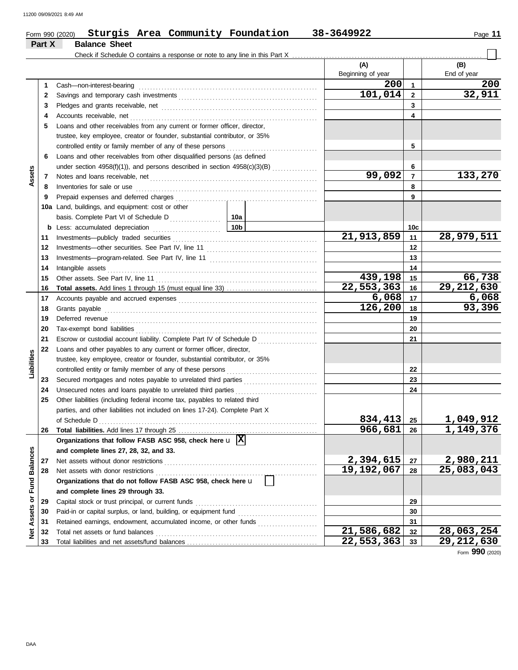|                            |    | Sturgis Area Community Foundation<br>Form 990 (2020)                                    |                 | 38-3649922               |                         | Page 11            |
|----------------------------|----|-----------------------------------------------------------------------------------------|-----------------|--------------------------|-------------------------|--------------------|
| Part X                     |    | <b>Balance Sheet</b>                                                                    |                 |                          |                         |                    |
|                            |    |                                                                                         |                 | (A)<br>Beginning of year |                         | (B)<br>End of year |
|                            | 1  | Cash-non-interest-bearing                                                               |                 | 200                      | $\mathbf{1}$            | 200                |
|                            | 2  |                                                                                         |                 | 101,014                  | $\overline{2}$          | 32,911             |
|                            | 3  |                                                                                         |                 |                          | 3                       |                    |
|                            | 4  | Accounts receivable, net                                                                |                 |                          | $\overline{\mathbf{4}}$ |                    |
|                            | 5  | Loans and other receivables from any current or former officer, director,               |                 |                          |                         |                    |
|                            |    | trustee, key employee, creator or founder, substantial contributor, or 35%              |                 |                          |                         |                    |
|                            |    | controlled entity or family member of any of these persons                              |                 |                          | 5                       |                    |
|                            | 6  | Loans and other receivables from other disqualified persons (as defined                 |                 |                          |                         |                    |
|                            |    |                                                                                         |                 |                          | 6                       |                    |
| Assets                     | 7  |                                                                                         |                 | 99,092                   | $\overline{7}$          | 133,270            |
|                            | 8  | Inventories for sale or use                                                             |                 |                          | 8                       |                    |
|                            | 9  | Prepaid expenses and deferred charges                                                   |                 |                          | 9                       |                    |
|                            |    | 10a Land, buildings, and equipment: cost or other                                       |                 |                          |                         |                    |
|                            |    |                                                                                         |                 |                          |                         |                    |
|                            | b  | Less: accumulated depreciation                                                          | 10 <sub>b</sub> |                          | 10c                     |                    |
| 11                         |    | Investments-publicly traded securities                                                  |                 | 21,913,859               | 11                      | 28,979,511         |
|                            | 12 | Investments-other securities. See Part IV, line 11                                      |                 |                          | 12                      |                    |
|                            | 13 |                                                                                         |                 |                          | 13                      |                    |
|                            | 14 | Intangible assets                                                                       |                 |                          | 14                      |                    |
|                            | 15 | Other assets. See Part IV, line 11                                                      |                 | 439,198                  | 15                      | 66,738             |
|                            | 16 |                                                                                         |                 | 22,553,363               | 16                      | 29, 212, 630       |
|                            | 17 |                                                                                         |                 | 6,068                    | 17                      | 6,068              |
|                            | 18 | Grants payable                                                                          |                 | 126,200                  | 18                      | 93,396             |
|                            | 19 | Deferred revenue                                                                        |                 |                          | 19                      |                    |
|                            | 20 |                                                                                         |                 |                          | 20                      |                    |
| 21                         |    | Escrow or custodial account liability. Complete Part IV of Schedule D                   |                 |                          | 21                      |                    |
|                            | 22 | Loans and other payables to any current or former officer, director,                    |                 |                          |                         |                    |
| Liabilities                |    | trustee, key employee, creator or founder, substantial contributor, or 35%              |                 |                          |                         |                    |
|                            |    | controlled entity or family member of any of these persons                              |                 |                          | 22                      |                    |
|                            | 23 | Secured mortgages and notes payable to unrelated third parties                          |                 |                          | 23                      |                    |
|                            | 24 |                                                                                         |                 |                          | 24                      |                    |
|                            |    | Other liabilities (including federal income tax, payables to related third              |                 |                          |                         |                    |
|                            |    | parties, and other liabilities not included on lines 17-24). Complete Part X            |                 |                          |                         |                    |
|                            |    | of Schedule D                                                                           |                 | 834,413                  | 25                      | 1,049,912          |
|                            | 26 |                                                                                         |                 | 966,681                  | 26                      | 1,149,376          |
|                            |    | Organizations that follow FASB ASC 958, check here $\mathbf{u}$ $\overline{\mathbf{X}}$ |                 |                          |                         |                    |
|                            |    | and complete lines 27, 28, 32, and 33.                                                  |                 |                          |                         |                    |
| <b>Fund Balances</b><br>27 |    | Net assets without donor restrictions                                                   |                 | 2,394,615                | 27                      | 2,980,211          |
|                            | 28 | Net assets with donor restrictions                                                      |                 | 19,192,067               | 28                      | 25,083,043         |
|                            |    | Organizations that do not follow FASB ASC 958, check here u                             |                 |                          |                         |                    |
|                            |    | and complete lines 29 through 33.                                                       |                 |                          |                         |                    |
|                            | 29 | Capital stock or trust principal, or current funds                                      |                 |                          | 29                      |                    |
|                            | 30 | Paid-in or capital surplus, or land, building, or equipment fund                        |                 |                          | 30                      |                    |
| Assets or<br>31            |    | Retained earnings, endowment, accumulated income, or other funds                        |                 |                          | 31                      |                    |
| <b>Net</b>                 | 32 | Total net assets or fund balances                                                       |                 | 21,586,682               | 32                      | 28,063,254         |
|                            |    |                                                                                         |                 | 22E22610                 |                         | 20, 212, 620       |

Form **990** (2020)

**33 32**

**21,586,682 28,063,254 22,553,363 29,212,630**

**32 33**

Total liabilities and net assets/fund balances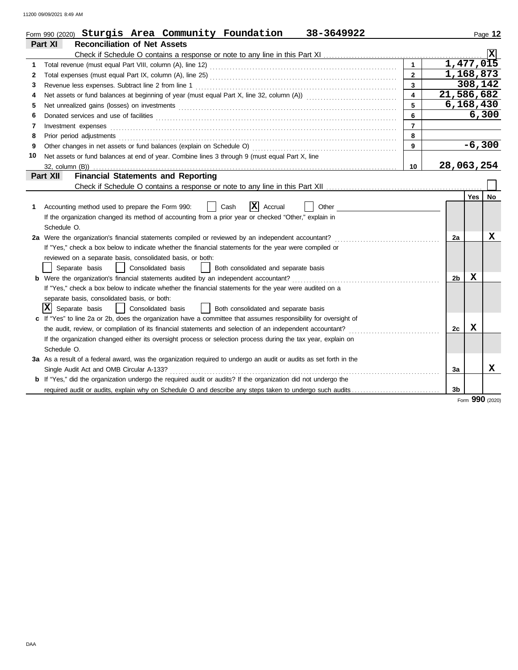11200 09/09/2021 8:49 AM

|    | Form 990 (2020) Sturgis Area Community Foundation<br>38-3649922                                                       |                         |                |            | Page 12         |
|----|-----------------------------------------------------------------------------------------------------------------------|-------------------------|----------------|------------|-----------------|
|    | Part XI<br><b>Reconciliation of Net Assets</b>                                                                        |                         |                |            |                 |
|    |                                                                                                                       |                         |                |            |                 |
| 1. |                                                                                                                       |                         | 1,477,015      |            |                 |
| 2  |                                                                                                                       | $\overline{2}$          | 1,168,873      |            |                 |
| 3  | Revenue less expenses. Subtract line 2 from line 1                                                                    | $\overline{\mathbf{3}}$ |                | 308,142    |                 |
| 4  |                                                                                                                       | $\overline{\mathbf{4}}$ | 21,586,682     |            |                 |
| 5  | Net unrealized gains (losses) on investments [1] production in the university of the unrealized gains (losses)        | 5                       | 6,168,430      |            |                 |
| 6  |                                                                                                                       | 6                       |                |            | 6,300           |
| 7  | Investment expenses                                                                                                   | $\overline{7}$          |                |            |                 |
| 8  | Prior period adjustments                                                                                              | 8                       |                |            |                 |
| 9  |                                                                                                                       | 9                       |                |            | $-6,300$        |
| 10 | Net assets or fund balances at end of year. Combine lines 3 through 9 (must equal Part X, line                        |                         |                |            |                 |
|    |                                                                                                                       | 10                      | 28,063,254     |            |                 |
|    | <b>Financial Statements and Reporting</b><br>Part XII                                                                 |                         |                |            |                 |
|    |                                                                                                                       |                         |                |            |                 |
|    |                                                                                                                       |                         |                | <b>Yes</b> | No              |
| 1. | ΙxΙ<br>Accounting method used to prepare the Form 990:<br>Cash<br>Accrual<br>Other                                    |                         |                |            |                 |
|    | If the organization changed its method of accounting from a prior year or checked "Other," explain in                 |                         |                |            |                 |
|    | Schedule O.                                                                                                           |                         |                |            |                 |
|    | 2a Were the organization's financial statements compiled or reviewed by an independent accountant?                    |                         | 2a             |            | х               |
|    | If "Yes," check a box below to indicate whether the financial statements for the year were compiled or                |                         |                |            |                 |
|    | reviewed on a separate basis, consolidated basis, or both:                                                            |                         |                |            |                 |
|    | Separate basis<br>Consolidated basis<br>Both consolidated and separate basis                                          |                         |                |            |                 |
|    | b Were the organization's financial statements audited by an independent accountant?                                  |                         | 2 <sub>b</sub> | х          |                 |
|    | If "Yes," check a box below to indicate whether the financial statements for the year were audited on a               |                         |                |            |                 |
|    | separate basis, consolidated basis, or both:                                                                          |                         |                |            |                 |
|    | x <br>Separate basis<br>Consolidated basis<br>Both consolidated and separate basis                                    |                         |                |            |                 |
|    | c If "Yes" to line 2a or 2b, does the organization have a committee that assumes responsibility for oversight of      |                         |                |            |                 |
|    | the audit, review, or compilation of its financial statements and selection of an independent accountant?             |                         | 2c             | X          |                 |
|    | If the organization changed either its oversight process or selection process during the tax year, explain on         |                         |                |            |                 |
|    | Schedule O.                                                                                                           |                         |                |            |                 |
|    | 3a As a result of a federal award, was the organization required to undergo an audit or audits as set forth in the    |                         |                |            |                 |
|    | Single Audit Act and OMB Circular A-133?                                                                              |                         | За             |            | x               |
|    | <b>b</b> If "Yes," did the organization undergo the required audit or audits? If the organization did not undergo the |                         |                |            |                 |
|    | required audit or audits, explain why on Schedule O and describe any steps taken to undergo such audits               |                         | 3b             |            |                 |
|    |                                                                                                                       |                         |                |            | Form 990 (2020) |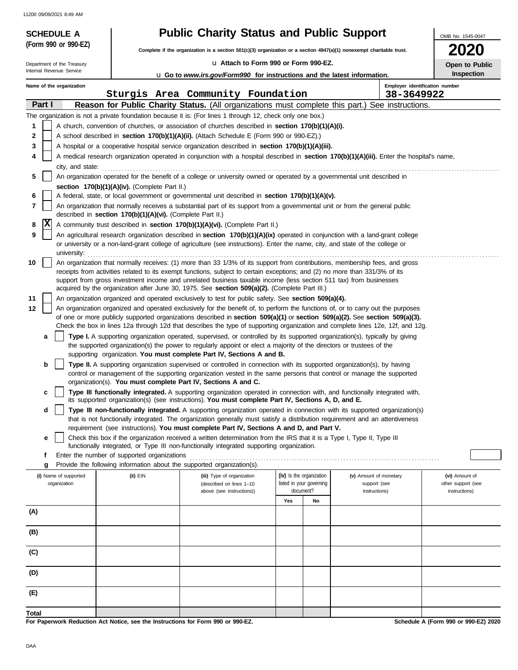11200 09/09/2021 8:49 AM

| <b>SCHEDULE A</b><br>(Form 990 or 990-EZ) |                                                                                                                        | <b>Public Charity Status and Public Support</b>                                                                                                                                                                                                     |     |                          |                                                                                                                                            | OMB No. 1545-0047                    |  |  |
|-------------------------------------------|------------------------------------------------------------------------------------------------------------------------|-----------------------------------------------------------------------------------------------------------------------------------------------------------------------------------------------------------------------------------------------------|-----|--------------------------|--------------------------------------------------------------------------------------------------------------------------------------------|--------------------------------------|--|--|
|                                           | Complete if the organization is a section 501(c)(3) organization or a section $4947(a)(1)$ nonexempt charitable trust. | <b>2020</b>                                                                                                                                                                                                                                         |     |                          |                                                                                                                                            |                                      |  |  |
| Department of the Treasury                |                                                                                                                        | La Attach to Form 990 or Form 990-EZ.                                                                                                                                                                                                               |     |                          |                                                                                                                                            |                                      |  |  |
| Internal Revenue Service                  |                                                                                                                        | <b>u</b> Go to <i>www.irs.gov/Form990</i> for instructions and the latest information.                                                                                                                                                              |     |                          |                                                                                                                                            | <b>Inspection</b>                    |  |  |
| Name of the organization                  |                                                                                                                        |                                                                                                                                                                                                                                                     |     |                          | Employer identification number                                                                                                             |                                      |  |  |
| Part I                                    |                                                                                                                        | Sturgis Area Community Foundation                                                                                                                                                                                                                   |     |                          | 38-3649922<br>Reason for Public Charity Status. (All organizations must complete this part.) See instructions.                             |                                      |  |  |
|                                           |                                                                                                                        | The organization is not a private foundation because it is: (For lines 1 through 12, check only one box.)                                                                                                                                           |     |                          |                                                                                                                                            |                                      |  |  |
| 1                                         |                                                                                                                        | A church, convention of churches, or association of churches described in section 170(b)(1)(A)(i).                                                                                                                                                  |     |                          |                                                                                                                                            |                                      |  |  |
| 2                                         |                                                                                                                        | A school described in section 170(b)(1)(A)(ii). (Attach Schedule E (Form 990 or 990-EZ).)                                                                                                                                                           |     |                          |                                                                                                                                            |                                      |  |  |
| 3                                         |                                                                                                                        | A hospital or a cooperative hospital service organization described in section 170(b)(1)(A)(iii).                                                                                                                                                   |     |                          |                                                                                                                                            |                                      |  |  |
| 4                                         |                                                                                                                        |                                                                                                                                                                                                                                                     |     |                          | A medical research organization operated in conjunction with a hospital described in section 170(b)(1)(A)(iii). Enter the hospital's name, |                                      |  |  |
| city, and state:                          |                                                                                                                        |                                                                                                                                                                                                                                                     |     |                          |                                                                                                                                            |                                      |  |  |
| 5                                         |                                                                                                                        | An organization operated for the benefit of a college or university owned or operated by a governmental unit described in                                                                                                                           |     |                          |                                                                                                                                            |                                      |  |  |
| 6                                         | section 170(b)(1)(A)(iv). (Complete Part II.)                                                                          | A federal, state, or local government or governmental unit described in section 170(b)(1)(A)(v).                                                                                                                                                    |     |                          |                                                                                                                                            |                                      |  |  |
| 7                                         |                                                                                                                        | An organization that normally receives a substantial part of its support from a governmental unit or from the general public                                                                                                                        |     |                          |                                                                                                                                            |                                      |  |  |
|                                           | described in section 170(b)(1)(A)(vi). (Complete Part II.)                                                             |                                                                                                                                                                                                                                                     |     |                          |                                                                                                                                            |                                      |  |  |
| ΙX<br>8                                   |                                                                                                                        | A community trust described in section 170(b)(1)(A)(vi). (Complete Part II.)                                                                                                                                                                        |     |                          |                                                                                                                                            |                                      |  |  |
| 9                                         |                                                                                                                        | An agricultural research organization described in section 170(b)(1)(A)(ix) operated in conjunction with a land-grant college                                                                                                                       |     |                          |                                                                                                                                            |                                      |  |  |
| university:                               |                                                                                                                        | or university or a non-land-grant college of agriculture (see instructions). Enter the name, city, and state of the college or                                                                                                                      |     |                          |                                                                                                                                            |                                      |  |  |
| 10                                        |                                                                                                                        | An organization that normally receives: (1) more than 33 1/3% of its support from contributions, membership fees, and gross                                                                                                                         |     |                          |                                                                                                                                            |                                      |  |  |
|                                           |                                                                                                                        | receipts from activities related to its exempt functions, subject to certain exceptions; and (2) no more than 331/3% of its                                                                                                                         |     |                          |                                                                                                                                            |                                      |  |  |
|                                           |                                                                                                                        | support from gross investment income and unrelated business taxable income (less section 511 tax) from businesses<br>acquired by the organization after June 30, 1975. See section 509(a)(2). (Complete Part III.)                                  |     |                          |                                                                                                                                            |                                      |  |  |
| 11                                        |                                                                                                                        | An organization organized and operated exclusively to test for public safety. See section 509(a)(4).                                                                                                                                                |     |                          |                                                                                                                                            |                                      |  |  |
| 12                                        |                                                                                                                        | An organization organized and operated exclusively for the benefit of, to perform the functions of, or to carry out the purposes                                                                                                                    |     |                          |                                                                                                                                            |                                      |  |  |
|                                           |                                                                                                                        | of one or more publicly supported organizations described in section $509(a)(1)$ or section $509(a)(2)$ . See section $509(a)(3)$ .                                                                                                                 |     |                          |                                                                                                                                            |                                      |  |  |
|                                           |                                                                                                                        |                                                                                                                                                                                                                                                     |     |                          | Check the box in lines 12a through 12d that describes the type of supporting organization and complete lines 12e, 12f, and 12g.            |                                      |  |  |
| a                                         |                                                                                                                        | Type I. A supporting organization operated, supervised, or controlled by its supported organization(s), typically by giving<br>the supported organization(s) the power to regularly appoint or elect a majority of the directors or trustees of the |     |                          |                                                                                                                                            |                                      |  |  |
|                                           |                                                                                                                        | supporting organization. You must complete Part IV, Sections A and B.                                                                                                                                                                               |     |                          |                                                                                                                                            |                                      |  |  |
| b                                         |                                                                                                                        | Type II. A supporting organization supervised or controlled in connection with its supported organization(s), by having                                                                                                                             |     |                          |                                                                                                                                            |                                      |  |  |
|                                           | organization(s). You must complete Part IV, Sections A and C.                                                          | control or management of the supporting organization vested in the same persons that control or manage the supported                                                                                                                                |     |                          |                                                                                                                                            |                                      |  |  |
| c                                         |                                                                                                                        | Type III functionally integrated. A supporting organization operated in connection with, and functionally integrated with,                                                                                                                          |     |                          |                                                                                                                                            |                                      |  |  |
|                                           |                                                                                                                        | its supported organization(s) (see instructions). You must complete Part IV, Sections A, D, and E.                                                                                                                                                  |     |                          |                                                                                                                                            |                                      |  |  |
| d                                         |                                                                                                                        |                                                                                                                                                                                                                                                     |     |                          | Type III non-functionally integrated. A supporting organization operated in connection with its supported organization(s)                  |                                      |  |  |
|                                           |                                                                                                                        | that is not functionally integrated. The organization generally must satisfy a distribution requirement and an attentiveness<br>requirement (see instructions). You must complete Part IV, Sections A and D, and Part V.                            |     |                          |                                                                                                                                            |                                      |  |  |
| е                                         |                                                                                                                        | Check this box if the organization received a written determination from the IRS that it is a Type I, Type II, Type III                                                                                                                             |     |                          |                                                                                                                                            |                                      |  |  |
|                                           |                                                                                                                        | functionally integrated, or Type III non-functionally integrated supporting organization.                                                                                                                                                           |     |                          |                                                                                                                                            |                                      |  |  |
| f                                         | Enter the number of supported organizations                                                                            |                                                                                                                                                                                                                                                     |     |                          |                                                                                                                                            |                                      |  |  |
| g                                         | Provide the following information about the supported organization(s).                                                 |                                                                                                                                                                                                                                                     |     | (iv) Is the organization |                                                                                                                                            |                                      |  |  |
| (i) Name of supported<br>organization     | (ii) EIN                                                                                                               | (iii) Type of organization<br>(described on lines 1-10                                                                                                                                                                                              |     | listed in your governing | (v) Amount of monetary<br>support (see                                                                                                     | (vi) Amount of<br>other support (see |  |  |
|                                           |                                                                                                                        | above (see instructions))                                                                                                                                                                                                                           |     | document?                | instructions)                                                                                                                              | instructions)                        |  |  |
|                                           |                                                                                                                        |                                                                                                                                                                                                                                                     | Yes | No                       |                                                                                                                                            |                                      |  |  |
| (A)                                       |                                                                                                                        |                                                                                                                                                                                                                                                     |     |                          |                                                                                                                                            |                                      |  |  |
| (B)                                       |                                                                                                                        |                                                                                                                                                                                                                                                     |     |                          |                                                                                                                                            |                                      |  |  |
|                                           |                                                                                                                        |                                                                                                                                                                                                                                                     |     |                          |                                                                                                                                            |                                      |  |  |
| (C)                                       |                                                                                                                        |                                                                                                                                                                                                                                                     |     |                          |                                                                                                                                            |                                      |  |  |
|                                           |                                                                                                                        |                                                                                                                                                                                                                                                     |     |                          |                                                                                                                                            |                                      |  |  |
| (D)                                       |                                                                                                                        |                                                                                                                                                                                                                                                     |     |                          |                                                                                                                                            |                                      |  |  |
|                                           |                                                                                                                        |                                                                                                                                                                                                                                                     |     |                          |                                                                                                                                            |                                      |  |  |
| (E)                                       |                                                                                                                        |                                                                                                                                                                                                                                                     |     |                          |                                                                                                                                            |                                      |  |  |
|                                           |                                                                                                                        |                                                                                                                                                                                                                                                     |     |                          |                                                                                                                                            |                                      |  |  |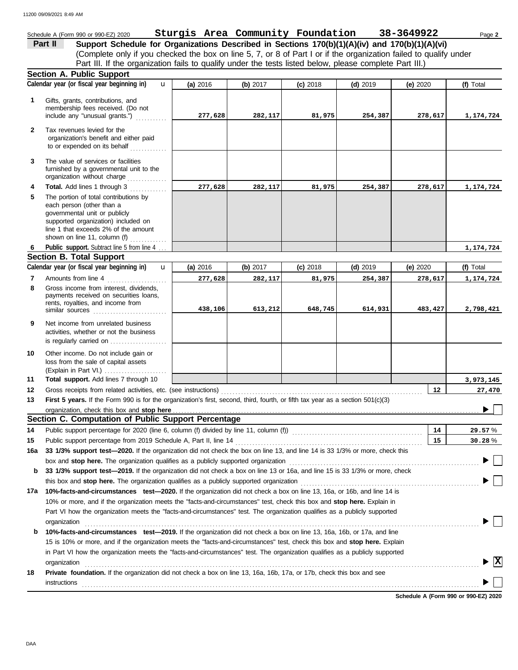#### Schedule A (Form 990 or 990-EZ) 2020 Page **2 Sturgis Area Community Foundation 38-3649922 Part II Support Schedule for Organizations Described in Sections 170(b)(1)(A)(iv) and 170(b)(1)(A)(vi)** (Complete only if you checked the box on line 5, 7, or 8 of Part I or if the organization failed to qualify under Part III. If the organization fails to qualify under the tests listed below, please complete Part III.) **Section A. Public Support Calendar year (or fiscal year beginning in) (f)** Total **(a)** 2016 **(b)** 2017 **(c)** 2018 **(d)** 2019 **(e)** 2020 u Gifts, grants, contributions, and **1** membership fees received. (Do not include any "unusual grants.") . . . . . . . . . . . **277,628 282,117 81,975 254,387 278,617 1,174,724 2** Tax revenues levied for the organization's benefit and either paid to or expended on its behalf ............. **3** The value of services or facilities furnished by a governmental unit to the organization without charge .............. **Total.** Add lines 1 through 3 .............. **4 277,628 282,117 81,975 254,387 278,617 1,174,724 5** The portion of total contributions by each person (other than a governmental unit or publicly supported organization) included on line 1 that exceeds 2% of the amount shown on line 11, column  $(f)$   $\ldots$   $\ldots$  . . . . . . . Public support. Subtract line 5 from line 4. **1,174,724 6 Section B. Total Support Calendar year (or fiscal year beginning in) (f)** Total u **(b)** 2017 **(c)** 2018 **(d)** 2019 **(e)** 2020 **(a)** 2016 Amounts from line 4 **277,628 282,117 81,975 254,387 278,617 1,174,724 7** Gross income from interest, dividends, **8** payments received on securities loans. rents, royalties, and income from similar sources ..................... **438,106 613,212 648,745 614,931 483,427 2,798,421 9** Net income from unrelated business activities, whether or not the business is regularly carried on ................... Other income. Do not include gain or **10** loss from the sale of capital assets (Explain in Part VI.) . . . . . . . . . . . . . . . . . . . . . . **11 Total support.** Add lines 7 through 10 **3,973,145 12 12 27,470** Gross receipts from related activities, etc. (see instructions) . . . . . . . . . . . . . . . . . . . . . . . . . . . . . . . . . . . . . . . . . . . . . . . . . . . . . . . . . . . . . . . . . . . . . . . **13** First 5 years. If the Form 990 is for the organization's first, second, third, fourth, or fifth tax year as a section 501(c)(3) organization, check this box and stop here  $\blacktriangleright$ **Section C. Computation of Public Support Percentage 14** Public support percentage for 2020 (line 6, column (f) divided by line 11, column (f)) . . . . . . . . . . . . . . . . . . . . . . . . . . . . . . . . . . . . . . . . . . . . . . **14** % **29.57** Public support percentage from 2019 Schedule A, Part II, line 14 . . . . . . . . . . . . . . . . . . . . . . . . . . . . . . . . . . . . . . . . . . . . . . . . . . . . . . . . . . . . . . . . . . **15 15** % **30.28 16a 33 1/3% support test—2020.** If the organization did not check the box on line 13, and line 14 is 33 1/3% or more, check this box and **stop here.** The organization qualifies as a publicly supported organization . . . . . . . . . . . . . . . . . . . . . . . . . . . . . . . . . . . . . . . . . . . . . . . . . . . . . . . . . . . . . . . . . . . **b 33 1/3% support test—2019.** If the organization did not check a box on line 13 or 16a, and line 15 is 33 1/3% or more, check this box and **stop here.** The organization qualifies as a publicly supported organization . . . . . . . . . . . . . . . . . . . . . . . . . . . . . . . . . . . . . . . . . . . . . . . . . . . . . . . . . . . . . . . **17a 10%-facts-and-circumstances test—2020.** If the organization did not check a box on line 13, 16a, or 16b, and line 14 is 10% or more, and if the organization meets the "facts-and-circumstances" test, check this box and **stop here.** Explain in Part VI how the organization meets the "facts-and-circumstances" test. The organization qualifies as a publicly supported organization . . . . . . . . . . . . . . . . . . . . . . . . . . . . . . . . . . . . . . . . . . . . . . . . . . . . . . . . . . . . . . . . . . . . . . . . . . . . . . . . . . . . . . . . . . . . . . . . . . . . . . . . . . . . . . . . . . . . . . . . . . . . . . . . . . . . . . . . . . . **b 10%-facts-and-circumstances test—2019.** If the organization did not check a box on line 13, 16a, 16b, or 17a, and line 15 is 10% or more, and if the organization meets the "facts-and-circumstances" test, check this box and **stop here.** Explain in Part VI how the organization meets the "facts-and-circumstances" test. The organization qualifies as a publicly supported **X** organization . . . . . . . . . . . . . . . . . . . . . . . . . . . . . . . . . . . . . . . . . . . . . . . . . . . . . . . . . . . . . . . . . . . . . . . . . . . . . . . . . . . . . . . . . . . . . . . . . . . . . . . . . . . . . . . . . . . . . . . . . . . . . . . . . . . . . . . . . . . **18 Private foundation.** If the organization did not check a box on line 13, 16a, 16b, 17a, or 17b, check this box and see instructions . . . . . . . . . . . . . . . . . . . . . . . . . . . . . . . . . . . . . . . . . . . . . . . . . . . . . . . . . . . . . . . . . . . . . . . . . . . . . . . . . . . . . . . . . . . . . . . . . . . . . . . . . . . . . . . . . . . . . . . . . . . . . . . . . . . . . . . . . . . . **Schedule A (Form 990 or 990-EZ) 2020**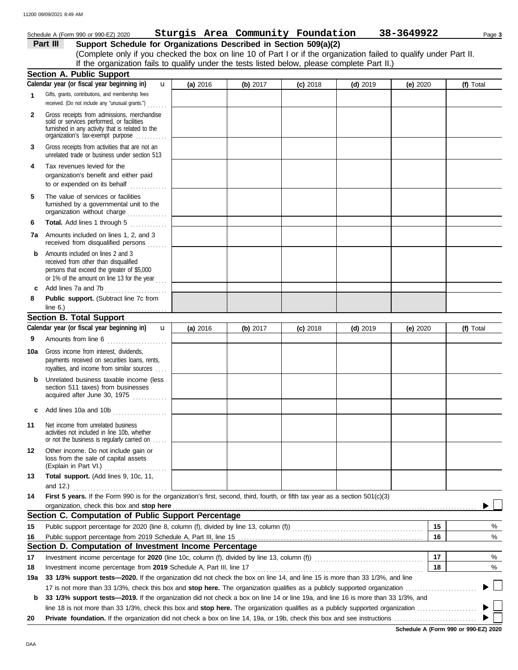|              | Schedule A (Form 990 or 990-EZ) 2020                                                                                                                                                                                                                                                        |          | Sturgis Area Community Foundation |            |            | 38-3649922 | Page 3           |
|--------------|---------------------------------------------------------------------------------------------------------------------------------------------------------------------------------------------------------------------------------------------------------------------------------------------|----------|-----------------------------------|------------|------------|------------|------------------|
|              | Support Schedule for Organizations Described in Section 509(a)(2)<br>Part III                                                                                                                                                                                                               |          |                                   |            |            |            |                  |
|              | (Complete only if you checked the box on line 10 of Part I or if the organization failed to qualify under Part II.                                                                                                                                                                          |          |                                   |            |            |            |                  |
|              | If the organization fails to qualify under the tests listed below, please complete Part II.)                                                                                                                                                                                                |          |                                   |            |            |            |                  |
|              | Section A. Public Support                                                                                                                                                                                                                                                                   |          |                                   |            |            |            |                  |
|              | Calendar year (or fiscal year beginning in)<br>$\mathbf{u}$                                                                                                                                                                                                                                 | (a) 2016 | (b) 2017                          | $(c)$ 2018 | $(d)$ 2019 | (e) $2020$ | (f) Total        |
|              | Gifts, grants, contributions, and membership fees                                                                                                                                                                                                                                           |          |                                   |            |            |            |                  |
| 1            | received. (Do not include any "unusual grants.")                                                                                                                                                                                                                                            |          |                                   |            |            |            |                  |
| $\mathbf{2}$ | Gross receipts from admissions, merchandise<br>sold or services performed, or facilities<br>furnished in any activity that is related to the<br>organization's tax-exempt purpose                                                                                                           |          |                                   |            |            |            |                  |
| 3            | Gross receipts from activities that are not an<br>unrelated trade or business under section 513                                                                                                                                                                                             |          |                                   |            |            |            |                  |
| 4            | Tax revenues levied for the<br>organization's benefit and either paid<br>to or expended on its behalf                                                                                                                                                                                       |          |                                   |            |            |            |                  |
| 5            | The value of services or facilities<br>furnished by a governmental unit to the<br>organization without charge                                                                                                                                                                               |          |                                   |            |            |            |                  |
| 6            | Total. Add lines 1 through 5<br>.                                                                                                                                                                                                                                                           |          |                                   |            |            |            |                  |
|              | 7a Amounts included on lines 1, 2, and 3<br>received from disqualified persons                                                                                                                                                                                                              |          |                                   |            |            |            |                  |
| b<br>c       | Amounts included on lines 2 and 3<br>received from other than disqualified<br>persons that exceed the greater of \$5,000<br>or 1% of the amount on line 13 for the year $\ldots$<br>Add lines 7a and 7b                                                                                     |          |                                   |            |            |            |                  |
|              |                                                                                                                                                                                                                                                                                             |          |                                   |            |            |            |                  |
| 8            | Public support. (Subtract line 7c from<br>line $6.$ )                                                                                                                                                                                                                                       |          |                                   |            |            |            |                  |
|              | <b>Section B. Total Support</b>                                                                                                                                                                                                                                                             |          |                                   |            |            |            |                  |
|              | Calendar year (or fiscal year beginning in)<br>$\mathbf{u}$                                                                                                                                                                                                                                 | (a) 2016 | (b) $2017$                        | $(c)$ 2018 | $(d)$ 2019 | (e) $2020$ | (f) Total        |
| 9            | Amounts from line 6                                                                                                                                                                                                                                                                         |          |                                   |            |            |            |                  |
| 10a          | Gross income from interest, dividends,                                                                                                                                                                                                                                                      |          |                                   |            |            |            |                  |
|              | payments received on securities loans, rents,<br>royalties, and income from similar sources                                                                                                                                                                                                 |          |                                   |            |            |            |                  |
|              | Unrelated business taxable income (less<br>section 511 taxes) from businesses<br>acquired after June 30, 1975                                                                                                                                                                               |          |                                   |            |            |            |                  |
|              | c Add lines 10a and 10b $\ldots$                                                                                                                                                                                                                                                            |          |                                   |            |            |            |                  |
| 11           | Net income from unrelated business<br>activities not included in line 10b, whether<br>or not the business is regularly carried on                                                                                                                                                           |          |                                   |            |            |            |                  |
| 12           | Other income. Do not include gain or<br>loss from the sale of capital assets                                                                                                                                                                                                                |          |                                   |            |            |            |                  |
| 13           | (Explain in Part VI.)<br>Total support. (Add lines 9, 10c, 11,                                                                                                                                                                                                                              |          |                                   |            |            |            |                  |
|              |                                                                                                                                                                                                                                                                                             |          |                                   |            |            |            |                  |
| 14           | and 12.) $\frac{1}{2}$ and 12.<br>First 5 years. If the Form 990 is for the organization's first, second, third, fourth, or fifth tax year as a section 501(c)(3)                                                                                                                           |          |                                   |            |            |            |                  |
|              |                                                                                                                                                                                                                                                                                             |          |                                   |            |            |            |                  |
|              | organization, check this box and stop here <i>manufacture in the content of the content of the content of the content of the content of the content of the content of the content of the content of the content of the content o</i><br>Section C. Computation of Public Support Percentage |          |                                   |            |            |            |                  |
| 15           |                                                                                                                                                                                                                                                                                             |          |                                   |            |            | 15         |                  |
|              | Public support percentage for 2020 (line 8, column (f), divided by line 13, column (f) [[[[[[[[[[[[[[[[[[[[[[                                                                                                                                                                               |          |                                   |            |            | 16         |                  |
| 16           |                                                                                                                                                                                                                                                                                             |          |                                   |            |            |            |                  |
|              | Section D. Computation of Investment Income Percentage                                                                                                                                                                                                                                      |          |                                   |            |            |            |                  |
| 17           |                                                                                                                                                                                                                                                                                             |          |                                   |            |            | 17         |                  |
| 18           | Investment income percentage from 2019 Schedule A, Part III, line 17                                                                                                                                                                                                                        |          |                                   |            |            | 18         |                  |
| 19a          | 33 1/3% support tests—2020. If the organization did not check the box on line 14, and line 15 is more than 33 1/3%, and line                                                                                                                                                                |          |                                   |            |            |            |                  |
|              |                                                                                                                                                                                                                                                                                             |          |                                   |            |            |            |                  |
| b            | 33 1/3% support tests—2019. If the organization did not check a box on line 14 or line 19a, and line 16 is more than 33 1/3%, and                                                                                                                                                           |          |                                   |            |            |            | %<br>%<br>%<br>% |

**Schedule A (Form 990 or 990-EZ) 2020**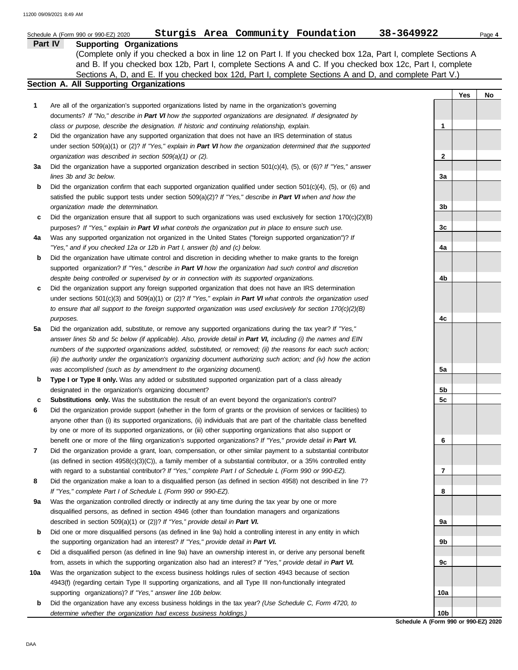|     | Sturgis Area Community Foundation<br>Schedule A (Form 990 or 990-EZ) 2020                                                | 38-3649922      | Page 4    |
|-----|--------------------------------------------------------------------------------------------------------------------------|-----------------|-----------|
|     | <b>Supporting Organizations</b><br>Part IV                                                                               |                 |           |
|     | (Complete only if you checked a box in line 12 on Part I. If you checked box 12a, Part I, complete Sections A            |                 |           |
|     | and B. If you checked box 12b, Part I, complete Sections A and C. If you checked box 12c, Part I, complete               |                 |           |
|     | Sections A, D, and E. If you checked box 12d, Part I, complete Sections A and D, and complete Part V.)                   |                 |           |
|     | Section A. All Supporting Organizations                                                                                  |                 |           |
|     |                                                                                                                          |                 | Yes<br>No |
| 1   | Are all of the organization's supported organizations listed by name in the organization's governing                     |                 |           |
|     | documents? If "No," describe in Part VI how the supported organizations are designated. If designated by                 |                 |           |
|     | class or purpose, describe the designation. If historic and continuing relationship, explain.                            | 1               |           |
| 2   | Did the organization have any supported organization that does not have an IRS determination of status                   |                 |           |
|     | under section $509(a)(1)$ or (2)? If "Yes," explain in Part VI how the organization determined that the supported        |                 |           |
|     | organization was described in section 509(a)(1) or (2).                                                                  | $\mathbf{2}$    |           |
| За  | Did the organization have a supported organization described in section $501(c)(4)$ , (5), or (6)? If "Yes," answer      |                 |           |
|     | lines 3b and 3c below.                                                                                                   | 3a              |           |
| b   | Did the organization confirm that each supported organization qualified under section $501(c)(4)$ , $(5)$ , or $(6)$ and |                 |           |
|     | satisfied the public support tests under section $509(a)(2)?$ If "Yes," describe in Part VI when and how the             |                 |           |
|     | organization made the determination.                                                                                     | 3b              |           |
| c   | Did the organization ensure that all support to such organizations was used exclusively for section $170(c)(2)(B)$       |                 |           |
|     | purposes? If "Yes," explain in Part VI what controls the organization put in place to ensure such use.                   | 3c              |           |
| 4a  | Was any supported organization not organized in the United States ("foreign supported organization")? If                 |                 |           |
|     | "Yes," and if you checked 12a or 12b in Part I, answer (b) and (c) below.                                                | 4a              |           |
| b   | Did the organization have ultimate control and discretion in deciding whether to make grants to the foreign              |                 |           |
|     | supported organization? If "Yes," describe in Part VI how the organization had such control and discretion               |                 |           |
|     | despite being controlled or supervised by or in connection with its supported organizations.                             | 4b              |           |
| c   | Did the organization support any foreign supported organization that does not have an IRS determination                  |                 |           |
|     | under sections $501(c)(3)$ and $509(a)(1)$ or $(2)?$ If "Yes," explain in Part VI what controls the organization used    |                 |           |
|     | to ensure that all support to the foreign supported organization was used exclusively for section $170(c)(2)(B)$         |                 |           |
|     | purposes.                                                                                                                | 4c              |           |
| 5a  | Did the organization add, substitute, or remove any supported organizations during the tax year? If "Yes,"               |                 |           |
|     | answer lines 5b and 5c below (if applicable). Also, provide detail in Part VI, including (i) the names and EIN           |                 |           |
|     | numbers of the supported organizations added, substituted, or removed; (ii) the reasons for each such action;            |                 |           |
|     | (iii) the authority under the organization's organizing document authorizing such action; and (iv) how the action        |                 |           |
|     | was accomplished (such as by amendment to the organizing document).                                                      | 5a              |           |
| b   | Type I or Type II only. Was any added or substituted supported organization part of a class already                      |                 |           |
|     | designated in the organization's organizing document?                                                                    | 5b              |           |
| c   | Substitutions only. Was the substitution the result of an event beyond the organization's control?                       | 5c              |           |
| 6   | Did the organization provide support (whether in the form of grants or the provision of services or facilities) to       |                 |           |
|     | anyone other than (i) its supported organizations, (ii) individuals that are part of the charitable class benefited      |                 |           |
|     | by one or more of its supported organizations, or (iii) other supporting organizations that also support or              |                 |           |
|     | benefit one or more of the filing organization's supported organizations? If "Yes," provide detail in Part VI.           | 6               |           |
| 7   | Did the organization provide a grant, loan, compensation, or other similar payment to a substantial contributor          |                 |           |
|     | (as defined in section 4958(c)(3)(C)), a family member of a substantial contributor, or a 35% controlled entity          |                 |           |
|     | with regard to a substantial contributor? If "Yes," complete Part I of Schedule L (Form 990 or 990-EZ).                  | 7               |           |
| 8   | Did the organization make a loan to a disqualified person (as defined in section 4958) not described in line 7?          |                 |           |
|     | If "Yes," complete Part I of Schedule L (Form 990 or 990-EZ).                                                            | 8               |           |
| 9a  | Was the organization controlled directly or indirectly at any time during the tax year by one or more                    |                 |           |
|     | disqualified persons, as defined in section 4946 (other than foundation managers and organizations                       |                 |           |
|     | described in section 509(a)(1) or (2))? If "Yes," provide detail in Part VI.                                             | 9а              |           |
| b   | Did one or more disqualified persons (as defined in line 9a) hold a controlling interest in any entity in which          |                 |           |
|     | the supporting organization had an interest? If "Yes," provide detail in Part VI.                                        | 9b              |           |
| с   | Did a disqualified person (as defined in line 9a) have an ownership interest in, or derive any personal benefit          |                 |           |
|     | from, assets in which the supporting organization also had an interest? If "Yes," provide detail in Part VI.             | 9с              |           |
| 10a | Was the organization subject to the excess business holdings rules of section 4943 because of section                    |                 |           |
|     | 4943(f) (regarding certain Type II supporting organizations, and all Type III non-functionally integrated                |                 |           |
|     | supporting organizations)? If "Yes," answer line 10b below.                                                              | 10a             |           |
| b   | Did the organization have any excess business holdings in the tax year? (Use Schedule C, Form 4720, to                   |                 |           |
|     | determine whether the organization had excess business holdings.)                                                        | 10 <sub>b</sub> |           |

**Schedule A (Form 990 or 990-EZ) 2020**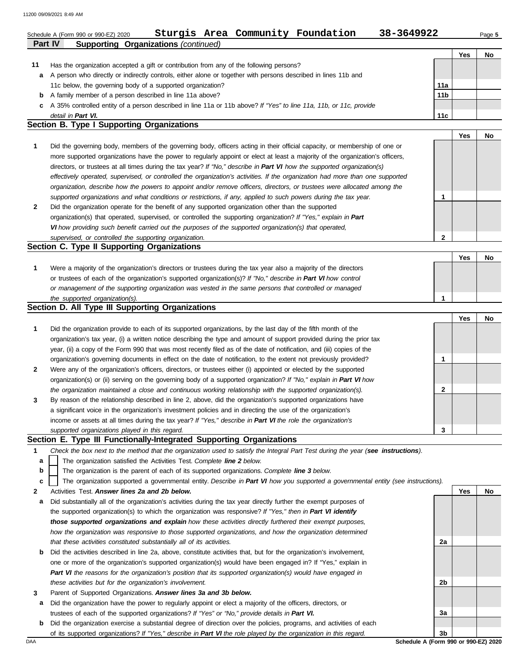|    | 11200 09/09/2021 8:49 AM                                                                                                                          |                 |            |        |
|----|---------------------------------------------------------------------------------------------------------------------------------------------------|-----------------|------------|--------|
|    | Sturgis Area Community Foundation<br>38-3649922<br>Schedule A (Form 990 or 990-EZ) 2020<br><b>Supporting Organizations (continued)</b><br>Part IV |                 |            | Page 5 |
|    |                                                                                                                                                   |                 | <b>Yes</b> | No     |
| 11 | Has the organization accepted a gift or contribution from any of the following persons?                                                           |                 |            |        |
| а  | A person who directly or indirectly controls, either alone or together with persons described in lines 11b and                                    |                 |            |        |
|    | 11c below, the governing body of a supported organization?                                                                                        | 11a             |            |        |
| b  | A family member of a person described in line 11a above?                                                                                          | 11 <sub>b</sub> |            |        |
| c  | A 35% controlled entity of a person described in line 11a or 11b above? If "Yes" to line 11a, 11b, or 11c, provide                                |                 |            |        |
|    | detail in Part VI.                                                                                                                                | 11c             |            |        |
|    | Section B. Type I Supporting Organizations                                                                                                        |                 |            |        |
|    |                                                                                                                                                   |                 | <b>Yes</b> | No     |
| 1  | Did the governing body, members of the governing body, officers acting in their official capacity, or membership of one or                        |                 |            |        |
|    | more supported organizations have the power to regularly appoint or elect at least a majority of the organization's officers,                     |                 |            |        |
|    | directors, or trustees at all times during the tax year? If "No," describe in Part VI how the supported organization(s)                           |                 |            |        |
|    | effectively operated, supervised, or controlled the organization's activities. If the organization had more than one supported                    |                 |            |        |
|    | organization, describe how the powers to appoint and/or remove officers, directors, or trustees were allocated among the                          |                 |            |        |
|    | supported organizations and what conditions or restrictions, if any, applied to such powers during the tax year.                                  | 1               |            |        |
| 2  | Did the organization operate for the benefit of any supported organization other than the supported                                               |                 |            |        |
|    | organization(s) that operated, supervised, or controlled the supporting organization? If "Yes," explain in Part                                   |                 |            |        |
|    | VI how providing such benefit carried out the purposes of the supported organization(s) that operated,                                            |                 |            |        |
|    | supervised, or controlled the supporting organization.                                                                                            | $\mathbf{2}$    |            |        |
|    | Section C. Type II Supporting Organizations                                                                                                       |                 |            |        |
|    |                                                                                                                                                   |                 | <b>Yes</b> | No     |
| 1  | Were a majority of the organization's directors or trustees during the tax year also a majority of the directors                                  |                 |            |        |
|    | or trustees of each of the organization's supported organization(s)? If "No," describe in Part VI how control                                     |                 |            |        |
|    | or management of the supporting organization was vested in the same persons that controlled or managed                                            |                 |            |        |
|    | the supported organization(s).<br>Section D. All Type III Supporting Organizations                                                                | $\mathbf{1}$    |            |        |
|    |                                                                                                                                                   |                 | <b>Yes</b> | No     |
| 1  | Did the organization provide to each of its supported organizations, by the last day of the fifth month of the                                    |                 |            |        |
|    | organization's tax year, (i) a written notice describing the type and amount of support provided during the prior tax                             |                 |            |        |
|    | year, (ii) a copy of the Form 990 that was most recently filed as of the date of notification, and (iii) copies of the                            |                 |            |        |
|    | organization's governing documents in effect on the date of notification, to the extent not previously provided?                                  | 1               |            |        |
| 2  | Were any of the organization's officers, directors, or trustees either (i) appointed or elected by the supported                                  |                 |            |        |
|    | organization(s) or (ii) serving on the governing body of a supported organization? If "No," explain in Part VI how                                |                 |            |        |
|    | the organization maintained a close and continuous working relationship with the supported organization(s).                                       | 2               |            |        |
| 3  | By reason of the relationship described in line 2, above, did the organization's supported organizations have                                     |                 |            |        |
|    | a significant voice in the organization's investment policies and in directing the use of the organization's                                      |                 |            |        |
|    | income or assets at all times during the tax year? If "Yes," describe in Part VI the role the organization's                                      |                 |            |        |
|    | supported organizations played in this regard.                                                                                                    | 3               |            |        |
|    | Section E. Type III Functionally-Integrated Supporting Organizations                                                                              |                 |            |        |
| 1  | Check the box next to the method that the organization used to satisfy the Integral Part Test during the year (see instructions).                 |                 |            |        |
| a  | The organization satisfied the Activities Test. Complete line 2 below.                                                                            |                 |            |        |
| b  | The organization is the parent of each of its supported organizations. Complete line 3 below.                                                     |                 |            |        |
| C  | The organization supported a governmental entity. Describe in Part VI how you supported a governmental entity (see instructions).                 |                 |            |        |
| 2  | Activities Test. Answer lines 2a and 2b below.                                                                                                    |                 | Yes        | No     |
| а  | Did substantially all of the organization's activities during the tax year directly further the exempt purposes of                                |                 |            |        |
|    | the supported organization(s) to which the organization was responsive? If "Yes," then in Part VI identify                                        |                 |            |        |
|    | those supported organizations and explain how these activities directly furthered their exempt purposes,                                          |                 |            |        |
|    | how the organization was responsive to those supported organizations, and how the organization determined                                         |                 |            |        |
|    | that these activities constituted substantially all of its activities.                                                                            | 2a              |            |        |
| b  | Did the activities described in line 2a, above, constitute activities that, but for the organization's involvement,                               |                 |            |        |
|    | one or more of the organization's supported organization(s) would have been engaged in? If "Yes," explain in                                      |                 |            |        |
|    | Part VI the reasons for the organization's position that its supported organization(s) would have engaged in                                      |                 |            |        |
|    | these activities but for the organization's involvement.                                                                                          | 2b              |            |        |

**3** Parent of Supported Organizations. *Answer lines 3a and 3b below.*

**a** Did the organization have the power to regularly appoint or elect a majority of the officers, directors, or trustees of each of the supported organizations? *If "Yes" or "No," provide details in Part VI.*

**b** Did the organization exercise a substantial degree of direction over the policies, programs, and activities of each of its supported organizations? *If "Yes," describe in Part VI the role played by the organization in this regard.*

DAA **Schedule A (Form 990 or 990-EZ) 2020 3b**

**3a**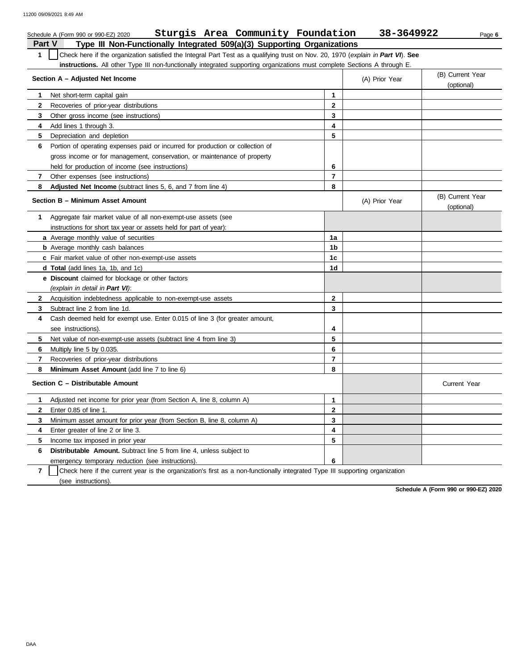| Sturgis Area Community Foundation<br>Schedule A (Form 990 or 990-EZ) 2020                                                                        |                         | 38-3649922     | Page 6                         |
|--------------------------------------------------------------------------------------------------------------------------------------------------|-------------------------|----------------|--------------------------------|
| Type III Non-Functionally Integrated 509(a)(3) Supporting Organizations<br>Part V                                                                |                         |                |                                |
| $\mathbf{1}$<br>Check here if the organization satisfied the Integral Part Test as a qualifying trust on Nov. 20, 1970 (explain in Part VI). See |                         |                |                                |
| instructions. All other Type III non-functionally integrated supporting organizations must complete Sections A through E.                        |                         |                |                                |
| Section A - Adjusted Net Income                                                                                                                  |                         | (A) Prior Year | (B) Current Year<br>(optional) |
| Net short-term capital gain<br>1                                                                                                                 | $\mathbf{1}$            |                |                                |
| $\mathbf{2}$<br>Recoveries of prior-year distributions                                                                                           | $\overline{2}$          |                |                                |
| 3<br>Other gross income (see instructions)                                                                                                       | 3                       |                |                                |
| Add lines 1 through 3.<br>4                                                                                                                      | 4                       |                |                                |
| 5<br>Depreciation and depletion                                                                                                                  | 5                       |                |                                |
| 6<br>Portion of operating expenses paid or incurred for production or collection of                                                              |                         |                |                                |
| gross income or for management, conservation, or maintenance of property                                                                         |                         |                |                                |
| held for production of income (see instructions)                                                                                                 | 6                       |                |                                |
| 7<br>Other expenses (see instructions)                                                                                                           | $\overline{\mathbf{r}}$ |                |                                |
| Adjusted Net Income (subtract lines 5, 6, and 7 from line 4)<br>8                                                                                | 8                       |                |                                |
| Section B - Minimum Asset Amount                                                                                                                 |                         | (A) Prior Year | (B) Current Year<br>(optional) |
| Aggregate fair market value of all non-exempt-use assets (see<br>1                                                                               |                         |                |                                |
| instructions for short tax year or assets held for part of year):                                                                                |                         |                |                                |
| a Average monthly value of securities                                                                                                            | 1a                      |                |                                |
| <b>b</b> Average monthly cash balances                                                                                                           | 1b                      |                |                                |
| c Fair market value of other non-exempt-use assets                                                                                               | 1c                      |                |                                |
| <b>d Total</b> (add lines 1a, 1b, and 1c)                                                                                                        | 1d                      |                |                                |
| <b>e</b> Discount claimed for blockage or other factors                                                                                          |                         |                |                                |
| (explain in detail in Part VI):                                                                                                                  |                         |                |                                |
| $\mathbf{2}$<br>Acquisition indebtedness applicable to non-exempt-use assets                                                                     | $\overline{2}$          |                |                                |
| 3<br>Subtract line 2 from line 1d.                                                                                                               | 3                       |                |                                |
| Cash deemed held for exempt use. Enter 0.015 of line 3 (for greater amount,<br>4                                                                 |                         |                |                                |
| see instructions).                                                                                                                               | 4                       |                |                                |
| 5<br>Net value of non-exempt-use assets (subtract line 4 from line 3)                                                                            | 5                       |                |                                |
| Multiply line 5 by 0.035.<br>6                                                                                                                   | 6                       |                |                                |
| 7<br>Recoveries of prior-year distributions                                                                                                      | $\overline{7}$          |                |                                |
| 8<br>Minimum Asset Amount (add line 7 to line 6)                                                                                                 | 8                       |                |                                |
| Section C - Distributable Amount                                                                                                                 |                         |                | <b>Current Year</b>            |
| Adjusted net income for prior year (from Section A, line 8, column A)<br>1                                                                       | $\mathbf{1}$            |                |                                |
| $\mathbf{2}$<br>Enter 0.85 of line 1.                                                                                                            | $\overline{2}$          |                |                                |
| 3<br>Minimum asset amount for prior year (from Section B, line 8, column A)                                                                      | 3                       |                |                                |
| 4<br>Enter greater of line 2 or line 3.                                                                                                          | 4                       |                |                                |
| 5<br>Income tax imposed in prior year                                                                                                            | 5                       |                |                                |
| 6<br><b>Distributable Amount.</b> Subtract line 5 from line 4, unless subject to                                                                 |                         |                |                                |
| emergency temporary reduction (see instructions).                                                                                                | 6                       |                |                                |

**7** | Check here if the current year is the organization's first as a non-functionally integrated Type III supporting organization (see instructions).

**Schedule A (Form 990 or 990-EZ) 2020**

DAA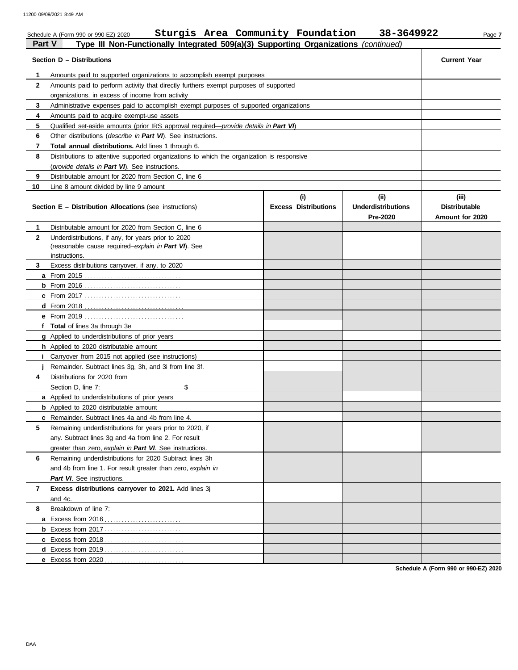| <b>Part V</b> | Sturgis Area Community Foundation<br>Schedule A (Form 990 or 990-EZ) 2020<br>Type III Non-Functionally Integrated 509(a)(3) Supporting Organizations (continued) |                             | 38-3649922                            | Page 7                                  |
|---------------|------------------------------------------------------------------------------------------------------------------------------------------------------------------|-----------------------------|---------------------------------------|-----------------------------------------|
|               | Section D - Distributions                                                                                                                                        |                             |                                       | <b>Current Year</b>                     |
| 1             | Amounts paid to supported organizations to accomplish exempt purposes                                                                                            |                             |                                       |                                         |
| $\mathbf{2}$  | Amounts paid to perform activity that directly furthers exempt purposes of supported                                                                             |                             |                                       |                                         |
|               | organizations, in excess of income from activity                                                                                                                 |                             |                                       |                                         |
| 3             | Administrative expenses paid to accomplish exempt purposes of supported organizations                                                                            |                             |                                       |                                         |
| 4             | Amounts paid to acquire exempt-use assets                                                                                                                        |                             |                                       |                                         |
| 5             | Qualified set-aside amounts (prior IRS approval required-provide details in Part VI)                                                                             |                             |                                       |                                         |
| 6             | Other distributions (describe in Part VI). See instructions.                                                                                                     |                             |                                       |                                         |
| 7             | <b>Total annual distributions.</b> Add lines 1 through 6.                                                                                                        |                             |                                       |                                         |
| 8             | Distributions to attentive supported organizations to which the organization is responsive                                                                       |                             |                                       |                                         |
|               | (provide details in Part VI). See instructions.                                                                                                                  |                             |                                       |                                         |
| 9             | Distributable amount for 2020 from Section C, line 6                                                                                                             |                             |                                       |                                         |
| 10            | Line 8 amount divided by line 9 amount                                                                                                                           |                             |                                       |                                         |
|               |                                                                                                                                                                  | (i)                         | (iii)                                 | (iii)                                   |
|               | <b>Section E - Distribution Allocations (see instructions)</b>                                                                                                   | <b>Excess Distributions</b> | <b>Underdistributions</b><br>Pre-2020 | <b>Distributable</b><br>Amount for 2020 |
| 1             | Distributable amount for 2020 from Section C, line 6                                                                                                             |                             |                                       |                                         |
| $\mathbf{2}$  | Underdistributions, if any, for years prior to 2020                                                                                                              |                             |                                       |                                         |
|               | (reasonable cause required-explain in Part VI). See                                                                                                              |                             |                                       |                                         |
|               | instructions.                                                                                                                                                    |                             |                                       |                                         |
| 3             | Excess distributions carryover, if any, to 2020                                                                                                                  |                             |                                       |                                         |
|               |                                                                                                                                                                  |                             |                                       |                                         |
|               |                                                                                                                                                                  |                             |                                       |                                         |
|               |                                                                                                                                                                  |                             |                                       |                                         |
|               |                                                                                                                                                                  |                             |                                       |                                         |
|               | e From 2019                                                                                                                                                      |                             |                                       |                                         |
|               | f Total of lines 3a through 3e                                                                                                                                   |                             |                                       |                                         |
|               | g Applied to underdistributions of prior years                                                                                                                   |                             |                                       |                                         |
|               | h Applied to 2020 distributable amount                                                                                                                           |                             |                                       |                                         |
|               | Carryover from 2015 not applied (see instructions)                                                                                                               |                             |                                       |                                         |
|               | Remainder. Subtract lines 3g, 3h, and 3i from line 3f.                                                                                                           |                             |                                       |                                         |
| 4             | Distributions for 2020 from                                                                                                                                      |                             |                                       |                                         |
|               | \$<br>Section D, line 7:                                                                                                                                         |                             |                                       |                                         |
|               | <b>a</b> Applied to underdistributions of prior years                                                                                                            |                             |                                       |                                         |
|               | <b>b</b> Applied to 2020 distributable amount                                                                                                                    |                             |                                       |                                         |
|               | <b>c</b> Remainder. Subtract lines 4a and 4b from line 4.                                                                                                        |                             |                                       |                                         |
| 5             | Remaining underdistributions for years prior to 2020, if                                                                                                         |                             |                                       |                                         |
|               | any. Subtract lines 3g and 4a from line 2. For result                                                                                                            |                             |                                       |                                         |
|               | greater than zero, explain in Part VI. See instructions.                                                                                                         |                             |                                       |                                         |
| 6             | Remaining underdistributions for 2020 Subtract lines 3h                                                                                                          |                             |                                       |                                         |
|               | and 4b from line 1. For result greater than zero, explain in                                                                                                     |                             |                                       |                                         |
|               | Part VI. See instructions.                                                                                                                                       |                             |                                       |                                         |
| 7             | Excess distributions carryover to 2021. Add lines 3j                                                                                                             |                             |                                       |                                         |
|               | and 4c.                                                                                                                                                          |                             |                                       |                                         |
| 8             | Breakdown of line 7:                                                                                                                                             |                             |                                       |                                         |
|               | <b>a</b> Excess from 2016<br>.                                                                                                                                   |                             |                                       |                                         |
|               |                                                                                                                                                                  |                             |                                       |                                         |

**Schedule A (Form 990 or 990-EZ) 2020**

**c** Excess from 2018 . . . . . . . . . . . . . . . . . . . . . . . . . . . . **d** Excess from 2019 . . . . . . . . . . . . . . . . . . . . . . . . . . . . **e** Excess from 2020 . . . . . . . . . . . . . . . . . . . . . . . . . . . .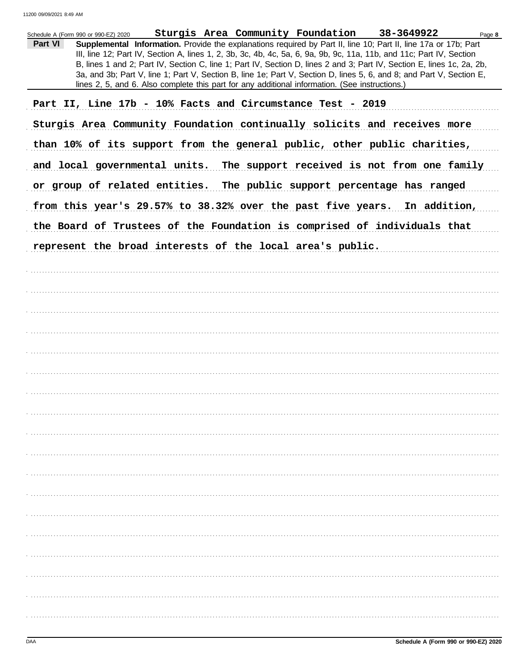| Schedule A (Form 990 or 990-EZ) 2020 Sturgis Area Community Foundation 38-3649922<br>Page 8<br>Part VI<br>Supplemental Information. Provide the explanations required by Part II, line 10; Part II, line 17a or 17b; Part<br>III, line 12; Part IV, Section A, lines 1, 2, 3b, 3c, 4b, 4c, 5a, 6, 9a, 9b, 9c, 11a, 11b, and 11c; Part IV, Section<br>B, lines 1 and 2; Part IV, Section C, line 1; Part IV, Section D, lines 2 and 3; Part IV, Section E, lines 1c, 2a, 2b,<br>3a, and 3b; Part V, line 1; Part V, Section B, line 1e; Part V, Section D, lines 5, 6, and 8; and Part V, Section E,<br>lines 2, 5, and 6. Also complete this part for any additional information. (See instructions.) |
|-------------------------------------------------------------------------------------------------------------------------------------------------------------------------------------------------------------------------------------------------------------------------------------------------------------------------------------------------------------------------------------------------------------------------------------------------------------------------------------------------------------------------------------------------------------------------------------------------------------------------------------------------------------------------------------------------------|
| Part II, Line 17b - 10% Facts and Circumstance Test - 2019                                                                                                                                                                                                                                                                                                                                                                                                                                                                                                                                                                                                                                            |
| Sturgis Area Community Foundation continually solicits and receives more                                                                                                                                                                                                                                                                                                                                                                                                                                                                                                                                                                                                                              |
| than 10% of its support from the general public, other public charities,                                                                                                                                                                                                                                                                                                                                                                                                                                                                                                                                                                                                                              |
| and local governmental units. The support received is not from one family                                                                                                                                                                                                                                                                                                                                                                                                                                                                                                                                                                                                                             |
| or group of related entities. The public support percentage has ranged                                                                                                                                                                                                                                                                                                                                                                                                                                                                                                                                                                                                                                |
| from this year's 29.57% to 38.32% over the past five years. In addition,                                                                                                                                                                                                                                                                                                                                                                                                                                                                                                                                                                                                                              |
| the Board of Trustees of the Foundation is comprised of individuals that                                                                                                                                                                                                                                                                                                                                                                                                                                                                                                                                                                                                                              |
| represent the broad interests of the local area's public.                                                                                                                                                                                                                                                                                                                                                                                                                                                                                                                                                                                                                                             |
|                                                                                                                                                                                                                                                                                                                                                                                                                                                                                                                                                                                                                                                                                                       |
|                                                                                                                                                                                                                                                                                                                                                                                                                                                                                                                                                                                                                                                                                                       |
|                                                                                                                                                                                                                                                                                                                                                                                                                                                                                                                                                                                                                                                                                                       |
|                                                                                                                                                                                                                                                                                                                                                                                                                                                                                                                                                                                                                                                                                                       |
|                                                                                                                                                                                                                                                                                                                                                                                                                                                                                                                                                                                                                                                                                                       |
|                                                                                                                                                                                                                                                                                                                                                                                                                                                                                                                                                                                                                                                                                                       |
|                                                                                                                                                                                                                                                                                                                                                                                                                                                                                                                                                                                                                                                                                                       |
|                                                                                                                                                                                                                                                                                                                                                                                                                                                                                                                                                                                                                                                                                                       |
|                                                                                                                                                                                                                                                                                                                                                                                                                                                                                                                                                                                                                                                                                                       |
|                                                                                                                                                                                                                                                                                                                                                                                                                                                                                                                                                                                                                                                                                                       |
|                                                                                                                                                                                                                                                                                                                                                                                                                                                                                                                                                                                                                                                                                                       |
|                                                                                                                                                                                                                                                                                                                                                                                                                                                                                                                                                                                                                                                                                                       |
|                                                                                                                                                                                                                                                                                                                                                                                                                                                                                                                                                                                                                                                                                                       |
|                                                                                                                                                                                                                                                                                                                                                                                                                                                                                                                                                                                                                                                                                                       |
|                                                                                                                                                                                                                                                                                                                                                                                                                                                                                                                                                                                                                                                                                                       |
|                                                                                                                                                                                                                                                                                                                                                                                                                                                                                                                                                                                                                                                                                                       |
|                                                                                                                                                                                                                                                                                                                                                                                                                                                                                                                                                                                                                                                                                                       |
|                                                                                                                                                                                                                                                                                                                                                                                                                                                                                                                                                                                                                                                                                                       |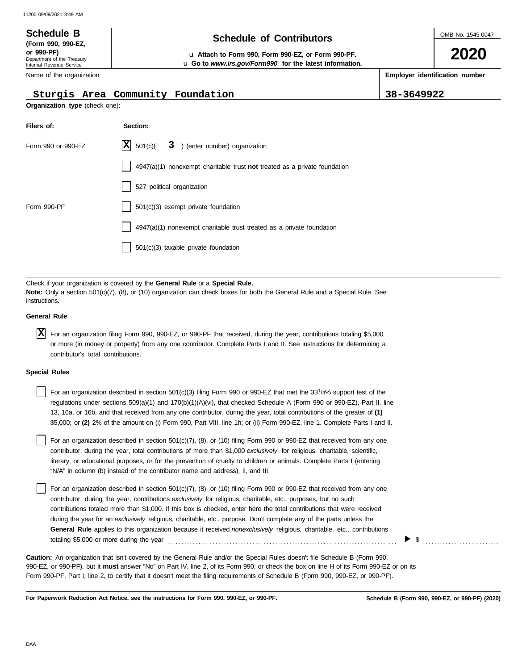### OMB No. 1545-0047 Department of the Treasury Internal Revenue Service Name of the organization **2020 Schedule of Contributors Schedule B (Form 990, 990-EZ, or 990-PF)** u **Attach to Form 990, Form 990-EZ, or Form 990-PF. Employer identification number Organization type** (check one): u **Go to** *www.irs.gov/Form990* **for the latest information. Sturgis Area Community Foundation 38-3649922**

| Filers of:         | Section:                                                                    |
|--------------------|-----------------------------------------------------------------------------|
| Form 990 or 990-EZ | $X \ 501(c)$<br>3 ) (enter number) organization                             |
|                    | $4947(a)(1)$ nonexempt charitable trust not treated as a private foundation |
|                    | 527 political organization                                                  |
| Form 990-PF        | 501(c)(3) exempt private foundation                                         |
|                    | 4947(a)(1) nonexempt charitable trust treated as a private foundation       |
|                    | 501(c)(3) taxable private foundation                                        |

Check if your organization is covered by the **General Rule** or a **Special Rule. Note:** Only a section 501(c)(7), (8), or (10) organization can check boxes for both the General Rule and a Special Rule. See instructions.

## **General Rule**

For an organization filing Form 990, 990-EZ, or 990-PF that received, during the year, contributions totaling \$5,000 **X** or more (in money or property) from any one contributor. Complete Parts I and II. See instructions for determining a contributor's total contributions.

### **Special Rules**

| For an organization described in section 501(c)(3) filing Form 990 or 990-EZ that met the $33^{1/3\%}$ support test of the  |
|-----------------------------------------------------------------------------------------------------------------------------|
| regulations under sections 509(a)(1) and 170(b)(1)(A)(vi), that checked Schedule A (Form 990 or 990-EZ), Part II, line      |
| 13, 16a, or 16b, and that received from any one contributor, during the year, total contributions of the greater of (1)     |
| \$5,000; or (2) 2% of the amount on (i) Form 990, Part VIII, line 1h; or (ii) Form 990-EZ, line 1. Complete Parts I and II. |

literary, or educational purposes, or for the prevention of cruelty to children or animals. Complete Parts I (entering For an organization described in section 501(c)(7), (8), or (10) filing Form 990 or 990-EZ that received from any one contributor, during the year, total contributions of more than \$1,000 *exclusively* for religious, charitable, scientific, "N/A" in column (b) instead of the contributor name and address), II, and III.

For an organization described in section 501(c)(7), (8), or (10) filing Form 990 or 990-EZ that received from any one contributor, during the year, contributions *exclusively* for religious, charitable, etc., purposes, but no such contributions totaled more than \$1,000. If this box is checked, enter here the total contributions that were received during the year for an *exclusively* religious, charitable, etc., purpose. Don't complete any of the parts unless the **General Rule** applies to this organization because it received *nonexclusively* religious, charitable, etc., contributions totaling \$5,000 or more during the year . . . . . . . . . . . . . . . . . . . . . . . . . . . . . . . . . . . . . . . . . . . . . . . . . . . . . . . . . . . . . . . . . . . . . . . . . . . . . . . . .

990-EZ, or 990-PF), but it **must** answer "No" on Part IV, line 2, of its Form 990; or check the box on line H of its Form 990-EZ or on its Form 990-PF, Part I, line 2, to certify that it doesn't meet the filing requirements of Schedule B (Form 990, 990-EZ, or 990-PF). **Caution:** An organization that isn't covered by the General Rule and/or the Special Rules doesn't file Schedule B (Form 990,

**For Paperwork Reduction Act Notice, see the instructions for Form 990, 990-EZ, or 990-PF.**

 $\triangleright$  \$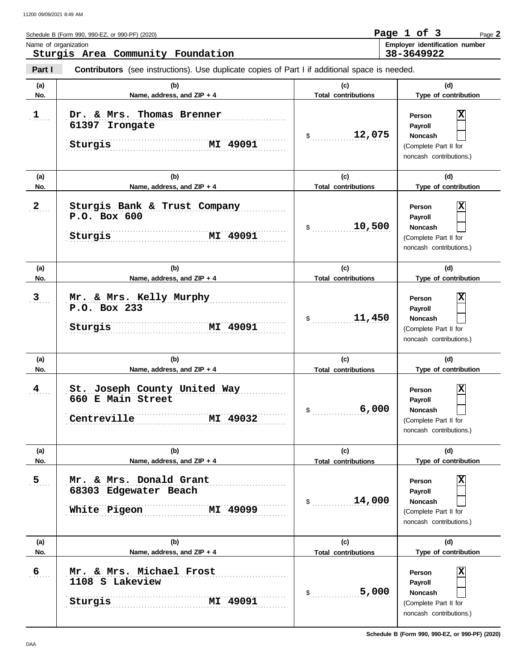**Part I** Schedule B (Form 990, 990-EZ, or 990-PF) (2020) **Contributors** (see instructions). Use duplicate copies of Part I if additional space is needed. Name of organization **Employer identification number** Page **2 Sturgis Area Community Foundation Page 1 of 3 38-3649922**

| (a)           | (b)                                                                          | (c)                               | (d)                                                                                          |
|---------------|------------------------------------------------------------------------------|-----------------------------------|----------------------------------------------------------------------------------------------|
| No.           | Name, address, and ZIP + 4                                                   | <b>Total contributions</b>        | Type of contribution                                                                         |
| $\mathbf{1}$  | Dr. & Mrs. Thomas Brenner<br>61397 Irongate<br>MI 49091<br>Sturgis           | 12,075<br>$\mathfrak s$           | Х<br>Person<br>Payroll<br><b>Noncash</b><br>(Complete Part II for<br>noncash contributions.) |
| (a)<br>No.    | (b)<br>Name, address, and ZIP + 4                                            | (c)<br><b>Total contributions</b> | (d)<br>Type of contribution                                                                  |
| 2             | Sturgis Bank & Trust Company<br>P.O. Box 600<br>MI 49091<br>Sturgis          | 10,500<br>\$                      | Χ<br>Person<br>Payroll<br><b>Noncash</b><br>(Complete Part II for<br>noncash contributions.) |
| (a)<br>No.    | (b)<br>Name, address, and ZIP + 4                                            | (c)<br><b>Total contributions</b> | (d)<br>Type of contribution                                                                  |
| 3             | Mr. & Mrs. Kelly Murphy<br>P.O. Box 233<br>MI 49091<br>Sturgis               | 11,450<br>$\mathsf{\$}$           | Х<br>Person<br>Payroll<br><b>Noncash</b><br>(Complete Part II for<br>noncash contributions.) |
| (a)<br>No.    | (b)<br>Name, address, and ZIP + 4                                            | (c)<br><b>Total contributions</b> | (d)<br>Type of contribution                                                                  |
| $\frac{4}{1}$ | St. Joseph County United Way<br>660 E Main Street<br>Centreville<br>MI 49032 | 6,000<br>\$                       | Χ<br>Person<br>Payroll<br>Noncash<br>(Complete Part II for<br>noncash contributions.)        |
| (a)<br>No.    | (b)<br>Name, address, and ZIP + 4                                            | (c)<br><b>Total contributions</b> | (d)<br>Type of contribution                                                                  |
| 5 <sub></sub> | Mr. & Mrs. Donald Grant<br>68303 Edgewater Beach<br>White Pigeon<br>MI 49099 | 14,000<br>$\mathfrak s$           | Χ<br>Person<br>Payroll<br>Noncash<br>(Complete Part II for<br>noncash contributions.)        |
| (a)<br>No.    | (b)<br>Name, address, and ZIP + 4                                            | (c)<br><b>Total contributions</b> | (d)<br>Type of contribution                                                                  |
| 6             | Mr. & Mrs. Michael Frost<br>1108 S Lakeview<br><b>MI 49091</b><br>Sturgis    | 5,000<br>$\frac{1}{2}$            | X<br>Person<br>Payroll<br>Noncash<br>(Complete Part II for<br>noncash contributions.)        |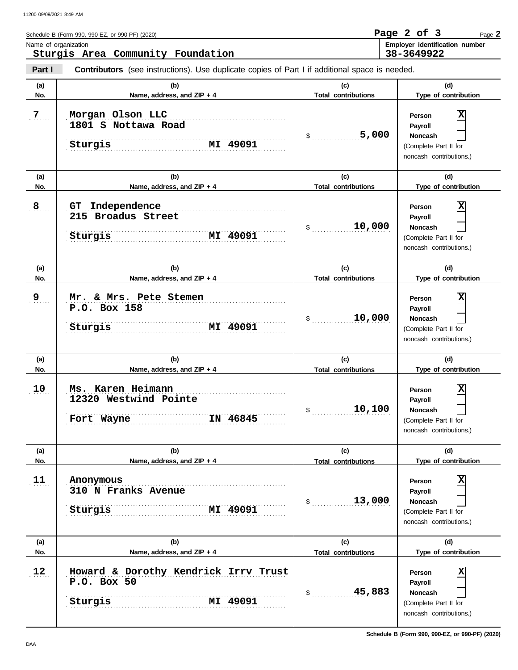$9 \quad .$ 

10

 $11$ 

 $12$ 

Sturgis

**P.O. Box 50**

**11 Anonymous**

**No. Name, address, and ZIP + 4**

**P.O. Box 158**

| Name of organization | Schedule B (Form 990, 990-EZ, or 990-PF) (2020)<br>Sturgis Area Community Foundation |                                                                                                       |                                   | Page 2 of 3<br>Page 2<br>Employer identification number<br>38-3649922                                              |
|----------------------|--------------------------------------------------------------------------------------|-------------------------------------------------------------------------------------------------------|-----------------------------------|--------------------------------------------------------------------------------------------------------------------|
| Part I               |                                                                                      | <b>Contributors</b> (see instructions). Use duplicate copies of Part I if additional space is needed. |                                   |                                                                                                                    |
| (a)<br>No.           |                                                                                      | (b)<br>Name, address, and ZIP + 4                                                                     | (c)<br><b>Total contributions</b> | (d)<br>Type of contribution                                                                                        |
| $\overline{7}$       | Morgan Olson LLC<br>1801 S Nottawa Road<br>Sturgis                                   | <b>MI 49091</b>                                                                                       | 5,000<br>\$                       | $\overline{\mathbf{x}}$<br>Person<br>Payroll<br><b>Noncash</b><br>(Complete Part II for<br>noncash contributions.) |
| (a)                  |                                                                                      | (b)                                                                                                   | (c)                               | (d)                                                                                                                |
| No.                  |                                                                                      | Name, address, and ZIP + 4                                                                            | <b>Total contributions</b>        | Type of contribution                                                                                               |
| 8                    | Independence<br>GT.<br>215 Broadus Street<br>Sturgis                                 | <b>MI 49091</b>                                                                                       | 10,000                            | X<br>Person<br><b>Payroll</b><br><b>Noncash</b><br>(Complete Part II for<br>noncash contributions.)                |
| (a)                  |                                                                                      | (b)                                                                                                   | (c)                               | (d)                                                                                                                |

**(a) (b) (c) (d) No. Name, address, and ZIP + 4 Type of contribution**

**(a) (b) (c) (d) No. Name, address, and ZIP + 4 Type of contribution**

**(a) (b) (c) (d)** No. No. Name, address, and ZIP + 4 **Total contributions** Type of contribution

**Sturgis MI 49091**

. . . . . . . . . . . . . . . . . . . . . . . . . . . . . . . . . . . . . . . . . . . . . . . . . . . . . . . . . . . . . . . . . . . . . . . . . . . . .

. . . . . . . . . . . . . . . . . . . . . . . . . . . . . . . . . . . . . . . . . . . . . . . . . . . . . . . . . . . . . . . . . . . . . . . . . . . . .

. . . . . . . . . . . . . . . . . . . . . . . . . . . . . . . . . . . . . . . . . . . . . . . . . . . . . . . . . . . . . . . . . . . . . . . . . . . . . **Fort Wayne IN 46845** . . . . . . . . . . . . . . . . . . . . . . . . . . . . . . . . . . . . . . . . . . . . . . . . . . . . . . . . . . . . . . . . . . . . . . . . . . . . .

. . . . . . . . . . . . . . . . . . . . . . . . . . . . . . . . . . . . . . . . . . . . . . . . . . . . . . . . . . . . . . . . . . . . . . . . . . . . . . . . . . . . . . . . . . . . . . . . . . . . . . . . . . . . . . . . . . . . . . . . . . . . . . . . . . . . . . . . . . . . . . . . . . . . . . . . . .

. . . . . . . . . . . . . . . . . . . . . . . . . . . . . . . . . . . . . . . . . . . . . . . . . . . . . . . . . . . . . . . . . . . . . . . . . . . . . **10 Ms. Karen Heimann**

**12320 Westwind Pointe**

**310 N Franks Avenue**

. . . . . . . . . . . . . . . . . . . . . . . . . . . . . . . . . . . . . . . . . . . . . . . . . . . . . . . . . . . . . . . . . . . . . . . . . . . . . **9 Mr. & Mrs. Pete Stemen**

**Sturgis MI 49091**

. . . . . . . . . . . . . . . . . . . . . . . . . . . . . . . . . . . . . . . . . . . . . . . . . . . . . . . . . . . . . . . . . . . . . . . . . . . . . . . . . . . . . . . . . . . . . . . . . . . . . . . . . . . . . . . . . . . . . . . . . . . . . . . . . . . . . . . . . . . . . . . . . . . . . . . . . . **Sturgis MI 49091**

12 | Howard & Dorothy Kendrick Irrv Trust

(Complete Part II for noncash contributions.)

**Type of contribution**

**X**

**X**

**X**

**X**

**Person Payroll Noncash**

(Complete Part II for noncash contributions.)

(Complete Part II for noncash contributions.)

(Complete Part II for noncash contributions.)

\$ . . . . . . . . . . . . . . . . . . . . . . . . . . . . **10,000**

**Total contributions**

\$ . . . . . . . . . . . . . . . . . . . . . . . . . . . . **10,100**

**Total contributions**

\$ . . . . . . . . . . . . . . . . . . . . . . . . . . . . **13,000**

**Total contributions**

\$ . . . . . . . . . . . . . . . . . . . . . . . . . . . . **45,883**

**Total contributions**

**Person Payroll Noncash**

**Person Payroll Noncash**

**Person Payroll Noncash**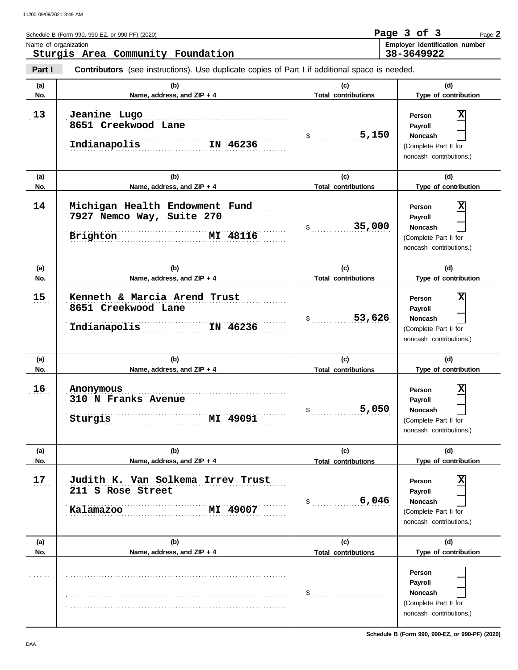| Schedule B (Form 990, 990-EZ, or 990-PF) (2020)                                                                 | Page 3 of 3 |            | Page $2$                       |
|-----------------------------------------------------------------------------------------------------------------|-------------|------------|--------------------------------|
| Name of organization<br>Sturgis Area Community Foundation                                                       |             | 38-3649922 | Employer identification number |
| Part I<br><b>Contributors</b> (see instructions). Use duplicate copies of Part I if additional space is needed. |             |            |                                |

|            | (b)                                                                                 |                                   | (d)                                                                                          |
|------------|-------------------------------------------------------------------------------------|-----------------------------------|----------------------------------------------------------------------------------------------|
| (a)<br>No. | Name, address, and ZIP + 4                                                          | (c)<br><b>Total contributions</b> | Type of contribution                                                                         |
| 13         | Jeanine Lugo<br>8651 Creekwood Lane<br>IN 46236<br>Indianapolis                     | 5,150<br>$\sim$                   | х<br>Person<br>Payroll<br><b>Noncash</b><br>(Complete Part II for<br>noncash contributions.) |
| (a)        | (b)                                                                                 | (c)                               | (d)                                                                                          |
| No.        | Name, address, and ZIP + 4                                                          | <b>Total contributions</b>        | Type of contribution                                                                         |
| 14         | Michigan Health Endowment Fund<br>7927 Nemco Way, Suite 270<br>MI 48116<br>Brighton | 35,000<br>$\sim$                  | х<br>Person<br>Payroll<br><b>Noncash</b><br>(Complete Part II for<br>noncash contributions.) |
| (a)        | (b)                                                                                 | (c)                               | (d)                                                                                          |
| No.        | Name, address, and ZIP + 4                                                          | <b>Total contributions</b>        | Type of contribution                                                                         |
| 15         | Kenneth & Marcia Arend Trust<br>8651 Creekwood Lane<br>IN 46236<br>Indianapolis     | 53,626<br>$\mathfrak s$           | х<br>Person<br>Payroll<br><b>Noncash</b><br>(Complete Part II for<br>noncash contributions.) |
| (a)<br>No. | (b)<br>Name, address, and ZIP + 4                                                   | (c)<br><b>Total contributions</b> | (d)<br>Type of contribution                                                                  |
| 16         | Anonymous<br>310 N Franks Avenue<br>MI 49091<br>Sturgis                             | 5,050<br>\$                       | X<br>Person<br>Payroll<br><b>Noncash</b><br>(Complete Part II for<br>noncash contributions.) |
| (a)<br>No. | (b)<br>Name, address, and ZIP + 4                                                   | (c)<br><b>Total contributions</b> | (d)<br>Type of contribution                                                                  |
| 17         | Judith K. Van Solkema Irrev Trust<br>211 S Rose Street<br>Kalamazoo<br>49007<br>MI  | 6,046<br>$\mathsf{S}$             | х<br>Person<br>Payroll<br><b>Noncash</b><br>(Complete Part II for<br>noncash contributions.) |
| (a)<br>No. | (b)<br>Name, address, and ZIP + 4                                                   | (c)<br><b>Total contributions</b> | (d)<br>Type of contribution                                                                  |
|            |                                                                                     | \$                                | Person<br>Payroll<br><b>Noncash</b><br>(Complete Part II for<br>noncash contributions.)      |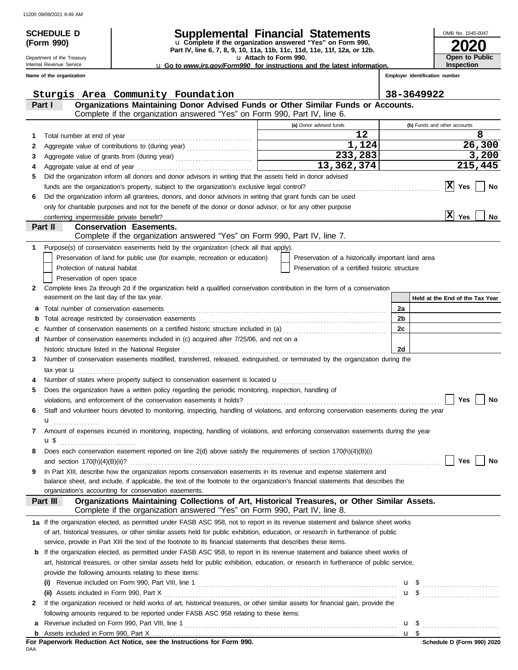**(Form 990)**

# **SCHEDULE D Supplemental Financial Statements**

**Part IV, line 6, 7, 8, 9, 10, 11a, 11b, 11c, 11d, 11e, 11f, 12a, or 12b.** u **Complete if the organization answered "Yes" on Form 990,**

u **Attach to Form 990.** 

u **Go to** *www.irs.gov/Form990* **for instructions and the latest information.**

Internal Revenue Service **Name of the organization**

Department of the Treasury

|    | Sturgis Area Community Foundation                                                                                                                                          |                                                    |                      | 38-3649922                      |
|----|----------------------------------------------------------------------------------------------------------------------------------------------------------------------------|----------------------------------------------------|----------------------|---------------------------------|
|    | Organizations Maintaining Donor Advised Funds or Other Similar Funds or Accounts.<br>Part I                                                                                |                                                    |                      |                                 |
|    | Complete if the organization answered "Yes" on Form 990, Part IV, line 6.                                                                                                  |                                                    |                      |                                 |
|    |                                                                                                                                                                            | (a) Donor advised funds                            |                      | (b) Funds and other accounts    |
| 1  |                                                                                                                                                                            | 12                                                 |                      | 8                               |
| 2  | Aggregate value of contributions to (during year)                                                                                                                          | 1,124                                              |                      | 26,300                          |
| 3  |                                                                                                                                                                            | $\overline{233,283}$                               |                      | 3,200                           |
| 4  |                                                                                                                                                                            | 13,362,374                                         |                      | 215,445                         |
| 5  | Did the organization inform all donors and donor advisors in writing that the assets held in donor advised                                                                 |                                                    |                      |                                 |
|    |                                                                                                                                                                            |                                                    |                      | $ {\bf X} $<br>Yes<br>No        |
| 6  | Did the organization inform all grantees, donors, and donor advisors in writing that grant funds can be used                                                               |                                                    |                      |                                 |
|    | only for charitable purposes and not for the benefit of the donor or donor advisor, or for any other purpose                                                               |                                                    |                      |                                 |
|    | conferring impermissible private benefit?                                                                                                                                  |                                                    |                      | x <br>Yes<br>No                 |
|    | <b>Conservation Easements.</b><br>Part II                                                                                                                                  |                                                    |                      |                                 |
|    | Complete if the organization answered "Yes" on Form 990, Part IV, line 7.                                                                                                  |                                                    |                      |                                 |
| 1. | Purpose(s) of conservation easements held by the organization (check all that apply).                                                                                      |                                                    |                      |                                 |
|    | Preservation of land for public use (for example, recreation or education)                                                                                                 | Preservation of a historically important land area |                      |                                 |
|    | Protection of natural habitat                                                                                                                                              | Preservation of a certified historic structure     |                      |                                 |
|    | Preservation of open space                                                                                                                                                 |                                                    |                      |                                 |
| 2  | Complete lines 2a through 2d if the organization held a qualified conservation contribution in the form of a conservation                                                  |                                                    |                      |                                 |
|    | easement on the last day of the tax year.                                                                                                                                  |                                                    |                      | Held at the End of the Tax Year |
| a  | Total number of conservation easements                                                                                                                                     |                                                    | 2a                   |                                 |
| b  |                                                                                                                                                                            |                                                    | 2 <sub>b</sub><br>2c |                                 |
| c  | Number of conservation easements on a certified historic structure included in (a) [11] Number of conservation easements on a certified historic structure included in (a) |                                                    |                      |                                 |
|    | d Number of conservation easements included in (c) acquired after 7/25/06, and not on a<br>historic structure listed in the National Register                              |                                                    | 2d                   |                                 |
| 3  | Number of conservation easements modified, transferred, released, extinguished, or terminated by the organization during the                                               |                                                    |                      |                                 |
|    |                                                                                                                                                                            |                                                    |                      |                                 |
|    | tax year $\mathbf u$<br>Number of states where property subject to conservation easement is located <b>u</b>                                                               |                                                    |                      |                                 |
| 5  | Does the organization have a written policy regarding the periodic monitoring, inspection, handling of                                                                     |                                                    |                      |                                 |
|    |                                                                                                                                                                            |                                                    |                      | Yes<br>No                       |
| 6  | Staff and volunteer hours devoted to monitoring, inspecting, handling of violations, and enforcing conservation easements during the year                                  |                                                    |                      |                                 |
|    | u<br>.                                                                                                                                                                     |                                                    |                      |                                 |
| 7  | Amount of expenses incurred in monitoring, inspecting, handling of violations, and enforcing conservation easements during the year                                        |                                                    |                      |                                 |
|    |                                                                                                                                                                            |                                                    |                      |                                 |
| 8  | Does each conservation easement reported on line 2(d) above satisfy the requirements of section 170(h)(4)(B)(i)                                                            |                                                    |                      |                                 |
|    |                                                                                                                                                                            |                                                    |                      | No<br>Yes                       |
| 9  | In Part XIII, describe how the organization reports conservation easements in its revenue and expense statement and                                                        |                                                    |                      |                                 |
|    | balance sheet, and include, if applicable, the text of the footnote to the organization's financial statements that describes the                                          |                                                    |                      |                                 |
|    | organization's accounting for conservation easements.                                                                                                                      |                                                    |                      |                                 |
|    | Organizations Maintaining Collections of Art, Historical Treasures, or Other Similar Assets.<br>Part III                                                                   |                                                    |                      |                                 |
|    | Complete if the organization answered "Yes" on Form 990, Part IV, line 8.                                                                                                  |                                                    |                      |                                 |
|    | 1a If the organization elected, as permitted under FASB ASC 958, not to report in its revenue statement and balance sheet works                                            |                                                    |                      |                                 |
|    | of art, historical treasures, or other similar assets held for public exhibition, education, or research in furtherance of public                                          |                                                    |                      |                                 |
|    | service, provide in Part XIII the text of the footnote to its financial statements that describes these items.                                                             |                                                    |                      |                                 |
|    | <b>b</b> If the organization elected, as permitted under FASB ASC 958, to report in its revenue statement and balance sheet works of                                       |                                                    |                      |                                 |
|    | art, historical treasures, or other similar assets held for public exhibition, education, or research in furtherance of public service,                                    |                                                    |                      |                                 |
|    | provide the following amounts relating to these items:                                                                                                                     |                                                    |                      |                                 |
|    | $\mathbf{u}$                                                                                                                                                               |                                                    |                      |                                 |
|    |                                                                                                                                                                            |                                                    |                      |                                 |
| 2  | If the organization received or held works of art, historical treasures, or other similar assets for financial gain, provide the                                           |                                                    |                      |                                 |
|    | following amounts required to be reported under FASB ASC 958 relating to these items:                                                                                      |                                                    |                      |                                 |
| а  |                                                                                                                                                                            |                                                    |                      | $\mathbf{u}$ \$                 |
| b  |                                                                                                                                                                            |                                                    | u \$                 |                                 |

DAA **For Paperwork Reduction Act Notice, see the Instructions for Form 990.** **2020**

**Open to Public Inspection**

 $\overline{\phantom{0}}$ 

 $\overline{a}$  $\overline{\phantom{0}}$ 

OMB No. 1545-0047

**Employer identification number**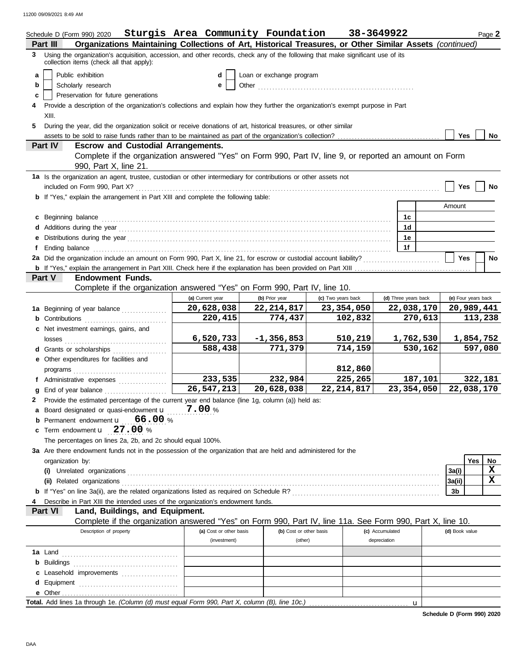|   | Schedule D (Form 990) 2020                                                                                                                                                    | Sturgis Area Community Foundation 38-3649922 |                           |                    |                 |                      |                | Page 2               |  |  |  |
|---|-------------------------------------------------------------------------------------------------------------------------------------------------------------------------------|----------------------------------------------|---------------------------|--------------------|-----------------|----------------------|----------------|----------------------|--|--|--|
|   | Organizations Maintaining Collections of Art, Historical Treasures, or Other Similar Assets (continued)<br>Part III                                                           |                                              |                           |                    |                 |                      |                |                      |  |  |  |
|   | 3 Using the organization's acquisition, accession, and other records, check any of the following that make significant use of its<br>collection items (check all that apply): |                                              |                           |                    |                 |                      |                |                      |  |  |  |
| a | Public exhibition                                                                                                                                                             | d                                            | Loan or exchange program  |                    |                 |                      |                |                      |  |  |  |
| b | Scholarly research<br>е                                                                                                                                                       |                                              |                           |                    |                 |                      |                |                      |  |  |  |
| c | Preservation for future generations                                                                                                                                           |                                              |                           |                    |                 |                      |                |                      |  |  |  |
|   | Provide a description of the organization's collections and explain how they further the organization's exempt purpose in Part                                                |                                              |                           |                    |                 |                      |                |                      |  |  |  |
| 5 | XIII.                                                                                                                                                                         |                                              |                           |                    |                 |                      |                |                      |  |  |  |
|   | During the year, did the organization solicit or receive donations of art, historical treasures, or other similar<br>Yes<br>No                                                |                                              |                           |                    |                 |                      |                |                      |  |  |  |
|   | <b>Escrow and Custodial Arrangements.</b><br>Part IV                                                                                                                          |                                              |                           |                    |                 |                      |                |                      |  |  |  |
|   | Complete if the organization answered "Yes" on Form 990, Part IV, line 9, or reported an amount on Form                                                                       |                                              |                           |                    |                 |                      |                |                      |  |  |  |
|   | 990, Part X, line 21.                                                                                                                                                         |                                              |                           |                    |                 |                      |                |                      |  |  |  |
|   | 1a Is the organization an agent, trustee, custodian or other intermediary for contributions or other assets not                                                               |                                              |                           |                    |                 |                      |                |                      |  |  |  |
|   |                                                                                                                                                                               |                                              |                           |                    |                 |                      | <b>Yes</b>     | No                   |  |  |  |
|   | <b>b</b> If "Yes," explain the arrangement in Part XIII and complete the following table:                                                                                     |                                              |                           |                    |                 |                      |                |                      |  |  |  |
|   |                                                                                                                                                                               |                                              |                           |                    |                 |                      | Amount         |                      |  |  |  |
|   | c Beginning balance                                                                                                                                                           |                                              |                           |                    |                 | 1c<br>1 <sub>d</sub> |                |                      |  |  |  |
|   |                                                                                                                                                                               |                                              |                           |                    |                 | 1e                   |                |                      |  |  |  |
| f |                                                                                                                                                                               |                                              |                           |                    |                 | 1f                   |                |                      |  |  |  |
|   | 2a Did the organization include an amount on Form 990, Part X, line 21, for escrow or custodial account liability?                                                            |                                              |                           |                    |                 |                      | <b>Yes</b>     | No                   |  |  |  |
|   |                                                                                                                                                                               |                                              |                           |                    |                 |                      |                |                      |  |  |  |
|   | Part V<br><b>Endowment Funds.</b>                                                                                                                                             |                                              |                           |                    |                 |                      |                |                      |  |  |  |
|   | Complete if the organization answered "Yes" on Form 990, Part IV, line 10.                                                                                                    |                                              |                           |                    |                 |                      |                |                      |  |  |  |
|   |                                                                                                                                                                               | (a) Current year                             | (b) Prior year            | (c) Two years back |                 | (d) Three years back |                | (e) Four years back  |  |  |  |
|   | 1a Beginning of year balance                                                                                                                                                  | 20,628,038                                   | 22, 214, 817              | 23,354,050         |                 | 22,038,170           |                | 20,989,441           |  |  |  |
|   |                                                                                                                                                                               | 220,415                                      | 774,437                   | 102,832            |                 | 270,613              |                | 113,238              |  |  |  |
|   | c Net investment earnings, gains, and                                                                                                                                         |                                              |                           |                    |                 |                      |                |                      |  |  |  |
|   | losses<br>d Grants or scholarships                                                                                                                                            | 6,520,733<br>588,438                         | $-1, 356, 853$<br>771,379 | 510,219<br>714,159 |                 | 1,762,530<br>530,162 |                | 1,854,752<br>597,080 |  |  |  |
|   | e Other expenditures for facilities and                                                                                                                                       |                                              |                           |                    |                 |                      |                |                      |  |  |  |
|   | $\mathsf{programs}_{\dots},\dots,\dots,\dots,\dots,\dots,\dots,\dots}$                                                                                                        |                                              |                           | 812,860            |                 |                      |                |                      |  |  |  |
|   | f Administrative expenses                                                                                                                                                     | 233,535                                      | 232,984                   | 225,265            |                 | 187,101              |                | 322,181              |  |  |  |
| a | End of year balance                                                                                                                                                           | 26, 547, 213                                 | 20,628,038                | 22, 214, 817       |                 | 23,354,050           |                | 22,038,170           |  |  |  |
|   | 2 Provide the estimated percentage of the current year end balance (line 1g, column (a)) held as:                                                                             |                                              |                           |                    |                 |                      |                |                      |  |  |  |
|   | a Board designated or quasi-endowment u                                                                                                                                       | 7.00%                                        |                           |                    |                 |                      |                |                      |  |  |  |
|   | Permanent endowment <b>u</b> 66.00 %                                                                                                                                          |                                              |                           |                    |                 |                      |                |                      |  |  |  |
| c | Term endowment <b>u</b> 27.00 %                                                                                                                                               |                                              |                           |                    |                 |                      |                |                      |  |  |  |
|   | The percentages on lines 2a, 2b, and 2c should equal 100%.                                                                                                                    |                                              |                           |                    |                 |                      |                |                      |  |  |  |
|   | 3a Are there endowment funds not in the possession of the organization that are held and administered for the<br>organization by:                                             |                                              |                           |                    |                 |                      |                | Yes<br>No            |  |  |  |
|   |                                                                                                                                                                               |                                              |                           |                    |                 |                      | 3a(i)          | $\mathbf X$          |  |  |  |
|   |                                                                                                                                                                               |                                              |                           |                    |                 |                      | 3a(ii)         | X                    |  |  |  |
|   |                                                                                                                                                                               |                                              |                           |                    |                 |                      | 3b             |                      |  |  |  |
|   | Describe in Part XIII the intended uses of the organization's endowment funds.                                                                                                |                                              |                           |                    |                 |                      |                |                      |  |  |  |
|   | Part VI<br>Land, Buildings, and Equipment.                                                                                                                                    |                                              |                           |                    |                 |                      |                |                      |  |  |  |
|   | Complete if the organization answered "Yes" on Form 990, Part IV, line 11a. See Form 990, Part X, line 10.                                                                    |                                              |                           |                    |                 |                      |                |                      |  |  |  |
|   | Description of property                                                                                                                                                       | (a) Cost or other basis                      | (b) Cost or other basis   |                    | (c) Accumulated |                      | (d) Book value |                      |  |  |  |
|   |                                                                                                                                                                               | (investment)                                 | (other)                   |                    | depreciation    |                      |                |                      |  |  |  |
|   |                                                                                                                                                                               |                                              |                           |                    |                 |                      |                |                      |  |  |  |
|   | c Leasehold improvements                                                                                                                                                      |                                              |                           |                    |                 |                      |                |                      |  |  |  |
|   |                                                                                                                                                                               |                                              |                           |                    |                 |                      |                |                      |  |  |  |
|   |                                                                                                                                                                               |                                              |                           |                    |                 |                      |                |                      |  |  |  |
|   |                                                                                                                                                                               |                                              |                           |                    |                 | $\mathbf u$          |                |                      |  |  |  |

**Schedule D (Form 990) 2020**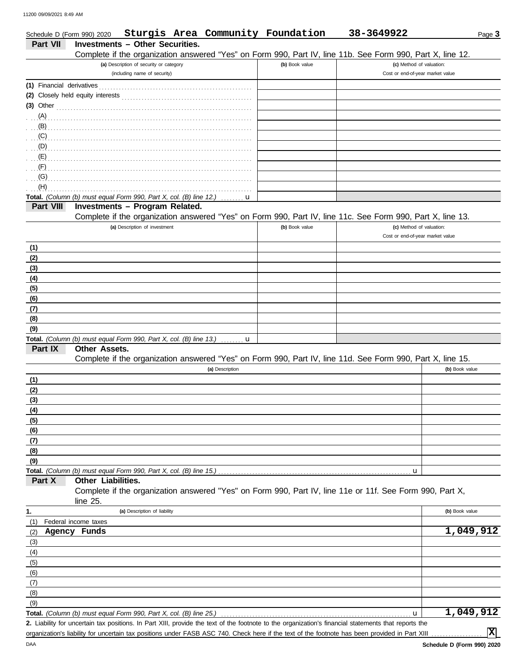| Schedule D (Form 990) 2020 |                                                                                     |                                         |                 | Sturgis Area Community Foundation | 38-3649922                                                                                                 | Page 3         |
|----------------------------|-------------------------------------------------------------------------------------|-----------------------------------------|-----------------|-----------------------------------|------------------------------------------------------------------------------------------------------------|----------------|
| <b>Part VII</b>            | <b>Investments - Other Securities.</b>                                              |                                         |                 |                                   |                                                                                                            |                |
|                            |                                                                                     |                                         |                 |                                   | Complete if the organization answered "Yes" on Form 990, Part IV, line 11b. See Form 990, Part X, line 12. |                |
|                            |                                                                                     | (a) Description of security or category |                 | (b) Book value                    | (c) Method of valuation:                                                                                   |                |
|                            |                                                                                     | (including name of security)            |                 |                                   | Cost or end-of-year market value                                                                           |                |
| (1) Financial derivatives  |                                                                                     |                                         |                 |                                   |                                                                                                            |                |
|                            |                                                                                     |                                         |                 |                                   |                                                                                                            |                |
| $(3)$ Other                |                                                                                     |                                         |                 |                                   |                                                                                                            |                |
| $(A)$ .                    |                                                                                     |                                         |                 |                                   |                                                                                                            |                |
| (B)                        |                                                                                     |                                         |                 |                                   |                                                                                                            |                |
| (C)                        |                                                                                     |                                         |                 |                                   |                                                                                                            |                |
| (D)                        |                                                                                     |                                         |                 |                                   |                                                                                                            |                |
| (E)                        |                                                                                     |                                         |                 |                                   |                                                                                                            |                |
| (F)                        |                                                                                     |                                         |                 |                                   |                                                                                                            |                |
| (G)                        |                                                                                     |                                         |                 |                                   |                                                                                                            |                |
| (H)                        |                                                                                     |                                         |                 |                                   |                                                                                                            |                |
|                            | Total. (Column (b) must equal Form 990, Part X, col. (B) line 12.)                  |                                         | u               |                                   |                                                                                                            |                |
| Part VIII                  | Investments - Program Related.                                                      |                                         |                 |                                   |                                                                                                            |                |
|                            |                                                                                     |                                         |                 |                                   | Complete if the organization answered "Yes" on Form 990, Part IV, line 11c. See Form 990, Part X, line 13. |                |
|                            |                                                                                     | (a) Description of investment           |                 | (b) Book value                    | (c) Method of valuation:<br>Cost or end-of-year market value                                               |                |
|                            |                                                                                     |                                         |                 |                                   |                                                                                                            |                |
| (1)                        |                                                                                     |                                         |                 |                                   |                                                                                                            |                |
| (2)                        |                                                                                     |                                         |                 |                                   |                                                                                                            |                |
| (3)                        |                                                                                     |                                         |                 |                                   |                                                                                                            |                |
| (4)                        |                                                                                     |                                         |                 |                                   |                                                                                                            |                |
| (5)                        |                                                                                     |                                         |                 |                                   |                                                                                                            |                |
| (6)                        |                                                                                     |                                         |                 |                                   |                                                                                                            |                |
| (7)                        |                                                                                     |                                         |                 |                                   |                                                                                                            |                |
| (8)                        |                                                                                     |                                         |                 |                                   |                                                                                                            |                |
| (9)                        |                                                                                     |                                         |                 |                                   |                                                                                                            |                |
| Part IX                    | Total. (Column (b) must equal Form 990, Part X, col. (B) line 13.)<br>Other Assets. |                                         | . <b>. u</b>    |                                   |                                                                                                            |                |
|                            |                                                                                     |                                         |                 |                                   | Complete if the organization answered "Yes" on Form 990, Part IV, line 11d. See Form 990, Part X, line 15. |                |
|                            |                                                                                     |                                         | (a) Description |                                   |                                                                                                            | (b) Book value |
| (1)                        |                                                                                     |                                         |                 |                                   |                                                                                                            |                |
| (2)                        |                                                                                     |                                         |                 |                                   |                                                                                                            |                |
| (3)                        |                                                                                     |                                         |                 |                                   |                                                                                                            |                |
| (4)                        |                                                                                     |                                         |                 |                                   |                                                                                                            |                |
| (5)                        |                                                                                     |                                         |                 |                                   |                                                                                                            |                |
| (6)                        |                                                                                     |                                         |                 |                                   |                                                                                                            |                |
| (7)                        |                                                                                     |                                         |                 |                                   |                                                                                                            |                |
| (8)                        |                                                                                     |                                         |                 |                                   |                                                                                                            |                |
| (9)                        |                                                                                     |                                         |                 |                                   |                                                                                                            |                |
|                            | Total. (Column (b) must equal Form 990, Part X, col. (B) line 15.)                  |                                         |                 |                                   | u                                                                                                          |                |
| Part X                     | Other Liabilities.                                                                  |                                         |                 |                                   |                                                                                                            |                |
|                            |                                                                                     |                                         |                 |                                   | Complete if the organization answered "Yes" on Form 990, Part IV, line 11e or 11f. See Form 990, Part X,   |                |
|                            | line 25.                                                                            |                                         |                 |                                   |                                                                                                            |                |
| 1.                         |                                                                                     | (a) Description of liability            |                 |                                   |                                                                                                            | (b) Book value |
| (1)                        | Federal income taxes                                                                |                                         |                 |                                   |                                                                                                            |                |
| (2)                        | Agency Funds                                                                        |                                         |                 |                                   |                                                                                                            | 1,049,912      |
| (3)                        |                                                                                     |                                         |                 |                                   |                                                                                                            |                |
| (4)                        |                                                                                     |                                         |                 |                                   |                                                                                                            |                |
| (5)                        |                                                                                     |                                         |                 |                                   |                                                                                                            |                |
| (6)                        |                                                                                     |                                         |                 |                                   |                                                                                                            |                |
| (7)                        |                                                                                     |                                         |                 |                                   |                                                                                                            |                |
| (8)                        |                                                                                     |                                         |                 |                                   |                                                                                                            |                |
| (9)                        |                                                                                     |                                         |                 |                                   |                                                                                                            |                |
|                            | Total. (Column (b) must equal Form 990, Part X, col. (B) line 25.)                  |                                         |                 |                                   | u                                                                                                          | 1,049,912      |

Liability for uncertain tax positions. In Part XIII, provide the text of the footnote to the organization's financial statements that reports the **2.** organization's liability for uncertain tax positions under FASB ASC 740. Check here if the text of the footnote has been provided in Part XIII

**X**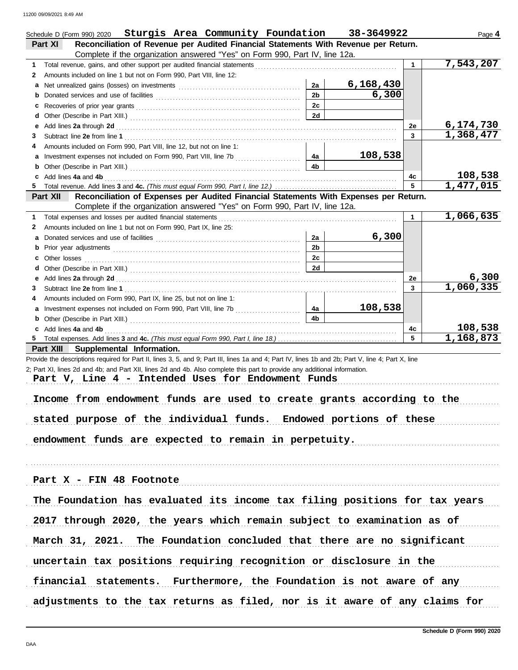|    | Schedule D (Form 990) 2020 Sturgis Area Community Foundation                                                                                                                                                                  |                | 38-3649922 |              | Page 4               |
|----|-------------------------------------------------------------------------------------------------------------------------------------------------------------------------------------------------------------------------------|----------------|------------|--------------|----------------------|
|    | Reconciliation of Revenue per Audited Financial Statements With Revenue per Return.<br>Part XI                                                                                                                                |                |            |              |                      |
|    | Complete if the organization answered "Yes" on Form 990, Part IV, line 12a.                                                                                                                                                   |                |            |              |                      |
| 1. |                                                                                                                                                                                                                               |                |            | $\mathbf{1}$ | 7,543,207            |
| 2  | Amounts included on line 1 but not on Form 990, Part VIII, line 12:                                                                                                                                                           |                |            |              |                      |
| a  |                                                                                                                                                                                                                               | 2a             | 6,168,430  |              |                      |
| b  |                                                                                                                                                                                                                               | 2 <sub>b</sub> | 6,300      |              |                      |
| c  |                                                                                                                                                                                                                               | 2c             |            |              |                      |
| d  |                                                                                                                                                                                                                               | 2d             |            |              |                      |
| е  | Add lines 2a through 2d [11] Add [12] Add [12] Add lines 2a through 2d [12] Add lines 2a through 2d [12] Add lines 2a through 2d [12] Additional Additional Additional Additional Additional Additional Additional Additional |                |            | 2e           | 6,174,730            |
| 3  |                                                                                                                                                                                                                               |                |            | 3            | 1,368,477            |
| 4  | Amounts included on Form 990, Part VIII, line 12, but not on line 1:                                                                                                                                                          |                |            |              |                      |
| a  |                                                                                                                                                                                                                               | 4a             | 108,538    |              |                      |
| b  |                                                                                                                                                                                                                               | 4b             |            |              |                      |
| c  | Add lines 4a and 4b                                                                                                                                                                                                           |                |            | 4с           | 108,538              |
| 5. |                                                                                                                                                                                                                               |                |            | 5            | 1,477,015            |
|    | Reconciliation of Expenses per Audited Financial Statements With Expenses per Return.<br>Part XII                                                                                                                             |                |            |              |                      |
|    | Complete if the organization answered "Yes" on Form 990, Part IV, line 12a.                                                                                                                                                   |                |            |              |                      |
| 1. | Total expenses and losses per audited financial statements                                                                                                                                                                    |                |            | 1            | 1,066,635            |
| 2  | Amounts included on line 1 but not on Form 990, Part IX, line 25:                                                                                                                                                             |                |            |              |                      |
| a  |                                                                                                                                                                                                                               | 2a             | 6,300      |              |                      |
| b  |                                                                                                                                                                                                                               | 2 <sub>b</sub> |            |              |                      |
| c  | Other losses                                                                                                                                                                                                                  | 2c             |            |              |                      |
| d  |                                                                                                                                                                                                                               | 2d             |            |              |                      |
|    |                                                                                                                                                                                                                               |                |            | 2е           | <u>6,300</u>         |
| е  | Add lines 2a through 2d [11] Additional Property and Table 2014 10:00 PM and Table 2014 10:00 PM and Table 20                                                                                                                 |                |            | 3            | 1,060,335            |
| 3  |                                                                                                                                                                                                                               |                |            |              |                      |
| 4  | Amounts included on Form 990, Part IX, line 25, but not on line 1:                                                                                                                                                            |                | 108,538    |              |                      |
| a  |                                                                                                                                                                                                                               | 4a             |            |              |                      |
| b  |                                                                                                                                                                                                                               | 4b             |            |              |                      |
|    | c Add lines 4a and 4b                                                                                                                                                                                                         |                |            | 4с           | 108,538<br>1,168,873 |
|    |                                                                                                                                                                                                                               |                |            | 5            |                      |
|    | Part XIII Supplemental Information.                                                                                                                                                                                           |                |            |              |                      |
|    | Provide the descriptions required for Part II, lines 3, 5, and 9; Part III, lines 1a and 4; Part IV, lines 1b and 2b; Part V, line 4; Part X, line                                                                            |                |            |              |                      |
|    | 2; Part XI, lines 2d and 4b; and Part XII, lines 2d and 4b. Also complete this part to provide any additional information.                                                                                                    |                |            |              |                      |
|    | Part V, Line 4 - Intended Uses for Endowment Funds                                                                                                                                                                            |                |            |              |                      |
|    |                                                                                                                                                                                                                               |                |            |              |                      |
|    | Income from endowment funds are used to create grants according to the                                                                                                                                                        |                |            |              |                      |
|    |                                                                                                                                                                                                                               |                |            |              |                      |
|    | stated purpose of the individual funds. Endowed portions of these                                                                                                                                                             |                |            |              |                      |
|    |                                                                                                                                                                                                                               |                |            |              |                      |
|    | endowment funds are expected to remain in perpetuity.                                                                                                                                                                         |                |            |              |                      |
|    |                                                                                                                                                                                                                               |                |            |              |                      |
|    |                                                                                                                                                                                                                               |                |            |              |                      |
|    |                                                                                                                                                                                                                               |                |            |              |                      |
|    | Part X - FIN 48 Footnote                                                                                                                                                                                                      |                |            |              |                      |
|    |                                                                                                                                                                                                                               |                |            |              |                      |
|    | The Foundation has evaluated its income tax filing positions for tax years                                                                                                                                                    |                |            |              |                      |
|    |                                                                                                                                                                                                                               |                |            |              |                      |
|    | 2017 through 2020, the years which remain subject to examination as of                                                                                                                                                        |                |            |              |                      |
|    |                                                                                                                                                                                                                               |                |            |              |                      |
|    | March 31, 2021. The Foundation concluded that there are no significant                                                                                                                                                        |                |            |              |                      |
|    |                                                                                                                                                                                                                               |                |            |              |                      |
|    | uncertain tax positions requiring recognition or disclosure in the                                                                                                                                                            |                |            |              |                      |
|    |                                                                                                                                                                                                                               |                |            |              |                      |
|    | financial statements. Furthermore, the Foundation is not aware of any                                                                                                                                                         |                |            |              |                      |
|    |                                                                                                                                                                                                                               |                |            |              |                      |
|    | adjustments to the tax returns as filed, nor is it aware of any claims for                                                                                                                                                    |                |            |              |                      |
|    |                                                                                                                                                                                                                               |                |            |              |                      |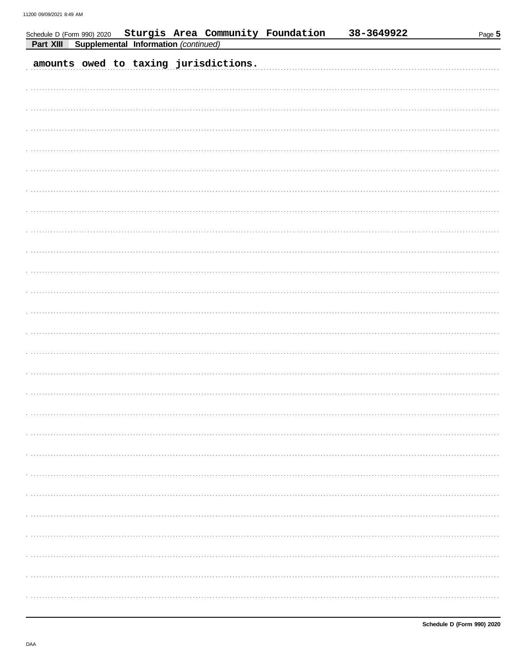| Schedule D (Form 990) 2020 Sturgis Area Community Foundation<br>Supplemental Information (continued)<br>Part XIII |  | 38-3649922 | Page 5 |
|-------------------------------------------------------------------------------------------------------------------|--|------------|--------|
| amounts owed to taxing jurisdictions.                                                                             |  |            |        |
|                                                                                                                   |  |            |        |
|                                                                                                                   |  |            |        |
|                                                                                                                   |  |            |        |
|                                                                                                                   |  |            |        |
|                                                                                                                   |  |            |        |
|                                                                                                                   |  |            |        |
|                                                                                                                   |  |            |        |
|                                                                                                                   |  |            |        |
|                                                                                                                   |  |            |        |
|                                                                                                                   |  |            |        |
|                                                                                                                   |  |            |        |
|                                                                                                                   |  |            |        |
|                                                                                                                   |  |            |        |
|                                                                                                                   |  |            |        |
|                                                                                                                   |  |            |        |
|                                                                                                                   |  |            |        |
|                                                                                                                   |  |            |        |
|                                                                                                                   |  |            |        |
|                                                                                                                   |  |            |        |
|                                                                                                                   |  |            |        |
|                                                                                                                   |  |            |        |
|                                                                                                                   |  |            |        |
|                                                                                                                   |  |            |        |
|                                                                                                                   |  |            |        |
|                                                                                                                   |  |            |        |
|                                                                                                                   |  |            |        |
|                                                                                                                   |  |            |        |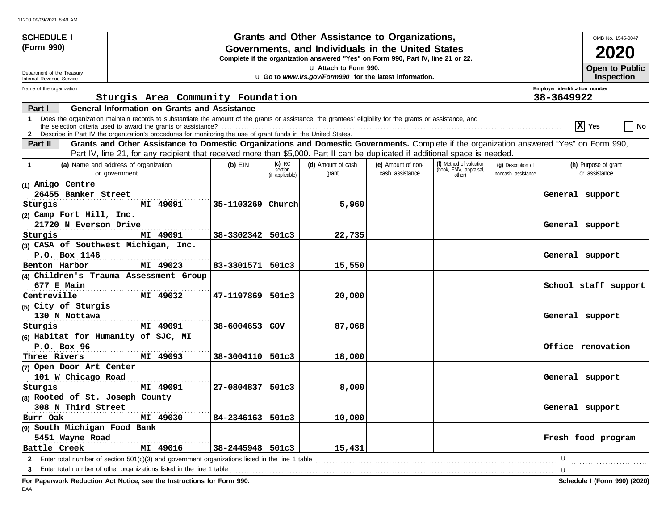| <b>SCHEDULE I</b>                                                      |                                                                                                                                                                                                                                                                               |                        |                                         | Grants and Other Assistance to Organizations,                                                                                         |                                       |                                                             |                                          |                                | OMB No. 1545-0047                     |
|------------------------------------------------------------------------|-------------------------------------------------------------------------------------------------------------------------------------------------------------------------------------------------------------------------------------------------------------------------------|------------------------|-----------------------------------------|---------------------------------------------------------------------------------------------------------------------------------------|---------------------------------------|-------------------------------------------------------------|------------------------------------------|--------------------------------|---------------------------------------|
| (Form 990)                                                             |                                                                                                                                                                                                                                                                               |                        |                                         | Governments, and Individuals in the United States<br>Complete if the organization answered "Yes" on Form 990, Part IV, line 21 or 22. |                                       |                                                             |                                          |                                | 2020                                  |
| Department of the Treasury<br>Internal Revenue Service                 | La Attach to Form 990.<br><b>Open to Public</b><br>u Go to www.irs.gov/Form990 for the latest information.                                                                                                                                                                    |                        |                                         |                                                                                                                                       |                                       |                                                             |                                          |                                |                                       |
| Name of the organization                                               |                                                                                                                                                                                                                                                                               |                        |                                         |                                                                                                                                       |                                       |                                                             |                                          | Employer identification number | <b>Inspection</b>                     |
|                                                                        | Sturgis Area Community Foundation                                                                                                                                                                                                                                             |                        |                                         |                                                                                                                                       |                                       |                                                             |                                          | 38-3649922                     |                                       |
| Part I                                                                 | <b>General Information on Grants and Assistance</b>                                                                                                                                                                                                                           |                        |                                         |                                                                                                                                       |                                       |                                                             |                                          |                                |                                       |
| $\mathbf 1$                                                            | Does the organization maintain records to substantiate the amount of the grants or assistance, the grantees' eligibility for the grants or assistance, and<br>2 Describe in Part IV the organization's procedures for monitoring the use of grant funds in the United States. |                        |                                         |                                                                                                                                       |                                       |                                                             |                                          |                                | X Yes<br>    No                       |
| Part II                                                                | Grants and Other Assistance to Domestic Organizations and Domestic Governments. Complete if the organization answered "Yes" on Form 990,<br>Part IV, line 21, for any recipient that received more than \$5,000. Part II can be duplicated if additional space is needed.     |                        |                                         |                                                                                                                                       |                                       |                                                             |                                          |                                |                                       |
| -1                                                                     | (a) Name and address of organization<br>or government                                                                                                                                                                                                                         | $(b)$ EIN              | $(c)$ IRC<br>section<br>(if applicable) | (d) Amount of cash<br>grant                                                                                                           | (e) Amount of non-<br>cash assistance | (f) Method of valuation<br>(book, FMV, appraisal,<br>other) | (q) Description of<br>noncash assistance |                                | (h) Purpose of grant<br>or assistance |
| (1) Amigo Centre<br>26455 Banker Street<br>Sturgis                     | MI 49091                                                                                                                                                                                                                                                                      | 35-1103269             | Church                                  | 5,960                                                                                                                                 |                                       |                                                             |                                          | General support                |                                       |
| (2) Camp Fort Hill, Inc.<br>21720 N Everson Drive<br>Sturgis           | MI 49091                                                                                                                                                                                                                                                                      | $38 - 3302342$ 501c3   |                                         | 22,735                                                                                                                                |                                       |                                                             |                                          | General support                |                                       |
| (3) CASA of Southwest Michigan, Inc.<br>P.O. Box 1146<br>Benton Harbor | MI 49023                                                                                                                                                                                                                                                                      | 83-3301571   501c3     |                                         | 15,550                                                                                                                                |                                       |                                                             |                                          | General support                |                                       |
| 677 E Main<br>Centreville                                              | (4) Children's Trauma Assessment Group<br>MI 49032                                                                                                                                                                                                                            | 47-1197869             | 501c3                                   | 20,000                                                                                                                                |                                       |                                                             |                                          |                                | School staff support                  |
| (5) City of Sturgis<br>130 N Nottawa<br>Sturgis                        | MI 49091                                                                                                                                                                                                                                                                      | 38-6004653             | l GOV                                   | 87,068                                                                                                                                |                                       |                                                             |                                          | General support                |                                       |
| (6) Habitat for Humanity of SJC, MI<br>P.O. Box 96<br>Three Rivers     | MI 49093                                                                                                                                                                                                                                                                      | 38-3004110   501c3     |                                         | 18,000                                                                                                                                |                                       |                                                             |                                          |                                | Office renovation                     |
| (7) Open Door Art Center<br>101 W Chicago Road<br>Sturgis              | MI 49091                                                                                                                                                                                                                                                                      | 27-0804837             | 501c3                                   | 8,000                                                                                                                                 |                                       |                                                             |                                          | General support                |                                       |
| (8) Rooted of St. Joseph County<br>308 N Third Street<br>Burr Oak      | MI 49030                                                                                                                                                                                                                                                                      | $84 - 2346163$   501c3 |                                         | 10,000                                                                                                                                |                                       |                                                             |                                          | General support                |                                       |
| (9) South Michigan Food Bank<br>5451 Wayne Road<br>Battle Creek        | MI 49016                                                                                                                                                                                                                                                                      | 38-2445948   501c3     |                                         | 15,431                                                                                                                                |                                       |                                                             |                                          |                                | Fresh food program                    |
|                                                                        | 2 Enter total number of section 501(c)(3) and government organizations listed in the line 1 table<br>Enter total number of other organizations listed in the line 1 table                                                                                                     |                        |                                         |                                                                                                                                       |                                       |                                                             |                                          | u                              |                                       |

**For Paperwork Reduction Act Notice, see the Instructions for Form 990. Schedule I (Form 990) (2020)**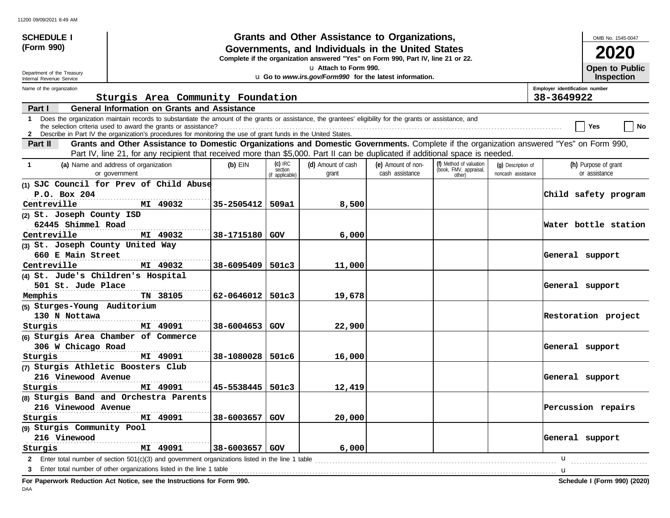| Grants and Other Assistance to Organizations,<br>(Form 990)<br>Governments, and Individuals in the United States<br>2020<br>Complete if the organization answered "Yes" on Form 990, Part IV, line 21 or 22.<br><b>Open to Public</b><br>u Attach to Form 990.<br>Department of the Treasury                                                    |    |
|-------------------------------------------------------------------------------------------------------------------------------------------------------------------------------------------------------------------------------------------------------------------------------------------------------------------------------------------------|----|
|                                                                                                                                                                                                                                                                                                                                                 |    |
|                                                                                                                                                                                                                                                                                                                                                 |    |
| u Go to www.irs.gov/Form990 for the latest information.<br><b>Inspection</b><br>Internal Revenue Service                                                                                                                                                                                                                                        |    |
| Name of the organization<br>Employer identification number                                                                                                                                                                                                                                                                                      |    |
| Sturgis Area Community Foundation<br>38-3649922                                                                                                                                                                                                                                                                                                 |    |
| <b>General Information on Grants and Assistance</b><br>Part I                                                                                                                                                                                                                                                                                   |    |
| Does the organization maintain records to substantiate the amount of the grants or assistance, the grantees' eligibility for the grants or assistance, and<br>$\mathbf 1$<br>Yes<br>2 Describe in Part IV the organization's procedures for monitoring the use of grant funds in the United States.                                             | No |
| Grants and Other Assistance to Domestic Organizations and Domestic Governments. Complete if the organization answered "Yes" on Form 990,<br>Part II<br>Part IV, line 21, for any recipient that received more than \$5,000. Part II can be duplicated if additional space is needed.                                                            |    |
| $(c)$ IRC<br>(f) Method of valuation<br>(d) Amount of cash<br>(a) Name and address of organization<br>(e) Amount of non-<br>$(b)$ EIN<br>(h) Purpose of grant<br>-1<br>(q) Description of<br>(book, FMV, appraisal,<br>section<br>cash assistance<br>or assistance<br>or government<br>grant<br>noncash assistance<br>(if applicable)<br>other) |    |
| (1) SJC Council for Prev of Child Abuse                                                                                                                                                                                                                                                                                                         |    |
| P.O. Box 204<br>Child safety program                                                                                                                                                                                                                                                                                                            |    |
| Centreville<br>MI 49032<br>35-2505412   509a1<br>8,500                                                                                                                                                                                                                                                                                          |    |
| (2) St. Joseph County ISD                                                                                                                                                                                                                                                                                                                       |    |
| 62445 Shimmel Road<br>Water bottle station                                                                                                                                                                                                                                                                                                      |    |
| Centreville<br>MI 49032<br>38-1715180 GOV<br>6,000                                                                                                                                                                                                                                                                                              |    |
| (3) St. Joseph County United Way                                                                                                                                                                                                                                                                                                                |    |
| 660 E Main Street<br>General support<br>.                                                                                                                                                                                                                                                                                                       |    |
| Centreville<br>MI 49032<br>$38 - 6095409$   501c3<br>11,000                                                                                                                                                                                                                                                                                     |    |
| (4) St. Jude's Children's Hospital<br>501 St. Jude Place                                                                                                                                                                                                                                                                                        |    |
| General support<br>TN 38105<br>$62 - 0646012$ 501c3<br>19,678<br>Memphis                                                                                                                                                                                                                                                                        |    |
| (5) Sturges-Young Auditorium                                                                                                                                                                                                                                                                                                                    |    |
| 130 N Nottawa<br>Restoration project                                                                                                                                                                                                                                                                                                            |    |
| MI 49091<br>$38 - 6004653$ GOV<br>22,900<br>Sturgis                                                                                                                                                                                                                                                                                             |    |
| (6) Sturgis Area Chamber of Commerce                                                                                                                                                                                                                                                                                                            |    |
| 306 W Chicago Road<br>General support                                                                                                                                                                                                                                                                                                           |    |
| MI 49091<br>38-1080028   501c6<br>16,000<br>Sturgis                                                                                                                                                                                                                                                                                             |    |
| (7) Sturgis Athletic Boosters Club                                                                                                                                                                                                                                                                                                              |    |
| 216 Vinewood Avenue<br>General support                                                                                                                                                                                                                                                                                                          |    |
| MI 49091<br>$45 - 5538445$   501c3<br>12,419<br>Sturgis                                                                                                                                                                                                                                                                                         |    |
| (8) Sturgis Band and Orchestra Parents                                                                                                                                                                                                                                                                                                          |    |
| 216 Vinewood Avenue<br>Percussion repairs                                                                                                                                                                                                                                                                                                       |    |
| MI 49091<br>38-6003657 GOV<br>20,000<br>Sturgis                                                                                                                                                                                                                                                                                                 |    |
| (9) Sturgis Community Pool                                                                                                                                                                                                                                                                                                                      |    |
| General support<br>216 Vinewood                                                                                                                                                                                                                                                                                                                 |    |
| 38-6003657   GOV<br>6,000<br>MI 49091<br>Sturgis                                                                                                                                                                                                                                                                                                |    |
| 2 Enter total number of section 501(c)(3) and government organizations listed in the line 1 table<br>u                                                                                                                                                                                                                                          |    |
| Enter total number of other organizations listed in the line 1 table                                                                                                                                                                                                                                                                            |    |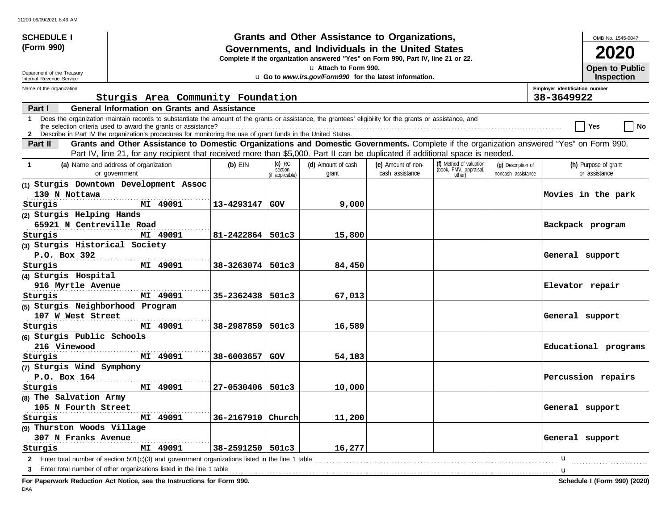| <b>SCHEDULE I</b>                                                |                                                                                                                                                                                                                                                                               |                       |                                         | Grants and Other Assistance to Organizations,                                                                                         |                                       |                                                             |                                          |                                              | OMB No. 1545-0047                          |
|------------------------------------------------------------------|-------------------------------------------------------------------------------------------------------------------------------------------------------------------------------------------------------------------------------------------------------------------------------|-----------------------|-----------------------------------------|---------------------------------------------------------------------------------------------------------------------------------------|---------------------------------------|-------------------------------------------------------------|------------------------------------------|----------------------------------------------|--------------------------------------------|
| (Form 990)                                                       |                                                                                                                                                                                                                                                                               |                       |                                         | Governments, and Individuals in the United States<br>Complete if the organization answered "Yes" on Form 990, Part IV, line 21 or 22. |                                       |                                                             |                                          |                                              | 2020                                       |
| Department of the Treasury                                       | u Attach to Form 990.                                                                                                                                                                                                                                                         |                       |                                         |                                                                                                                                       |                                       |                                                             |                                          |                                              | <b>Open to Public</b><br><b>Inspection</b> |
| Internal Revenue Service                                         | u Go to www.irs.gov/Form990 for the latest information.                                                                                                                                                                                                                       |                       |                                         |                                                                                                                                       |                                       |                                                             |                                          |                                              |                                            |
| Name of the organization                                         | Sturgis Area Community Foundation                                                                                                                                                                                                                                             |                       |                                         |                                                                                                                                       |                                       |                                                             |                                          | Employer identification number<br>38-3649922 |                                            |
| Part I                                                           | <b>General Information on Grants and Assistance</b>                                                                                                                                                                                                                           |                       |                                         |                                                                                                                                       |                                       |                                                             |                                          |                                              |                                            |
| 1                                                                | Does the organization maintain records to substantiate the amount of the grants or assistance, the grantees' eligibility for the grants or assistance, and<br>2 Describe in Part IV the organization's procedures for monitoring the use of grant funds in the United States. |                       |                                         |                                                                                                                                       |                                       |                                                             |                                          |                                              | No<br>Yes                                  |
| Part II                                                          | Grants and Other Assistance to Domestic Organizations and Domestic Governments. Complete if the organization answered "Yes" on Form 990,<br>Part IV, line 21, for any recipient that received more than \$5,000. Part II can be duplicated if additional space is needed.     |                       |                                         |                                                                                                                                       |                                       |                                                             |                                          |                                              |                                            |
| $\mathbf 1$                                                      | (a) Name and address of organization<br>or government                                                                                                                                                                                                                         | $(b)$ EIN             | $(c)$ IRC<br>section<br>(if applicable) | (d) Amount of cash<br>grant                                                                                                           | (e) Amount of non-<br>cash assistance | (f) Method of valuation<br>(book, FMV, appraisal,<br>other) | (q) Description of<br>noncash assistance |                                              | (h) Purpose of grant<br>or assistance      |
| 130 N Nottawa<br>Sturgis                                         | (1) Sturgis Downtown Development Assoc<br>MI 49091                                                                                                                                                                                                                            | 13-4293147            | GOV                                     | 9,000                                                                                                                                 |                                       |                                                             |                                          |                                              | Movies in the park                         |
| (2) Sturgis Helping Hands<br>65921 N Centreville Road<br>Sturgis | MI 49091                                                                                                                                                                                                                                                                      | $81 - 2422864$ 501c3  |                                         | 15,800                                                                                                                                |                                       |                                                             |                                          |                                              | Backpack program                           |
| (3) Sturgis Historical Society<br>P.O. Box 392<br>Sturgis        | MI 49091                                                                                                                                                                                                                                                                      | $38 - 3263074$ 501c3  |                                         | 84,450                                                                                                                                |                                       |                                                             |                                          | General support                              |                                            |
| (4) Sturgis Hospital<br>916 Myrtle Avenue<br>Sturgis             | MI 49091                                                                                                                                                                                                                                                                      | $35 - 2362438$ 501c3  |                                         | 67,013                                                                                                                                |                                       |                                                             |                                          | Elevator repair                              |                                            |
| (5) Sturgis Neighborhood Program<br>107 W West Street<br>Sturgis | MI 49091                                                                                                                                                                                                                                                                      | 38-2987859            | 501c3                                   | 16,589                                                                                                                                |                                       |                                                             |                                          | General support                              |                                            |
| (6) Sturgis Public Schools<br>216 Vinewood<br>Sturgis            | MI 49091                                                                                                                                                                                                                                                                      | 38-6003657            | GOV                                     | 54,183                                                                                                                                |                                       |                                                             |                                          |                                              | Educational programs                       |
| (7) Sturgis Wind Symphony<br>P.O. Box 164<br>Sturgis             | MI 49091                                                                                                                                                                                                                                                                      | 27-0530406   501c3    |                                         | 10,000                                                                                                                                |                                       |                                                             |                                          |                                              | Percussion repairs                         |
| (8) The Salvation Army<br>105 N Fourth Street<br>Sturgis         | MI 49091                                                                                                                                                                                                                                                                      | $36 - 2167910$ Church |                                         | 11,200                                                                                                                                |                                       |                                                             |                                          | General support                              |                                            |
| (9) Thurston Woods Village<br>307 N Franks Avenue<br>Sturgis     | MI 49091                                                                                                                                                                                                                                                                      | 38-2591250   501c3    |                                         | 16,277                                                                                                                                |                                       |                                                             |                                          | General support                              |                                            |
|                                                                  | 2 Enter total number of section 501(c)(3) and government organizations listed in the line 1 table<br>3 Enter total number of other organizations listed in the line 1 table                                                                                                   |                       |                                         |                                                                                                                                       |                                       |                                                             |                                          | u<br>u                                       |                                            |

**For Paperwork Reduction Act Notice, see the Instructions for Form 990. Schedule I (Form 990) (2020)**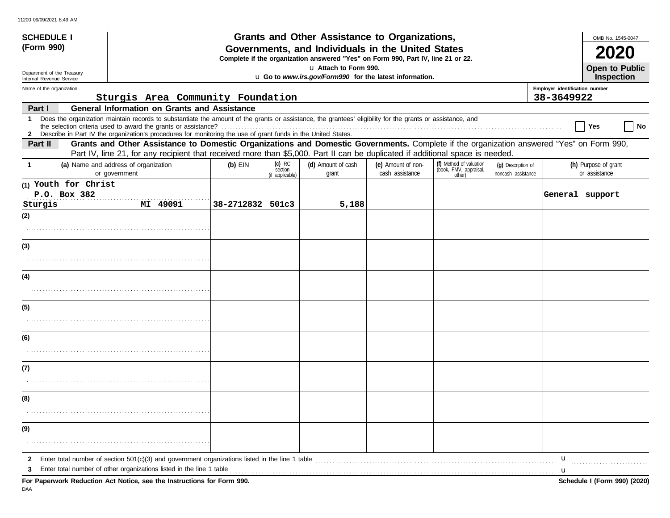| <b>SCHEDULE I</b>                                                                                                                                   | Grants and Other Assistance to Organizations,                                                                                                                                                                                                                               | OMB No. 1545-0047 |                      |                             |                                       |                                                   |                                          |                                              |
|-----------------------------------------------------------------------------------------------------------------------------------------------------|-----------------------------------------------------------------------------------------------------------------------------------------------------------------------------------------------------------------------------------------------------------------------------|-------------------|----------------------|-----------------------------|---------------------------------------|---------------------------------------------------|------------------------------------------|----------------------------------------------|
| (Form 990)<br>Governments, and Individuals in the United States<br>Complete if the organization answered "Yes" on Form 990, Part IV, line 21 or 22. |                                                                                                                                                                                                                                                                             |                   |                      |                             |                                       |                                                   |                                          |                                              |
| Department of the Treasury<br>Internal Revenue Service                                                                                              | u Attach to Form 990.<br>u Go to www.irs.gov/Form990 for the latest information.                                                                                                                                                                                            |                   |                      |                             |                                       |                                                   | <b>Open to Public</b><br>Inspection      |                                              |
| Name of the organization                                                                                                                            | Sturgis Area Community Foundation                                                                                                                                                                                                                                           |                   |                      |                             |                                       |                                                   |                                          | Employer identification number<br>38-3649922 |
| Part I                                                                                                                                              | <b>General Information on Grants and Assistance</b>                                                                                                                                                                                                                         |                   |                      |                             |                                       |                                                   |                                          |                                              |
| $\mathbf{1}$<br>$\mathbf{2}$                                                                                                                        | Does the organization maintain records to substantiate the amount of the grants or assistance, the grantees' eligibility for the grants or assistance, and<br>Describe in Part IV the organization's procedures for monitoring the use of grant funds in the United States. |                   |                      |                             |                                       |                                                   |                                          | Yes<br>No                                    |
| Part II                                                                                                                                             | Grants and Other Assistance to Domestic Organizations and Domestic Governments. Complete if the organization answered "Yes" on Form 990,<br>Part IV, line 21, for any recipient that received more than \$5,000. Part II can be duplicated if additional space is needed.   |                   |                      |                             |                                       |                                                   |                                          |                                              |
| $\mathbf{1}$                                                                                                                                        | (a) Name and address of organization<br>or government                                                                                                                                                                                                                       | $(b)$ EIN         | $(c)$ IRC<br>section | (d) Amount of cash<br>grant | (e) Amount of non-<br>cash assistance | (f) Method of valuation<br>(book, FMV, appraisal, | (g) Description of<br>noncash assistance | (h) Purpose of grant<br>or assistance        |
| (1) Youth for Christ                                                                                                                                |                                                                                                                                                                                                                                                                             |                   | (if applicable)      |                             |                                       | other)                                            |                                          |                                              |
| P.O. Box 382                                                                                                                                        |                                                                                                                                                                                                                                                                             |                   |                      |                             |                                       |                                                   |                                          | General support                              |
| Sturgis                                                                                                                                             | MI 49091                                                                                                                                                                                                                                                                    | 38-2712832        | 501c3                | 5,188                       |                                       |                                                   |                                          |                                              |
| (2)                                                                                                                                                 |                                                                                                                                                                                                                                                                             |                   |                      |                             |                                       |                                                   |                                          |                                              |
|                                                                                                                                                     |                                                                                                                                                                                                                                                                             |                   |                      |                             |                                       |                                                   |                                          |                                              |
| (3)                                                                                                                                                 |                                                                                                                                                                                                                                                                             |                   |                      |                             |                                       |                                                   |                                          |                                              |
|                                                                                                                                                     |                                                                                                                                                                                                                                                                             |                   |                      |                             |                                       |                                                   |                                          |                                              |
| (4)                                                                                                                                                 |                                                                                                                                                                                                                                                                             |                   |                      |                             |                                       |                                                   |                                          |                                              |
|                                                                                                                                                     |                                                                                                                                                                                                                                                                             |                   |                      |                             |                                       |                                                   |                                          |                                              |
| (5)                                                                                                                                                 |                                                                                                                                                                                                                                                                             |                   |                      |                             |                                       |                                                   |                                          |                                              |
|                                                                                                                                                     |                                                                                                                                                                                                                                                                             |                   |                      |                             |                                       |                                                   |                                          |                                              |
| (6)                                                                                                                                                 |                                                                                                                                                                                                                                                                             |                   |                      |                             |                                       |                                                   |                                          |                                              |
|                                                                                                                                                     |                                                                                                                                                                                                                                                                             |                   |                      |                             |                                       |                                                   |                                          |                                              |
| (7)                                                                                                                                                 |                                                                                                                                                                                                                                                                             |                   |                      |                             |                                       |                                                   |                                          |                                              |
|                                                                                                                                                     |                                                                                                                                                                                                                                                                             |                   |                      |                             |                                       |                                                   |                                          |                                              |
| (8)                                                                                                                                                 |                                                                                                                                                                                                                                                                             |                   |                      |                             |                                       |                                                   |                                          |                                              |
|                                                                                                                                                     |                                                                                                                                                                                                                                                                             |                   |                      |                             |                                       |                                                   |                                          |                                              |
| (9)                                                                                                                                                 |                                                                                                                                                                                                                                                                             |                   |                      |                             |                                       |                                                   |                                          |                                              |
|                                                                                                                                                     |                                                                                                                                                                                                                                                                             |                   |                      |                             |                                       |                                                   |                                          |                                              |
| $\mathbf{2}$                                                                                                                                        |                                                                                                                                                                                                                                                                             |                   |                      |                             |                                       |                                                   |                                          | u                                            |
| 3                                                                                                                                                   | Enter total number of other organizations listed in the line 1 table<br>For Paperwork Reduction Act Notice, see the Instructions for Form 990.                                                                                                                              |                   |                      |                             |                                       |                                                   |                                          | <b>u</b><br>Schedule I (Form 990) (2020)     |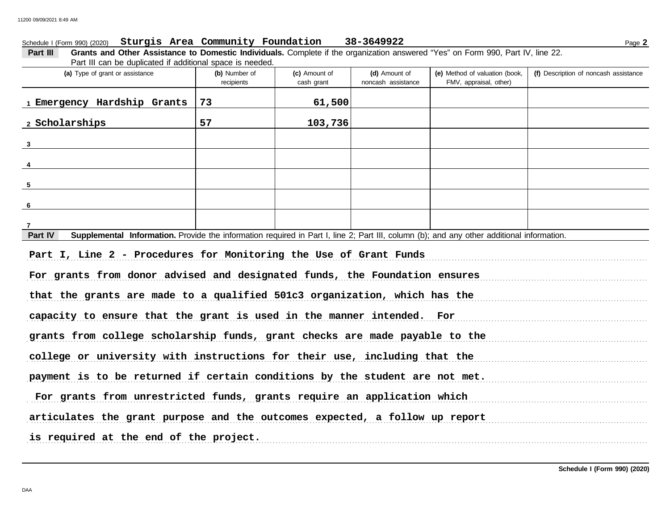| Schedule I (Form 990) (2020) Sturgis Area Community Foundation                                                                                       |                             |                             | 38-3649922                          |                                                          | Page 2                                |  |
|------------------------------------------------------------------------------------------------------------------------------------------------------|-----------------------------|-----------------------------|-------------------------------------|----------------------------------------------------------|---------------------------------------|--|
| Grants and Other Assistance to Domestic Individuals. Complete if the organization answered "Yes" on Form 990, Part IV, line 22.<br>Part III          |                             |                             |                                     |                                                          |                                       |  |
| Part III can be duplicated if additional space is needed.<br>(a) Type of grant or assistance                                                         | (b) Number of<br>recipients | (c) Amount of<br>cash grant | (d) Amount of<br>noncash assistance | (e) Method of valuation (book,<br>FMV, appraisal, other) | (f) Description of noncash assistance |  |
| 1 Emergency Hardship Grants                                                                                                                          | 73                          | 61,500                      |                                     |                                                          |                                       |  |
| 2 Scholarships                                                                                                                                       | 57                          | 103,736                     |                                     |                                                          |                                       |  |
| $3 \qquad \qquad$                                                                                                                                    |                             |                             |                                     |                                                          |                                       |  |
|                                                                                                                                                      |                             |                             |                                     |                                                          |                                       |  |
|                                                                                                                                                      |                             |                             |                                     |                                                          |                                       |  |
| 5                                                                                                                                                    |                             |                             |                                     |                                                          |                                       |  |
| 6                                                                                                                                                    |                             |                             |                                     |                                                          |                                       |  |
| Supplemental Information. Provide the information required in Part I, line 2; Part III, column (b); and any other additional information.<br>Part IV |                             |                             |                                     |                                                          |                                       |  |
| Part I, Line 2 - Procedures for Monitoring the Use of Grant Funds                                                                                    |                             |                             |                                     |                                                          |                                       |  |
| For grants from donor advised and designated funds, the Foundation ensures                                                                           |                             |                             |                                     |                                                          |                                       |  |
| that the grants are made to a qualified 501c3 organization, which has the                                                                            |                             |                             |                                     |                                                          |                                       |  |
| capacity to ensure that the grant is used in the manner intended. For                                                                                |                             |                             |                                     |                                                          |                                       |  |
| grants from college scholarship funds, grant checks are made payable to the                                                                          |                             |                             |                                     |                                                          |                                       |  |
| college or university with instructions for their use, including that the                                                                            |                             |                             |                                     |                                                          |                                       |  |
|                                                                                                                                                      |                             |                             |                                     |                                                          |                                       |  |
| payment is to be returned if certain conditions by the student are not met.                                                                          |                             |                             |                                     |                                                          |                                       |  |
| For grants from unrestricted funds, grants require an application which                                                                              |                             |                             |                                     |                                                          |                                       |  |
| articulates the grant purpose and the outcomes expected, a follow up report                                                                          |                             |                             |                                     |                                                          |                                       |  |
| is required at the end of the project.                                                                                                               |                             |                             |                                     |                                                          |                                       |  |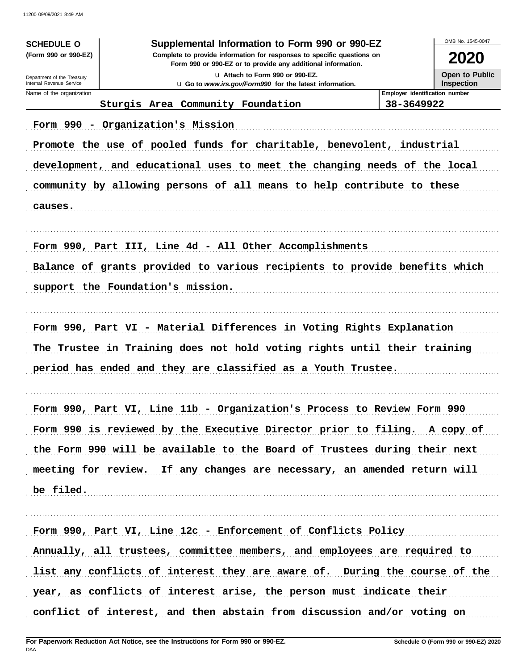| <b>SCHEDULE O</b><br>(Form 990 or 990-EZ)                                  | Supplemental Information to Form 990 or 990-EZ<br>Complete to provide information for responses to specific questions on |                                                     |                                     |  |  |  |  |
|----------------------------------------------------------------------------|--------------------------------------------------------------------------------------------------------------------------|-----------------------------------------------------|-------------------------------------|--|--|--|--|
|                                                                            | Form 990 or 990-EZ or to provide any additional information.                                                             |                                                     |                                     |  |  |  |  |
| Department of the Treasury<br>Internal Revenue Service                     | La Attach to Form 990 or 990-EZ.<br>u Go to www.irs.gov/Form990 for the latest information.                              |                                                     | Open to Public<br><b>Inspection</b> |  |  |  |  |
| Name of the organization                                                   | Sturgis Area Community Foundation                                                                                        | <b>Employer identification number</b><br>38-3649922 |                                     |  |  |  |  |
|                                                                            | Form 990 - Organization's Mission                                                                                        |                                                     |                                     |  |  |  |  |
| Promote the use of pooled funds for charitable, benevolent, industrial     |                                                                                                                          |                                                     |                                     |  |  |  |  |
| development, and educational uses to meet the changing needs of the local  |                                                                                                                          |                                                     |                                     |  |  |  |  |
| community by allowing persons of all means to help contribute to these     |                                                                                                                          |                                                     |                                     |  |  |  |  |
| causes.                                                                    |                                                                                                                          |                                                     |                                     |  |  |  |  |
|                                                                            |                                                                                                                          |                                                     |                                     |  |  |  |  |
| Form 990, Part III, Line 4d - All Other Accomplishments                    |                                                                                                                          |                                                     |                                     |  |  |  |  |
| Balance of grants provided to various recipients to provide benefits which |                                                                                                                          |                                                     |                                     |  |  |  |  |
| support the Foundation's mission.                                          |                                                                                                                          |                                                     |                                     |  |  |  |  |
|                                                                            |                                                                                                                          |                                                     |                                     |  |  |  |  |
|                                                                            | Form 990, Part VI - Material Differences in Voting Rights Explanation                                                    |                                                     |                                     |  |  |  |  |
| The Trustee in Training does not hold voting rights until their training   |                                                                                                                          |                                                     |                                     |  |  |  |  |
| period has ended and they are classified as a Youth Trustee.               |                                                                                                                          |                                                     |                                     |  |  |  |  |
|                                                                            |                                                                                                                          |                                                     |                                     |  |  |  |  |
|                                                                            | Form 990, Part VI, Line 11b - Organization's Process to Review Form 990                                                  |                                                     |                                     |  |  |  |  |
| Form 990 is reviewed by the Executive Director prior to filing. A copy of  |                                                                                                                          |                                                     |                                     |  |  |  |  |
| the Form 990 will be available to the Board of Trustees during their next  |                                                                                                                          |                                                     |                                     |  |  |  |  |
| meeting for review. If any changes are necessary, an amended return will   |                                                                                                                          |                                                     |                                     |  |  |  |  |
| be filed.                                                                  |                                                                                                                          |                                                     |                                     |  |  |  |  |
|                                                                            |                                                                                                                          |                                                     |                                     |  |  |  |  |
|                                                                            | Form 990, Part VI, Line 12c - Enforcement of Conflicts Policy                                                            |                                                     |                                     |  |  |  |  |
| Annually, all trustees, committee members, and employees are required to   |                                                                                                                          |                                                     |                                     |  |  |  |  |
| list any conflicts of interest they are aware of. During the course of the |                                                                                                                          |                                                     |                                     |  |  |  |  |
| year, as conflicts of interest arise, the person must indicate their       |                                                                                                                          |                                                     |                                     |  |  |  |  |
|                                                                            | conflict of interest, and then abstain from discussion and/or voting on                                                  |                                                     |                                     |  |  |  |  |